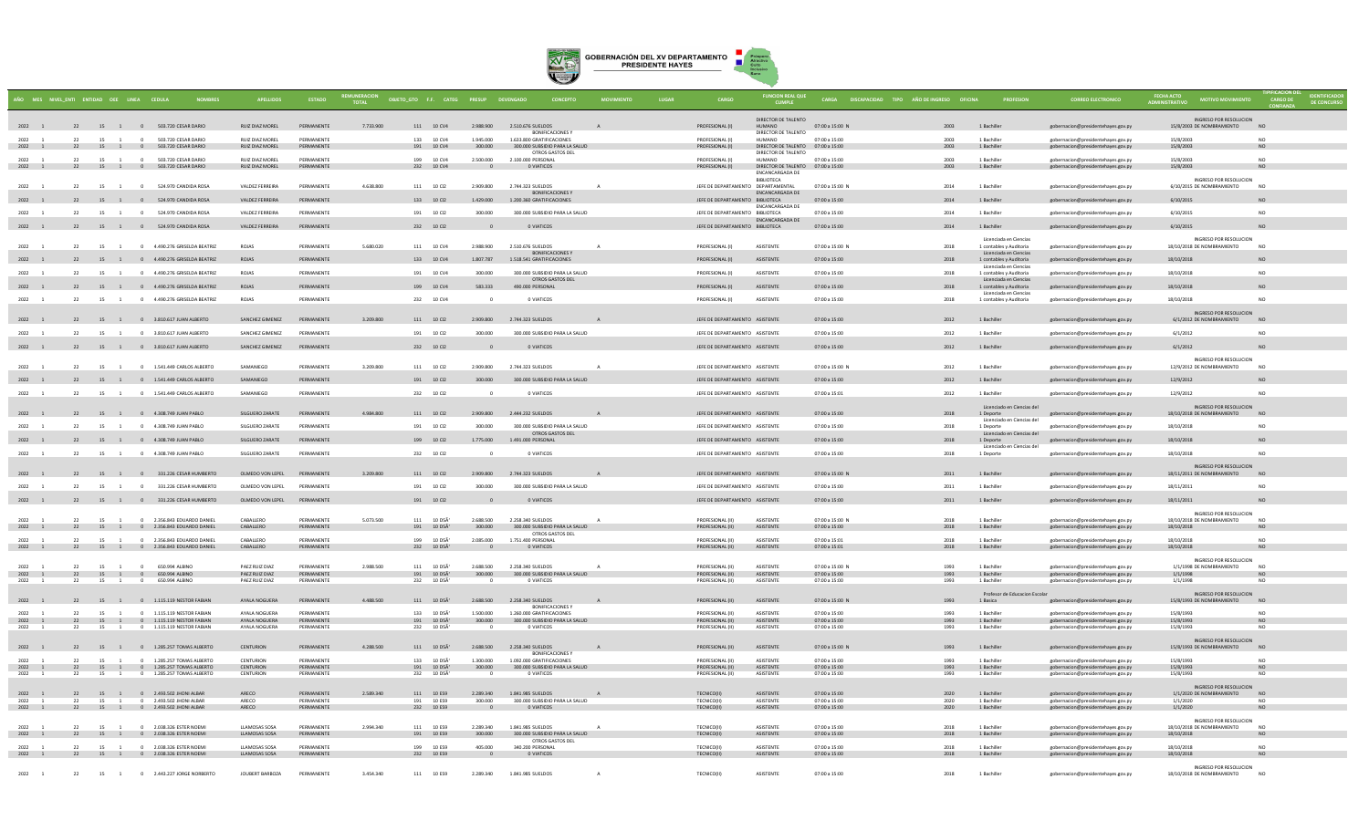

|                  |          | ÑO MES NIVEL_ENTI ENTIDAD OEE LINEA CEDULA |                                                                         |                                       |                          | <b>TOTAL</b> |                                                             |                     |                                        | OBJETO_GTO F.F. CATEG PRESUP DEVENGADO CONCEPTO             |              |                                                                  | <b>FUNCION REAL QUE</b>                              |                                       | CARGA DISCAPACIDAD TIPO AÑO DE INGRESO OFICINA |                                                                      | <b>CORREO ELECTRONIC</b>                                                 | <b>FECHA ACTO</b>                                    |                             |  |
|------------------|----------|--------------------------------------------|-------------------------------------------------------------------------|---------------------------------------|--------------------------|--------------|-------------------------------------------------------------|---------------------|----------------------------------------|-------------------------------------------------------------|--------------|------------------------------------------------------------------|------------------------------------------------------|---------------------------------------|------------------------------------------------|----------------------------------------------------------------------|--------------------------------------------------------------------------|------------------------------------------------------|-----------------------------|--|
|                  |          |                                            |                                                                         |                                       |                          |              |                                                             |                     |                                        |                                                             |              |                                                                  | DIRECTOR DE TALENTO                                  |                                       |                                                |                                                                      |                                                                          | INGRESO POR RESOLUCION                               |                             |  |
|                  |          |                                            | 2022 1 22 15 1 0 503.720 CESAR DARIO                                    | RUIZ DIAZ MOREL                       | PERMANENTE               | 7 733 900    |                                                             | 111 10 CV4          | 2.988.900 2.510.676 SUELDOS            | <b>BONIFICACIONES Y</b>                                     |              | PROFESIONAL (I)                                                  | HUMANO<br>DIRECTOR DE TALENTO                        | 07:00 a 15:00 N                       | 2003                                           | 1 Bachiller                                                          | gobernacion@presidentehayes.gov.py                                       | 15/8/2003 DE NOMBRAMIENTO                            | NO <sub>1</sub>             |  |
| 2022<br>2022 1   |          | 15                                         | 503 720 CESAR DARIO<br>22 15 1 0 503.720 CESAR DARIO                    | RUIZ DIAZ MOREL<br>RUIZ DIAZ MOREL    | PERMANENTE<br>PERMANENTE |              | 133 10 CV4<br>191 10 CV4                                    |                     | 1.945.000<br>300.000                   | 1.633.800 GRATIFICACIONES<br>300.000 SUBSIDIO PARA LA SALUD |              | PROFESIONAL (I)<br>PROFESIONAL (I)                               | <b>HIJMANO</b><br>DIRECTOR DE TALENTO 07:00 a 15:00  | $07:00 \times 15:00$                  | 2003<br>2003                                   | 1 Bachille<br>1 Bachiller                                            | gobernacion@presidentehayes.gov.py<br>gobernacion@presidentehayes.gov.py | 15/8/2003<br>15/8/2003                               | NO.<br><b>NO</b>            |  |
| $2022 - 1$       |          |                                            | 22 15 1 0 503.720 CESAR DARIO                                           | <b>RUIZ DIAZ MOREL</b>                | DERMANENTE               |              | 199 10 CV4                                                  |                     | 2,500,000                              | OTROS GASTOS DEL<br>2.100.000 PERSONAL                      |              | PROFESIONAL (I)                                                  | DIRECTOR DE TALENTO<br>HUMANO                        | 07:00 a 15:00                         | 2003                                           | 1 Bachiller                                                          | gobernacion@presidentehayes.gov.py                                       | 15/8/2003                                            | N <sub>0</sub>              |  |
|                  |          |                                            | 2022 1 22 15 1 0 503.720 CESAR DARIO                                    | RUIZ DIAZ MOREL                       | PERMANENTE               |              | 232 10 CV4                                                  |                     | $\sim$ 0                               | <b>O VIATICOS</b>                                           |              | PROFESIONAL (I)                                                  | DIRECTOR DE TALENTO 07:00 a 15:00<br>ENCANCARGADA DE |                                       | 2003                                           | 1 Bachiller                                                          | gobernacion@presidentehayes.gov.py                                       | 15/8/2003                                            | N <sub>0</sub>              |  |
| $2022 - 1$       |          |                                            | 22 15 1 0 524 970 CANDIDA ROSA                                          | VALDEZ FERREIRA                       | PERMANENTE               | 4.638.800    | 111 10 02                                                   |                     | 2.909.800                              | 2.744.323.SUELDOS                                           | A            | IFFE DE DEPARTAMENTO DEPARTAMENTAL                               | BIBLIOTECA                                           | 07:00 a 15:00 N                       | 2014                                           | 1 Bachiller                                                          | eobernacion@presidentehayes.gov.py                                       | INGRESO POR RESOLUCION<br>6/10/2015 DE NOMBRAMIENTO  | <b>NO</b>                   |  |
| 2022 1           |          |                                            | 22 15 1 0 524.970 CANDIDA ROSA                                          | VALDEZ FERREIRA                       | PERMANENTE               |              | 133 10 Cl2                                                  |                     | 1.429,000                              | <b>BONIFICACIONES Y</b><br>1.200.360 GRATIFICACIONES        |              | JEFE DE DEPARTAMENTO BIBLIOTECA                                  | <b>ENCANCARGADA DE</b>                               | 07:00 a 15:00                         | 2014                                           | 1 Bachiller                                                          | gobernacion@presidentehayes.gov.py                                       | 6/10/2015                                            | <b>NO</b>                   |  |
| 2022             | 22       |                                            | 15 1 0 524.970 CANDIDA ROSA                                             | VALDEZ FERREIRA                       | PERMANENTE               |              | 191 10 Cl2                                                  |                     | 300,000                                | 300,000 SUBSIDIO PARA LA SALUD                              |              | JEFE DE DEPARTAMENTO BIBLIOTECA                                  | <b>ENCANCARGADA DE</b>                               | 07:00 a 15:00                         | 2014                                           | 1 Bachiller                                                          | gobernacion@presidentehayes.gov.py                                       | 6/10/2015                                            | NO                          |  |
| 2022 1           |          |                                            | 22 15 1 0 524.970 CANDIDA ROSA                                          | VALDEZ FERREIRA                       | PERMANENTE               |              | 232 10 Cl2                                                  |                     |                                        | 0 VIATICOS                                                  |              | JEFE DE DEPARTAMENTO BIBLIOTECA                                  | ENCANCARGADA DE                                      | 07:00 a 15:00                         | 2014                                           | 1 Bachiller                                                          | gobernacion@presidentehayes.gov.py                                       | 6/10/2015                                            | NO                          |  |
|                  |          |                                            |                                                                         |                                       |                          |              |                                                             |                     |                                        |                                                             |              |                                                                  |                                                      |                                       |                                                | Licenciada en Ciencia                                                |                                                                          | INGRESO POR RESOLUCIÓN                               |                             |  |
| 2022 1           | 22       |                                            | 15 1 0 4.490.276 GRISELDA BEATRIZ                                       | <b>ROIAS</b>                          | PERMANENTE               | 5.680.020    | 111 10 CV4                                                  |                     | 2.988.900                              | 2.510.676 SUELDOS<br>BONIFICACIONES Y                       | $\mathbf{A}$ | PROFESIONAL (I)                                                  | <b>ASISTENTE</b>                                     | 07:00 a 15:00 N                       | 2018                                           | 1 contables y Auditoria<br>Licenciada en Ciencias                    | gobernacion@presidentehayes.gov.py                                       | 18/10/2018 DE NOMBRAMIENTO                           | NO <sub>1</sub>             |  |
|                  |          |                                            | 22 15 1 0 4.490.276 GRISELDA BEATRIZ                                    | ROJAS                                 | PERMANENTE               |              | 133 10 CV4                                                  |                     | 1,807,787                              | 1.518.541 GRATIFICACIONES                                   |              | PROFESIONAL (I)                                                  | ASISTENTE                                            | 07:00 a 15:00                         | 2018                                           | 1 contables y Auditoria<br>Licenciada en Ciencias                    | gobernacion@presidentehayes.gov.py                                       | 18/10/2018                                           | <b>NO</b>                   |  |
| 2022             | 22       | 15 1                                       | 0 4.490.276 GRISELDA BEATRIZ                                            | ROJAS                                 | PERMANENTE               |              | 191 10 CV4                                                  |                     | 300.000                                | 300.000 SUBSIDIO PARA LA SALUD<br>OTROS GASTOS DEL          |              | PROFESIONAL (I)                                                  | ASISTENTE                                            | 07:00 a 15:00                         | 2018                                           | 1 contables y Auditoria<br>Licenciada en Ciencias                    | gobernacion@presidentehayes.gov.py                                       | 18/10/2018                                           | NO                          |  |
| 2022 1           |          |                                            | 22 15 1 0 4.490.276 GRISELDA BEATRIZ                                    | ROJAS                                 | PERMANENTE               |              | 199 10 CV4                                                  |                     | 583.333                                | 490.000 PERSONAL                                            |              | PROFESIONAL (I)                                                  | ASISTENTE                                            | 07:00 a 15:00                         | 2018                                           | 1 contables y Auditoria<br>Licenciada en Ciencias                    | gobernacion@presidentehayes.gov.py                                       | 18/10/2018                                           |                             |  |
| 2022             | 22       | 15 1                                       | 0 4.490.276 GRISELDA BEATRIZ                                            | ROJAS                                 | PERMANENTE               |              | 232 10 CV4                                                  |                     |                                        | 0 VIATICOS                                                  |              | PROFESIONAL (I)                                                  | ASISTENTE                                            | 07:00 a 15:00                         | 2018                                           | 1 contables y Auditoria                                              | gobernacion@presidentehayes.gov.py                                       | 18/10/2018                                           | NO.                         |  |
| 2022 1           |          |                                            | 22 15 1 0 3.810.617 JUAN ALBERTO                                        | SANCHEZ GIMENEZ                       | PERMANENTE               | 3.209.800    | 111 10 Cl2                                                  |                     | 2.909.800 2.744.323 SUELDOS            |                                                             |              | JEFE DE DEPARTAMENTO ASISTENTE                                   |                                                      | 07:00 a 15:00                         | 2012                                           | 1 Bachiller                                                          | gobernacion@presidentehayes.gov.py                                       | INGRESO POR RESOLUCION<br>6/1/2012 DE NOMBRAMIENTO   | N <sub>O</sub>              |  |
| 2022             | 22       |                                            | 15 1 0 3.810.617 ILIAN ALBERTO                                          | SANCHEZ GIMENEZ                       | PERMANENTE               |              | 191 10 02                                                   |                     | 300,000                                | 300,000 SUBSIDIO PARA LA SALUD                              |              | IFFF DE DEPARTAMENTO ASISTENTE                                   |                                                      | $07:00 \times 15:00$                  | 2012                                           | 1 Bachiller                                                          | gobernacion@presidentehayes.gov.py                                       | 6/1/2012                                             | NO.                         |  |
| 2022 1           |          |                                            | 22 15 1 0 3.810.617 JUAN ALBERTO                                        | SANCHEZ GIMENEZ                       | PERMANENTE               |              | 232 10 Cl2                                                  |                     | - 0                                    | O VIATICOS                                                  |              | JEFE DE DEPARTAMENTO ASISTENTE                                   |                                                      | 07:00 a 15:00                         | 2012                                           | 1 Bachiller                                                          | gobernacion@presidentehayes.gov.py                                       | 6/1/2012                                             | NO.                         |  |
|                  |          |                                            |                                                                         |                                       |                          |              |                                                             |                     |                                        |                                                             |              |                                                                  |                                                      |                                       |                                                |                                                                      |                                                                          | INGRESO POR RESOLUCION                               | N <sub>O</sub>              |  |
| 2022             | 22       |                                            | 15 1 0 1.541.449 CARLOS ALBERTO                                         | SAMANIEGO<br>SAMANIEGO                | PERMANENTE<br>PERMANENTE | 3.209.800    | 111 10 Cl2                                                  |                     | 2.909.800                              | 2.744.323 SUELDOS                                           |              | JEFE DE DEPARTAMENTO ASISTENTE                                   |                                                      | 07:00 a 15:00 N                       | 2012                                           | 1 Bachiller                                                          | gobernacion@presidentehayes.gov.py                                       | 12/9/2012 DE NOMBRAMIENTO<br>12/9/2012               |                             |  |
| 2022 1<br>2022 1 | 22<br>22 |                                            | 15 1 0 1.541.449 CARLOS ALBERTO<br>15 1 0 1 541 449 CARLOS ALBERTO      | SAMANIEGO                             | PERMANENTE               |              | 191 10 Cl2<br>232 10 CI2                                    |                     | 300,000<br>$\Omega$                    | 300.000 SUBSIDIO PARA LA SALUD<br>0 VIATICOS                |              | JEFE DE DEPARTAMENTO ASISTENTE<br>IFFE DE DEPARTAMENTO ASISTENTE |                                                      | 07:00 a 15:00<br>$07:00 \times 15:01$ | 2012<br>2012                                   | 1 Bachiller<br>1 Bachiller                                           | gobernacion@presidentehayes.gov.py                                       | 12/9/2012                                            | <b>NO</b><br>NO.            |  |
|                  |          |                                            |                                                                         |                                       |                          |              |                                                             |                     |                                        |                                                             |              |                                                                  |                                                      |                                       |                                                |                                                                      | gobernacion@presidentehayes.gov.p                                        | INGRESO POR RESOLUCION                               |                             |  |
| 2022 1           |          |                                            | 22 15 1 0 4.308.749 JUAN PABLO                                          | SILGUERO ZARATE                       | PERMANENTE               | 4,984,800    | 111 10 CI2                                                  |                     | 2.909.800 2.444.232 SUELDOS            |                                                             |              | JEFE DE DEPARTAMENTO ASISTENTE                                   |                                                      | 07:00 a 15:00                         | 2018                                           | Licenciado en Ciencias del<br>1 Deporte                              | gobernacion@presidentehayes.gov.py                                       | 18/10/2018 DE NOMBRAMIENTO                           | <b>NO</b>                   |  |
| 2022             | 22       |                                            | 15 1 0 4.308.749 JUAN PABLO                                             | <b>SILGUERO ZARATE</b>                | PERMANENTE               |              | 191 10 Cl2                                                  |                     | 300,000                                | 300,000 SUBSIDIO PARA LA SALUD<br>OTROS GASTOS DEL          |              | JEFE DE DEPARTAMENTO ASISTENTE                                   |                                                      | 07:00 a 15:00                         | 2018                                           | Licenciado en Ciencias de<br>1 Deporte<br>Licenciado en Ciencias del | gobernacion@presidentehayes.gov.py                                       | 18/10/2018                                           | NO.                         |  |
|                  |          |                                            | 22 15 1 0 4.308.749 JUAN PABLO                                          | SILGUERO ZARATE                       | PERMANENTE               |              | 199 10 Cl2                                                  |                     | 1,775,000                              | 1.491.000 PERSONAL                                          |              | JEFE DE DEPARTAMENTO ASISTENTE                                   |                                                      | 07:00 a 15:00                         | 2018                                           | 1 Deporte                                                            | gobernacion@presidentehayes.gov.py                                       | 18/10/2018                                           | N <sub>c</sub>              |  |
| 2022 1           |          |                                            | 22 15 1 0 4.308.749 JUAN PABLO                                          | SILGUERO ZARATE                       | DERMANENTE               |              | 232 10 012                                                  |                     | $\Omega$                               | 0 VIATICOS                                                  |              | JEFE DE DEPARTAMENTO ASISTENTE                                   |                                                      | $07:00 \times 15:00$                  | 2018                                           | Licenciado en Ciencias de<br>1 Deporte                               | gobernacion@presidentehayes.gov.py                                       | 18/10/2018                                           | N <sub>0</sub>              |  |
| 2022 1           |          |                                            | 22 15 1 0 331.226 CESAR HUMBERTO                                        | OLMEDO VON LEPEL                      | PERMANENTE               | 3.209.800    | 111 10 Cl2                                                  |                     | 2.909.800 2.744.323 SUELDOS            |                                                             |              | JEFE DE DEPARTAMENTO ASISTENTE                                   |                                                      | 07:00 a 15:00 N                       | 2011                                           | 1 Bachiller                                                          |                                                                          | INGRESO POR RESOLUCION<br>18/11/2011 DE NOMBRAMIENTO | NO                          |  |
| 2022 1           | 22       |                                            | 15 1 0 331.226 CESAR HUMBERTO                                           | OLMEDO VON LEPEL                      | PERMANENTE               |              | 191 10 CI2                                                  |                     | 300,000                                | 300,000 SUBSIDIO PARA LA SALUD                              |              | JEFE DE DEPARTAMENTO ASISTENTE                                   |                                                      | 07:00 a 15:00                         | 2011                                           | 1 Bachille                                                           | gobernacion@presidentehayes.gov.py<br>gobernacion@presidentehayes.gov.py | 18/11/2011                                           | <b>NO</b>                   |  |
| 2022 1           |          |                                            | 22 15 1 0 331.226 CESAR HUMBERTO                                        | OLMEDO VON LEPEL                      | PERMANENTE               |              | 191 10 Cl2                                                  |                     |                                        | O VIATICOS                                                  |              | JEFE DE DEPARTAMENTO ASISTENTE                                   |                                                      | 07:00 a 15:00                         | 2011                                           | 1 Bachiller                                                          | gobernacion@presidentehayes.gov.py                                       | 18/11/2011                                           |                             |  |
|                  |          |                                            |                                                                         |                                       |                          |              |                                                             |                     |                                        |                                                             |              |                                                                  |                                                      |                                       |                                                |                                                                      |                                                                          | INGRESO POR RESOLUCION                               |                             |  |
| $2022 - 1$       | 22       | $15$ $1$                                   | 0 2.356.843 EDUARDO DANIEL<br>2022 1 22 15 1 0 2.356.843 EDUARDO DANIEL | CARALLERO<br>CABALLERO                | DERMANENTE<br>PERMANENTE | 5.073.500    | $111 - 10.05\overline{6}$                                   | 191 10 D5A'         | 2.688.500<br>300.000                   | 2.258.340.5UELDOS<br>300,000 SUBSIDIO PARA LA SALUD         |              | <b>PROFESIONAL (II)</b><br>PROFESIONAL (II)                      | <b>ASISTENTE</b><br>ASISTENTE                        | 07:00 a 15:00 N<br>07:00 a 15:00      | 2018<br>2018                                   | 1 Rachiller<br>1 Bachiller                                           | obernacion@presidentehayes.gov.p<br>gobernacion@presidentehayes.gov.py   | 18/10/2018 DE NOMBRAMIENTO<br>18/10/2018             | N <sub>0</sub><br>NO.       |  |
| 2022             | 22       | 15 1                                       | 0 2.356.843 EDUARDO DANIEL                                              | CABALLERO                             | PERMANENTE               |              | 199 10 D5A                                                  |                     | 2.085.000                              | OTROS GASTOS DEL<br>1.751.400 PERSONAL                      |              | PROFESIONAL (II)                                                 | ASISTENTE                                            | 07:00 a 15:01                         | 2018                                           | 1 Bachiller                                                          | gobernacion@presidentehaves.gov.pv                                       | 18/10/2018                                           | N <sub>O</sub>              |  |
|                  |          |                                            | 2022 1 22 15 1 0 2.356.843 EDUARDO DANIEL                               | CABALLERO                             | PERMANENTE               |              | 232 10 D5A'                                                 |                     | $\overline{\phantom{0}}$               | O VIATICOS                                                  |              | PROFESIONAL (II)                                                 | ASISTENTE                                            | 07:00 a 15:01                         | 2018                                           | 1 Bachiller                                                          | gobernacion@presidentehayes.gov.py                                       | 18/10/2018                                           | <b>NO</b>                   |  |
| 2022             | 22       | 15 1                                       | $\sim$<br>650,994 ALBINO                                                | PAEZ RUIZ DIAZ                        | PERMANENTE               | 2.988.500    | 111 10 DSÄ                                                  |                     | 2,688,500                              | 2.258.340 SUELDOS                                           |              | PROFESIONAL (II)                                                 | ASISTENTE                                            | 07:00 a 15:00 N                       | 1993                                           | 1 Bachille                                                           | gobernacion@presidentehayes.gov.py                                       | INGRESO POR RESOLUCION<br>1/1/1998 DE NOMBRAMIENTO   | N <sub>O</sub>              |  |
| 2022 1<br>2022   |          | 15                                         | 22 15 1 0 650.994 ALBINO<br>650,994 ALBINO                              | PAEZ RUIZ DIAZ<br>PAEZ RUIZ DIAZ      | PERMANENTE<br>PERMANENTE |              | $191$ $10$ $\mathtt{D}\mathtt{5}\mathtt{\tilde{A}'}$<br>232 | 10 D <sub>5</sub> Ä | 300.000                                | 300.000 SUBSIDIO PARA LA SALUD<br>0 VIATICOS                |              | PROFESIONAL (II)<br>PROFESIONAL (II)                             | ASISTENTE<br>ASISTENTE                               | 07:00 a 15:00<br>07:00 a 15:00        | 1993<br>1993                                   | 1 Bachiller<br>1 Bachille                                            | gobernacion@presidentehayes.gov.py<br>gobernacion@presidentehayes.gov.py | 1/1/1998<br>1/1/1998                                 | NO.<br>NO                   |  |
|                  |          |                                            |                                                                         |                                       |                          |              |                                                             |                     |                                        |                                                             |              |                                                                  |                                                      |                                       |                                                | Profesor de Educacion Escola                                         |                                                                          | INGRESO POR RESOLUCION                               |                             |  |
| 2022 1           |          |                                            | 22 15 1 0 1.115.119 NESTOR FABIAN                                       | AYALA NOGUERA                         | PERMANENTE               | 4.488.500    | 111 10 DSA'                                                 |                     | 2.688.500 2.258.340 SUELDOS            | <b>BONIFICACIONES Y</b>                                     | $\mathsf{A}$ | PROFESIONAL (II)                                                 | ASISTENTE                                            | 07:00 a 15:00 N                       | 1993                                           | 1 Basica                                                             | gobernacion@presidentehayes.gov.py                                       | 15/8/1993 DE NOMBRAMIENTO                            | <b>NO</b>                   |  |
| 2022<br>2022 1   | 22       | 15 1                                       | 0 1.115.119 NESTOR FABIAN<br>22 15 1 0 1.115.119 NESTOR FABIAN          | AYALA NOGUERA<br>AYALA NOGUERA        | PERMANENTE<br>PERMANENTE |              | 133 10 D5A<br>191 10 D5A                                    |                     | 1,500,000<br>300.000                   | 1.260.000 GRATIFICACIONES<br>300,000 SUBSIDIO PARA LA SALUD |              | PROFESIONAL (II)<br>PROFESIONAL (II)                             | ASISTENTE<br>ASISTENTE                               | 07:00 a 15:00<br>07:00 a 15:00        | 1993<br>1993                                   | 1 Bachiller<br>1 Bachiller                                           | gobernacion@presidentehaves.gov.pv<br>gobernacion@presidentehayes.gov.py | 15/8/1993<br>15/8/1993                               | N <sub>O</sub><br>NO        |  |
| 2022 1           | 22       | 15 1                                       | 0 1.115.119 NESTOR FABIAN                                               | AYALA NOGUERA                         | PERMANENTE               |              | 232 10 D5A                                                  |                     |                                        | 0 VIATICOS                                                  |              | PROFESIONAL (II)                                                 | ASISTENTE                                            | 07:00 a 15:00                         | 1993                                           | 1 Bachiller                                                          | gobernacion@presidentehayes.gov.py                                       | 15/8/1993                                            | NO                          |  |
| 2022 1           |          |                                            | 22 15 1 0 1.285.257 TOMAS ALBERTO                                       | CENTURION                             | PERMANENTE               | 4.288.500    | $111$ $10$ $\mathtt{D5\tilde{A}^{\prime}}$                  |                     | 2.688.500                              | 2.258.340 SUELDOS                                           |              | PROFESIONAL (II)                                                 | ASISTENTE                                            | 07:00 a 15:00 N                       | 1993                                           | 1 Bachiller                                                          | gobernacion@presidentehayes.gov.py                                       | INGRESO POR RESOLUCION<br>15/8/1993 DE NOMBRAMIENTO  | <b>NO</b>                   |  |
| 2022 1           | 22       | 15 1                                       | 0 1.285.257 TOMAS ALBERTO                                               | CENTURION                             | PERMANENTE               |              | 133 10 DSA                                                  |                     | 1.300.000                              | <b>BONIFICACIONES Y</b><br>1.092.000 GRATIFICACIONES        |              | PROFESIONAL (II)                                                 | <b>ASISTENTE</b>                                     | $07:00 \times 15:00$                  | 1993                                           | 1 Bachiller                                                          | gobernacion@presidentehaves.gov.pv                                       | 15/8/1993                                            | N <sub>0</sub>              |  |
| 2022 1<br>2022 1 | 22       |                                            | 22 15 1 0 1.285.257 TOMAS ALBERTO<br>15 1 0 1 285 257 TOMAS ALBERTO     | CENTURION<br>CENTURION                | PERMANENTE<br>PERMANENTE |              | 191 10 D5A<br>232 10 D5A                                    |                     | 300.000<br>$^{\circ}$                  | 300.000 SUBSIDIO PARA LA SALUD<br>O VIATICOS                |              | PROFESIONAL (II)<br>PROFESIONAL (II)                             | ASISTENTE<br><b>ASISTENTE</b>                        | 07:00 a 15:00<br>$07:00 \times 15:00$ | 1993<br>1993                                   | 1 Bachiller<br>1 Bachiller                                           | gobernacion@presidentehayes.gov.py<br>gobernacion@presidentehayes.gov.py | 15/8/1993<br>15/8/1993                               | <b>NO</b><br>NO.            |  |
|                  |          |                                            |                                                                         |                                       |                          |              |                                                             |                     |                                        |                                                             |              |                                                                  |                                                      |                                       |                                                |                                                                      |                                                                          | INGRESO POR RESOLUCION                               |                             |  |
| 2022             |          | 15                                         | 2022 1 22 15 1 0 2.493.502 JHONI ALBAR<br>2.493.502 JHONI ALBAR         | ARECO<br>ARECO                        | PERMANENTE<br>PERMANENTE | 2.589.340    | 111 10 ES9<br>191                                           | 10 ES9              | 2.289.340 1.841.985 SUELDOS<br>300,000 | 300,000 SUBSIDIO PARA LA SALUD                              | A            | TECNICO(II)<br><b>TECNICO(II)</b>                                | ASISTENTE<br>ASISTENTE                               | 07:00 a 15:00<br>07:00 a 15:00        | 2020                                           | 1 Bachiller<br>1 Bachille                                            | gobernacion@presidentehayes.gov.py<br>gobernacion@presidentehayes.gov.py | 1/1/2020 DE NOMBRAMIENTO NO<br>1/1/2020              |                             |  |
| 2022 1           |          |                                            | 22 15 1 0 2.493.502 JHONI ALBAR                                         | ARECO                                 | PERMANENTE               |              | 232 10 ES9                                                  |                     | $\overline{\phantom{0}}$               | O VIATICOS                                                  |              | TECNICO(II)                                                      | ASISTENTE                                            | 07:00 a 15:00                         | 2020                                           | 1 Bachiller                                                          | gobernacion@presidentehayes.gov.py                                       | 1/1/2020                                             | <b>NO</b>                   |  |
| 2022 1           |          |                                            | 22 15 1 0 2.038.326 ESTER NOEMI                                         | <b>LLAMOSAS SOSA</b>                  | DERMANENTE               | 2.994.340    | 111 10 FS9                                                  |                     | 2.289.340                              | 1.841.985.SUELDOS                                           |              | TECNICOLIC                                                       | <b>ASISTENTE</b>                                     | $07:00 \times 15:00$                  | 2018                                           | 1 Bachille                                                           | gobernacion@presidentehayes.gov.py                                       | INGRESO POR RESOLUCION<br>18/10/2018 DE NOMBRAMIENTO | N <sub>0</sub>              |  |
| 2022 1           |          |                                            | 22 15 1 0 2.038.326 ESTER NOEMI                                         | LLAMOSAS SOSA                         | PERMANENTE               |              | 191 10 ES9                                                  |                     | 300,000                                | 300,000 SUBSIDIO PARA LA SALUD<br>OTROS GASTOS DEL          |              | TECNICO(II)                                                      | ASISTENTE                                            | 07:00 a 15:00                         | 2018                                           | 1 Bachiller                                                          | gobernacion@presidentehayes.gov.py                                       | 18/10/2018                                           | NO.                         |  |
| 2022 1           | 22       |                                            | 15 1 0 2.038.326 ESTER NOEMI<br>2022 1 22 15 1 0 2.038.326 ESTER NOEMI  | <b>LLAMOSAS SOSA</b><br>LLAMOSAS SOSA | PERMANENTE<br>PERMANENTE |              | 199 10 ES9<br>232 10 ES9                                    |                     | 405,000<br>$\overline{\phantom{0}}$    | 340,200 PERSONAL<br>0 VIATICOS                              |              | TECNICO(II)<br><b>TECNICO(II)</b>                                | ASISTENTE<br>ASISTENTE                               | 07:00 a 15:00<br>07:00 a 15:00        | 2018<br>2018                                   | 1 Bachiller<br>1 Bachiller                                           | gobernacion@presidentehaves.gov.pv<br>gobernacion@presidentehayes.gov.py | 18/10/2018<br>18/10/2018                             | N <sub>O</sub><br><b>NO</b> |  |
|                  |          |                                            |                                                                         |                                       |                          |              |                                                             |                     |                                        |                                                             |              |                                                                  |                                                      |                                       |                                                |                                                                      |                                                                          | INGRESO POR RESOLUCION                               |                             |  |
| 2022 1           |          |                                            | 22 15 1 0 2.443.227 JORGE NORBERTO                                      | JOUBERT BARBOZA                       | PERMANENTE               | 3.454.340    | 111 10 ES9                                                  |                     | 2.289.340                              | 1.841.985 SUELDOS                                           |              | TECNICO(II)                                                      | ASISTENTE                                            | 07:00 a 15:00                         | 2018                                           | 1 Bachille                                                           | gobernacion@presidentehayes.gov.py                                       | 18/10/2018 DE NOMBRAMIENTO                           | N <sub>0</sub>              |  |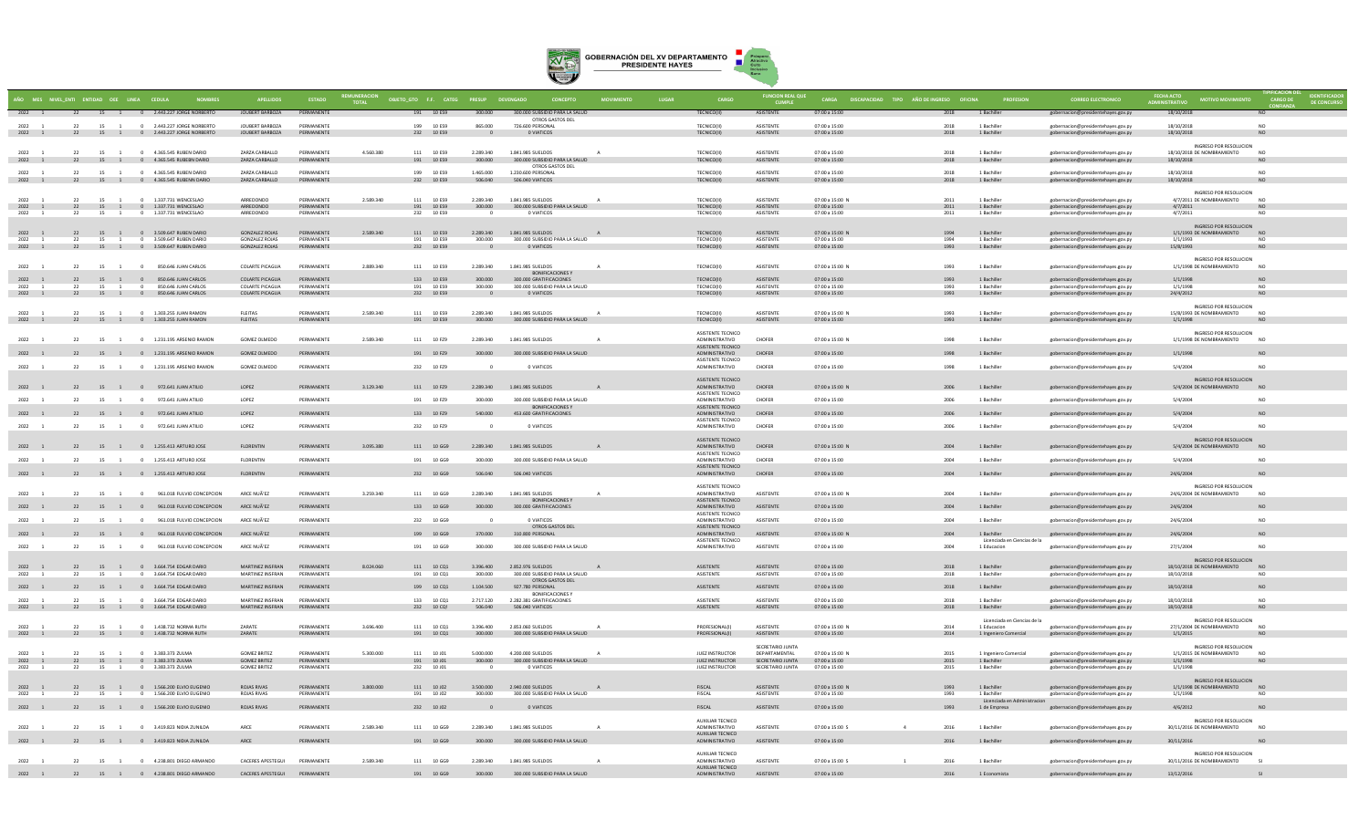

|                      |    |                      | AÑO MES NIVEL_ENTI ENTIDAD OEE LINEA CEDULA                               |                                                |                          |           | OBJETO_GTO F.F. CATEG PRESUP DEVENGADO |                                     |                                                           |              |                                            | <b>FUNCION REAL QUE</b>              |                                         | CARGA DISCAPACIDAD TIPO AÑO DE INGRESO OFICINA |                                             |                                                                               | <b>FECHA ACTO</b><br>IDMINISTRATIVO                   |                              |  |
|----------------------|----|----------------------|---------------------------------------------------------------------------|------------------------------------------------|--------------------------|-----------|----------------------------------------|-------------------------------------|-----------------------------------------------------------|--------------|--------------------------------------------|--------------------------------------|-----------------------------------------|------------------------------------------------|---------------------------------------------|-------------------------------------------------------------------------------|-------------------------------------------------------|------------------------------|--|
| 2022 1               |    |                      | 22 15 1 0 2.443.227 JORGE NORBERTO                                        | JOUBERT BARBOZA                                | PERMANENTE               |           | 191 10 ES9                             | 300.000                             | 300.000 SUBSIDIO PARA LA SALUD<br>OTROS GASTOS DEL        |              | TECNICO(II)                                | ASISTENTE                            | 07:00 a 15:00                           | 2018                                           | 1 Bachiller                                 | gobernacion@presidentehayes.gov.py                                            | 18/10/2018                                            | <b>NO</b>                    |  |
| 2022 1               | 22 |                      | 15 1 0 2.443.227 JORGE NORBERTO                                           | JOUBERT BARBOZA<br>JOUBERT BARBOZA             | PERMANENTE               |           | 199 10 ES9                             | 865,000                             | 726,600 PERSONAL                                          |              | TECNICO(II)                                | <b>ASISTENTE</b>                     | 07:00 a 15:00                           | 2018                                           | 1 Bachiller                                 | gobernacion@presidentehayes.gov.py                                            | 18/10/2018                                            | NO.                          |  |
|                      |    |                      | 2022 1 22 15 1 0 2.443.227 JORGE NORBERTO                                 |                                                | PERMANENTE               |           | 232 10 ES9                             | $\overline{0}$                      | O VIATICOS                                                |              | TECNICO(II)                                | ASISTENTE                            | 07:00 a 15:00                           | 2018                                           | 1 Bachiller                                 | gobernacion@presidentehayes.gov.py                                            | 18/10/2018<br>INGRESO POR RESOLUCION                  | NO.                          |  |
| 2022                 |    |                      | 22 15 1 0 4.365.545 RUBEN DARIO                                           | ZARZA CARBALLO                                 | PERMANENTE               | 4.560.380 | 111 10 ES9                             | 2.289.340                           | 1,841,985 SUELDOS                                         |              | <b>TECNICO(II)</b>                         | <b>ASISTENTE</b>                     | 07:00 a 15:00                           | 2018                                           | 1 Bachille                                  | gobernacion@presidentehayes.gov.py                                            | 18/10/2018 DE NOMBRAMIENTO                            | N <sub>0</sub>               |  |
|                      |    |                      | 2022 1 22 15 1 0 4.365.545 RUBEBN DARIO                                   | ZARZA CARRALLO                                 | PERMANENTE               |           | 191 10 ES9                             | 300.000                             | 300.000 SUBSIDIO PARA LA SALUD<br>OTROS GASTOS DEL        |              | TECNICO(II)                                | ASISTENTE                            | 07:00 a 15:00                           | 2018                                           | 1 Bachiller                                 | gobernacion@presidentehayes.gov.py                                            | 18/10/2018                                            | NO.                          |  |
| $2022 - 1$           |    |                      | 22 15 1 0 4365 545 RUREN DARIO<br>2022 1 22 15 1 0 4.365.545 RUBENN DARIO | ZARZA CARRALLO<br>ZARZA CARRALLO               | PERMANENTE<br>PERMANENTE |           | 199 10 FS9<br>232 10 ES9               | 1.465.000<br>506,040                | 1.230.600 PERSONAL<br>506,040 VIATICOS                    |              | <b>TECNICO(II)</b><br>TECNICO(II)          | <b>ASISTENTE</b><br>ASISTENTE        | $07:00 \times 15:00$<br>07:00 a 15:00   | 2018<br>2018                                   | 1 Bachiller<br>1 Rachiller                  | gobernacion@presidentehayes.gov.py<br>gobernacion@presidentehayes.gov.py      | 18/10/2018<br>18/10/2018                              | NO.<br>NO.                   |  |
|                      |    |                      |                                                                           |                                                |                          |           |                                        |                                     |                                                           |              |                                            |                                      |                                         |                                                |                                             |                                                                               | INGRESO POR RESOLUCION                                |                              |  |
| 2022                 | 22 |                      | 15 1 0 1.337.731 WENCESLAC<br>2022 1 22 15 1 0 1.337.731 WENCESLAO        | ARREDONDO<br>ARREDONDO                         | PERMANENTE<br>PERMANENTE | 2.589.340 | 111 10 ES9<br>191 10 ES9               | 2.289.340<br>300.000                | 1,841,985 SUELDOS<br>300.000 SUBSIDIO PARA LA SALUD       |              | <b>TECNICO(II)</b><br>TECNICO(II)          | <b>ASISTENTE</b><br>ASISTENTE        | 07:00 a 15:00 M<br>07:00 a 15:00        | 2011<br>2011                                   | 1 Bachille<br>1 Bachiller                   | gobernacion@presidentehayes.gov.py<br>gobernacion@presidentehayes.gov.py      | 4/7/2011 DE NOMBRAMIENTO<br>4/7/2011                  | <b>NO</b>                    |  |
| 2022                 |    | 15                   | 0 1.337.731 WENCESLAO                                                     | ARREDONDO                                      | PERMANENTE               |           | 232 10 ES9                             |                                     | 0 VIATICOS                                                |              | <b>TECNICO(II)</b>                         | <b>ASISTENTE</b>                     | 07:00 a 15:00                           | 2011                                           | 1 Bachille                                  | gobernacion@presidentehayes.gov.py                                            | 4/7/2011                                              | NO <sub>1</sub>              |  |
| 2022 1               |    |                      | 22 15 1 0 3.509.647 RUBEN DARIO                                           | GONZALEZ ROJAS                                 | PERMANENTE               | 2,589,340 | 111 10 ES9                             |                                     | 2.289.340 1.841.985 SUELDOS                               | A            | TECNICO(II)                                | <b>ASISTENTE</b>                     | $07:00 \times 15:00 N$                  | 1994                                           | 1 Bachiller                                 | gobernacion@presidentehayes.gov.py                                            | INGRESO POR RESOLUCION<br>1/1/1993 DE NOMBRAMIENTO NO |                              |  |
| 2022<br>2022 1       | 22 | 15<br>$\overline{1}$ | 0 3.509.647 RUBEN DARIO<br>22 15 1 0 3.509.647 RUBEN DARIO                | <b>GONZALEZ ROJAS</b><br><b>GONZALEZ ROJAS</b> | PERMANENTE<br>PERMANENTE |           | 191 10 ES9<br>232 10 ES9               | 300,000<br>$\overline{\phantom{0}}$ | 300,000 SUBSIDIO PARA LA SALUD<br>O VIATICOS              |              | TECNICO(II)<br>TECNICO(II)                 | ASISTENTE<br>ASISTENTE               | 07:00 a 15:00<br>07:00 a 15:00          | 1994<br>1993                                   | 1 Bachiller<br>1 Bachiller                  | gobernacion@presidentehayes.gov.py<br>gobernacion@presidentehayes.gov.py      | 1/1/1993<br>15/8/1993                                 | NΩ<br>NO                     |  |
|                      |    |                      |                                                                           |                                                |                          |           |                                        |                                     |                                                           |              |                                            |                                      |                                         |                                                |                                             |                                                                               | INGRESO POR RESOLUCION                                |                              |  |
| 2022                 | 22 |                      | 15 1 0 850.646 JUAN CARLOS                                                | <b>COLARTE PICAGUA</b>                         | PERMANENTE               | 2.889.340 | 111 10 ES9                             | 2.289.340                           | 1.841.985 SUELDOS<br>BONIFICACIONES Y                     |              | <b>TECNICO(II)</b>                         | <b>ASISTENTE</b>                     | 07:00 a 15:00 M                         | 1993                                           | 1 Bachille                                  | gobernacion@presidentehayes.gov.py                                            | 1/1/1998 DE NOMBRAMIENTO                              | N <sub>O</sub>               |  |
| 2022 1               |    |                      | 22 15 1 0 850.646 JUAN CARLOS                                             | COLARTE PICAGUA                                | PERMANENTE               |           | 133 10 ES9                             | 300,000                             | 300.000 GRATIFICACIONES                                   |              | <b>TECNICO(II)</b>                         | <b>ASISTENTE</b>                     | 07:00 a 15:00                           | 1993                                           | 1 Bachiller                                 | gobernacion@presidentehayes.gov.py                                            | 1/1/1998                                              | <b>NO</b>                    |  |
| 2022<br>2022 1       | 22 | 15<br>$\overline{1}$ | 850 646 IUAN CARLOS<br>$^{\circ}$<br>22 15 1 0 850.646 JUAN CARLOS        | COLARTE PICAGUA<br>COLARTE PICAGUA             | PERMANENTE<br>PERMANENTE |           | 191 10 FS9<br>232 10 ES9               | 300,000<br>$\overline{\phantom{0}}$ | 300,000 SUBSIDIO PARA LA SALUD<br>O VIATICOS              |              | <b>TECNICO(II)</b><br>TECNICO(II)          | <b>ASISTENTE</b><br>ASISTENTE        | 07:00 a 15:00<br>$07:00 \times 15:00$   | 1003<br>1993                                   | 1 Bachiller<br>1 Rachiller                  | -<br>gobernacion@presidentehayes.gov.py<br>gobernacion@presidentehayes.gov.py | 1/1/1998<br>24/4/2012                                 | NO <sub>1</sub><br><b>NO</b> |  |
|                      |    |                      |                                                                           |                                                |                          |           |                                        |                                     |                                                           |              |                                            |                                      |                                         |                                                |                                             |                                                                               | INGRESO POR RESOLUCION                                |                              |  |
| 2022 1               |    |                      | 22 15 1 0 1.303.255 JUAN RAMON<br>2022 1 22 15 1 0 1.303.255 JUAN RAMON   | <b>FLEITAS</b><br><b>FLEITAS</b>               | PERMANENT<br>PERMANENTE  | 2.589.340 | 111 10 ES9<br>191 10 ES9               | 2.289.340<br>300.000                | 1.841.985 SUELDOS<br>300.000 SUBSIDIO PARA LA SALUD       |              | <b>TECNICO(II)</b><br>TECNICO(II)          | ASISTENTE<br>ASISTENTE               | 07:00 a 15:00 M<br>07:00 a 15:00        | 1993<br>1993                                   | 1 Bachille<br>1 Bachiller                   | gobernacion@presidentehayes.gov.py<br>gobernacion@presidentehayes.gov.py      | 15/8/1993 DE NOMBRAMIENTO<br>1/1/1998                 | <b>NO</b>                    |  |
|                      |    |                      |                                                                           |                                                |                          |           |                                        |                                     |                                                           |              | ASISTENTE TECNICO                          |                                      |                                         |                                                |                                             |                                                                               | INGRESO POR RESOLUCION                                |                              |  |
| 2022 1               |    |                      | 22 15 1 0 1.231.195 ARSENIO RAMON                                         | GOMEZ OLMEDO                                   | PERMANENTE               | 2.589.340 | 111 10 FZ9                             | 2.289.340                           | 1.841.985 SUELDOS                                         |              | ADMINISTRATIVO<br>ASISTENTE TECNICO        | CHOFFR                               | 07:00 a 15:00 N                         | 1998                                           | 1 Bachiller                                 | gobernacion@presidentehayes.gov.py                                            | 1/1/1998 DE NOMBRAMIENTO                              | NO <sub>1</sub>              |  |
| 2022 1               |    |                      | 22 15 1 0 1.231.195 ARSENIO RAMON                                         | GOMEZ OLMEDO                                   | PERMANENTE               |           | 191 10 FZ9                             | 300,000                             | 300,000 SUBSIDIO PARA LA SALUD                            |              | ADMINISTRATIVO<br><b>ASISTENTE TECNICO</b> | CHOFER                               | 07:00 a 15:00                           | 1998                                           | 1 Bachiller                                 | gobernacion@presidentehayes.gov.py                                            | 1/1/1998                                              | NO                           |  |
| 2022 1               | 22 |                      | 15 1 0 1.231.195 ARSENIO RAMON                                            | <b>GOMEZ OLMEDO</b>                            | PERMANENTE               |           | 232 10 FZ9                             |                                     | 0 VIATICOS                                                |              | ADMINISTRATIVO                             | CHOFER                               | 07:00 a 15:00                           | 1998                                           | 1 Bachille                                  | gobernacion@presidentehayes.gov.py                                            | 5/4/2004                                              | NO                           |  |
|                      |    |                      |                                                                           |                                                |                          |           |                                        |                                     |                                                           |              | ASISTENTE TECNICO                          |                                      |                                         |                                                |                                             |                                                                               | INGRESO POR RESOLUCION                                |                              |  |
| 2022 1               |    |                      | 22 15 1 0 972.641 JUAN ATILIO                                             | LOPEZ                                          | PERMANENTE               | 3.129.340 | 111 10 FZ9                             |                                     | 2.289.340 1.841.985 SUELDOS                               |              | ADMINISTRATIVO<br>ASISTENTE TECNICO        | CHOFER                               | 07:00 a 15:00 N                         | 2006                                           | 1 Bachiller                                 | gobernacion@presidentehayes.gov.py                                            | 5/4/2004 DE NOMBRAMIENTO                              | <b>NO</b>                    |  |
| 2022                 | 22 | 15 1                 | 0 972 641 ILIAN ATILIO                                                    | LOPEZ                                          | PERMANENTE               |           | 191 10 F79                             | 300,000                             | 300.000 SUBSIDIO PARA LA SALUD<br><b>BONIFICACIONES Y</b> |              | ADMINISTRATIVO<br><b>ASISTENTE TECNICO</b> | CHOFFR                               | $07:00 \times 15:00$                    | 2006                                           | 1 Bachille                                  | gobernacion@presidentehayes.gov.py                                            | 5/4/2004                                              | NO.                          |  |
| 2022 1               |    |                      | 22 15 1 0 972.641 JUAN ATILIO                                             | LOPEZ                                          | PERMANENTE               |           | 133 10 FZ9                             | 540,000                             | 453,600 GRATIFICACIONES                                   |              | ADMINISTRATIVO<br><b>ASISTENTE TECNICO</b> | CHOFER                               | 07:00 a 15:00                           | 2006                                           | 1 Bachiller                                 | gobernacion@presidentehayes.gov.py                                            | 5/4/2004                                              | NO <sub>1</sub>              |  |
| 2022 1               |    |                      | 22 15 1 0 972.641 JUAN ATILIC                                             | LOPEZ                                          | PERMANENT                |           | 232 10 FZ9                             |                                     | 0 VIATICOS                                                |              | ADMINISTRATIVO                             | CHOFER                               | 07:00 a 15:00                           | 2006                                           | 1 Bachille                                  | gobernacion@presidentehayes.gov.py                                            | 5/4/2004                                              | NO.                          |  |
| 2022 1               |    |                      | 22 15 1 0 1.255.413 ARTURO JOSE                                           | <b>FLORENTIN</b>                               | PERMANENTE               | 3.095.380 | 111 10 GG9                             | 2.289.340                           | 1.841.985 SUELDOS<br>$\overline{A}$                       |              | ASISTENTE TECNICO<br>ADMINISTRATIVO        | CHOFER                               | 07:00 a 15:00 N                         | 2004                                           | 1 Bachiller                                 | gobernacion@presidentehayes.gov.py                                            | INGRESO POR RESOLUCION<br>5/4/2004 DE NOMBRAMIENTO    | NO                           |  |
| 2022                 | 22 | 15 1                 | 0 1.255.413 ARTURO IOSE                                                   | <b>FLORENTIN</b>                               | PERMANENTE               |           | 191 10 GG9                             | 300,000                             | 300,000 SURSIDIO PARA LA SALUD                            |              | ASISTENTE TECNICO<br>ADMINISTRATIVO        | CHOFFR                               | $07:00 \times 15:00$                    | 2004                                           | 1 Bachiller                                 | gobernacion@presidentehayes.gov.py                                            | 5/4/2004                                              | NO.                          |  |
|                      |    |                      | 2022 1 22 15 1 0 1.255.413 ARTURO JOSE                                    | FLORENTIN                                      | PERMANENTE               |           | 232 10 GG9                             | 506.040                             | 506.040 VIATICOS                                          |              | <b>ASISTENTE TECNICO</b><br>ADMINISTRATIVO | CHOFER                               | 07:00 a 15:00                           | 2004                                           | 1 Bachiller                                 | gobernacion@presidentehayes.gov.py                                            | 24/6/2004                                             | <b>NO</b>                    |  |
|                      |    |                      |                                                                           |                                                |                          |           |                                        |                                     |                                                           |              | ASISTENTE TECNICO                          |                                      |                                         |                                                |                                             |                                                                               | INGRESO POR RESOLUCION                                |                              |  |
| 2022 1               | 22 | 15 1                 | 0 961.018 FULVIO CONCEPCION                                               | ARCE NUÃ'EZ                                    | PERMANENTE               | 3.259.340 | 111 10 GG9                             | 2.289.340                           | 1,841,985 SUELDOS<br>BONIFICACIONES Y                     |              | ADMINISTRATIVO                             | <b>ASISTENTE</b>                     | 07:00 a 15:00 N                         | 2004                                           | 1 Bachiller                                 | gobernacion@presidentehayes.gov.py                                            | 24/6/2004 DE NOMBRAMIENTO                             | N <sub>O</sub>               |  |
| 2022 1               |    |                      | 22 15 1 0 961.018 FULVIO CONCEPCION                                       | ARCE NUÃ'EZ                                    | PERMANENTE               |           | 133 10 GG9                             | 300,000                             | 300.000 GRATIFICACIONES                                   |              | ASISTENTE TECNICO<br>ADMINISTRATIVO        | ASISTENTE                            | 07:00 a 15:00                           | 2004                                           | 1 Bachiller                                 | gobernacion@presidentehayes.gov.py                                            | 24/6/2004                                             | N <sub>0</sub>               |  |
| 2022                 | 22 | 15 1                 | 0 961.018 FULVIO CONCEPCION                                               | ARCE NUA'EZ                                    | PERMANENTE               |           | 232 10 GG9                             | $\Omega$                            | O VIATICOS                                                |              | ASISTENTE TECNICO<br>ADMINISTRATIVO        | ASISTENTE                            | 07:00 a 15:00                           | 2004                                           | 1 Bachiller                                 | gobernacion@presidentehayes.gov.py                                            | 24/6/2004                                             | NO.                          |  |
| 2022 1               |    |                      | 22 15 1 0 961.018 FULVIO CONCEPCION                                       | ARCE NUÃ'EZ                                    | PERMANENTE               |           | 199 10 GG9                             | 370.000                             | OTROS GASTOS DEL<br>310.800 PERSONAL                      |              | ASISTENTE TECNICO<br>ADMINISTRATIVO        | ASISTENTE                            | 07:00 a 15:00 N                         | 2004                                           | 1 Bachiller                                 | gobernacion@presidentehayes.gov.py                                            | 24/6/2004                                             | N <sub>O</sub>               |  |
| 2022 1               | 22 |                      | 15 1 0 961.018 FULVIO CONCEPCION                                          | ARCE NUÃ'EZ                                    | PERMANENTE               |           | 191 10 GG9                             | 300,000                             | 300,000 SUBSIDIO PARA LA SALUD                            |              | ASISTENTE TECNICO<br>ADMINISTRATIVO        | ASISTENTE                            | 07:00 a 15:00                           | 2004                                           | Licenciada en Ciencias de la<br>1 Educacion | gobernacion@presidentehayes.gov.py                                            | 27/1/2004                                             | NO.                          |  |
|                      |    |                      |                                                                           |                                                |                          |           |                                        |                                     |                                                           |              |                                            |                                      |                                         |                                                |                                             |                                                                               | INGRESO POR RESOLUCION                                |                              |  |
| 2022 1<br>$2022 - 1$ |    |                      | 22 15 1 0 3.664.754 EDGAR DARIO<br>22 15 1 0 3.664.754 EDGAR DARIO        | MARTINEZ INSERAN<br>MARTINEZ INSERAN           | PERMANENTE<br>PERMANENTE | 8.024.060 | 111 10 CO1<br>191 10 001               | 3,396,400<br>300,000                | 2.852.976 SUELDOS<br>300,000 SUBSIDIO PARA LA SALUD       |              | ASISTENTE<br><b>ASISTENTE</b>              | <b>ASISTENTE</b><br><b>ASISTENTE</b> | 07:00 a 15:00<br>$07:00 \times 15:00$   | 2018<br>2018                                   | 1 Bachiller<br>1 Bachiller                  | gobernacion@presidentehayes.gov.py<br>gobernacion@presidentehayes.gov.py      | 18/10/2018 DE NOMBRAMIENTO<br>18/10/2018              | NO.<br>N <sub>O</sub>        |  |
| 2022 1               |    |                      | 22 15 1 0 3.664.754 EDGAR DARIO                                           | MARTINEZ INSFRAN                               | PERMANENTE               |           | 199 10 CQ1                             | 1.104.500                           | OTROS GASTOS DEL<br>927.780 PERSONAL                      |              | ASISTENTE                                  | ASISTENTE                            | 07:00 a 15:00                           | 2018                                           | 1 Bachiller                                 | gobernacion@presidentehayes.gov.py                                            | 18/10/2018                                            | <b>NO</b>                    |  |
| 2022 1               |    |                      | 22 15 1 0 3.664.754 EDGAR DARIO                                           | MARTINEZ INSFRAN                               | PERMANENTE               |           | 133 10 CO1                             | 2.717.120                           | <b>BONIFICACIONES</b><br>2.282.381 GRATIFICACIONES        |              | <b>ASISTENTE</b>                           | <b>ASISTENTE</b>                     | 07:00 a 15:00                           | 2018                                           | 1 Bachille                                  | gobernacion@presidentehayes.gov.py                                            | 18/10/2018                                            | NO.                          |  |
|                      |    |                      | 2022 1 22 15 1 0 3.664.754 EDGAR DARIO                                    | MARTINEZ INSFRAN                               | PERMANENTE               |           | 232 10 CQ!                             | 506,040                             | 506,040 VIATICOS                                          |              | ASISTENTE                                  | <b>ASISTENTE</b>                     | 07:00 a 15:00                           | 2018                                           | 1 Bachiller                                 | gobernacion@presidentehayes.gov.py                                            | 18/10/2018                                            | NO                           |  |
|                      |    |                      |                                                                           |                                                |                          |           |                                        |                                     |                                                           |              |                                            |                                      |                                         |                                                | Licenciada en Ciencias de la                |                                                                               | INGRESO POR RESOLUCION                                |                              |  |
| $2022 - 1$           |    |                      | 22 15 1 0 1.438.732 NORMA RUTH<br>2022 1 22 15 1 0 1.438.732 NORMA RUTH   | <b>ZARATE</b><br>ZARATE                        | PERMANENTE<br>PERMANENTE | 3.696.400 | 111 10 001<br>191 10 CQ1               | 3.396.400<br>300,000                | 2.853.060. SUELDOS<br>300,000 SUBSIDIO PARA LA SALUD      |              | PROFESIONAL(I)<br>PROFESIONAL(I)           | <b>ASISTENTE</b><br>ASISTENTE        | $07:00 \times 15:00 N$<br>07:00 a 15:00 | 2014<br>2014                                   | 1 Educacion<br>1 Ingeniero Comercial        | eobernacion@presidentehayes.gov.py<br>gobernacion@presidentehayes.gov.py      | 27/1/2004 DE NOMBRAMIENTO<br>1/1/2015                 | N <sub>0</sub><br><b>NO</b>  |  |
|                      |    |                      |                                                                           |                                                |                          |           |                                        |                                     |                                                           |              |                                            | SECRETARIO JUNTA                     |                                         |                                                |                                             |                                                                               | INGRESO POR RESOLUCION                                |                              |  |
| 2022<br>2022 1       | 22 |                      | 15 1 0 3.383.373 ZULMA<br>22 15 1 0 3.383.373 ZULMA                       | <b>GOMEZ BRITEZ</b><br><b>GOMEZ BRITEZ</b>     | PERMANENTE<br>PERMANENTE | 5.300.000 | 111 10 J01<br>191 10 J01               | 5.000.000<br>300.000                | 4.200.000 SUELDOS<br>300.000 SUBSIDIO PARA LA SALUD       |              | JUEZ INSTRUCTOR<br>JUEZ INSTRUCTOR         | DEPARTAMENTAL<br>SECRETARIO JUNTA    | 07:00 a 15:00 N<br>07:00 a 15:00        | 2015<br>2015                                   | 1 Ingeniero Comercial<br>1 Bachiller        | gobernacion@presidentehayes.gov.py<br>gobernacion@presidentehayes.gov.py      | 1/1/2015 DE NOMBRAMIENTO<br>1/1/1998                  | N <sub>c</sub><br><b>NO</b>  |  |
| 2022                 | 22 | 15<br>$\overline{1}$ | 0 3.383.373 ZULMA                                                         | <b>GOMEZ BRITEZ</b>                            | PERMANENTE               |           | 232 10 J01                             |                                     | 0 VIATICOS                                                |              | JUEZ INSTRUCTOR                            | SECRETARIO JUNTA                     | 07:00 a 15:00                           | 2015                                           | 1 Bachille                                  | gobernacion@presidentehayes.gov.py                                            | 1/1/1998                                              |                              |  |
| 2022 1               |    |                      | 22 15 1 0 1.566.200 ELVIO EUGENIO                                         | ROJAS RIVAS                                    | PERMANENTE               | 3.800.000 | 111 10 J02                             | 3,500,000                           | 2.940.000 SUELDOS                                         | A            | <b>FISCAL</b>                              | <b>ASISTENTE</b>                     | 07:00 a 15:00 N                         | 1993                                           | 1 Bachiller                                 | gobernacion@presidentehayes.gov.py                                            | INGRESO POR RESOLUCION<br>1/1/1998 DE NOMBRAMIENTO NO |                              |  |
| 2022 1               | 22 | 15 1                 | 0 1.566.200 ELVIO EUGENIO                                                 | <b>ROJAS RIVAS</b>                             | PERMANENTE               |           | 191 10 102                             | 300,000                             | 300,000 SUBSIDIO PARA LA SALUD                            |              | <b>FISCAL</b>                              | ASISTENTE                            | 07:00 a 15:00                           | 1993                                           | 1 Bachiller<br>Licenciada en Administracion | gobernacion@presidentehayes.gov.py                                            | 1/1/1998                                              | NO                           |  |
| 2022 1               |    |                      | 22 15 1 0 1.566.200 ELVIO EUGENIO                                         | <b>ROJAS RIVAS</b>                             | PERMANENTE               |           | 232 10 J02                             |                                     | 0 VIATICOS                                                |              | FISCAL                                     | <b>ASISTENTE</b>                     | 07:00 a 15:00                           | 1993                                           | 1 de Empresa                                | gobernacion@presidentehayes.gov.py                                            | 4/6/2012                                              | <b>NO</b>                    |  |
|                      |    |                      |                                                                           |                                                |                          |           |                                        |                                     |                                                           |              | <b>AUXILIAR TECNICO</b>                    |                                      |                                         |                                                |                                             |                                                                               | INGRESO POR RESOLUCION                                |                              |  |
| 2022 1               |    |                      | 22 15 1 0 3.419.823 NIDIA ZUNILDA                                         | ARCE                                           | PERMANENTE               | 2.589.340 | 111 10 GG9                             | 2.289.340                           | 1.841.985 SUELDOS                                         | $\mathbf{A}$ | ADMINISTRATIVO<br>AUXILIAR TECNICO         | <b>ASISTENTE</b>                     | 07:00 a 15:00 S                         | 2016                                           | 1 Bachiller                                 | gobernacion@presidentehayes.gov.py                                            | 30/11/2016 DE NOMBRAMIENTO                            | N <sub>O</sub>               |  |
| 2022 1               |    |                      | 22 15 1 0 3.419.823 NIDIA ZUNILDA                                         | ARCE                                           | PERMANENTE               |           | 191 10 GG9                             | 300,000                             | 300,000 SUBSIDIO PARA LA SALUD                            |              | ADMINISTRATIVO                             | ASISTENTE                            | 07:00 a 15:00                           | 2016                                           | 1 Bachiller                                 | gobernacion@presidentehayes.gov.py                                            | 30/11/2016                                            | NO <sub>1</sub>              |  |
| 2022                 | 22 |                      | 15 1 0 4.238.801 DIEGO ARMANDO                                            | CACERES APESTEGUI                              | PERMANENTE               | 2.589.340 | 111 10 GG9                             | 2.289.340                           | 1.841.985 SUELDOS                                         |              | <b>AUXILIAR TECNICO</b><br>ADMINISTRATIVO  | <b>ASISTENTE</b>                     | 07:00 a 15:00 S                         | 2016                                           | 1 Bachille                                  | gobernacion@presidentehayes.gov.py                                            | INGRESO POR RESOLUCION<br>30/11/2016 DE NOMBRAMIENTO  |                              |  |
|                      |    |                      | 22 15 1 0 4.238.801 DIEGO ARMANDO                                         | <b>CACERES APESTEGUI</b>                       | PERMANENT                |           | 191 10 GG9                             | 300,000                             | 300.000 SUBSIDIO PARA LA SALUD                            |              | <b>AUXILIAR TECNICO</b><br>ADMINISTRATIVO  | ASISTENTE                            | 07:00 a 15:00                           | 2016                                           | 1 Economista                                | gobernacion@presidentehayes.gov.py                                            | 13/12/2016                                            |                              |  |
|                      |    |                      |                                                                           |                                                |                          |           |                                        |                                     |                                                           |              |                                            |                                      |                                         |                                                |                                             |                                                                               |                                                       |                              |  |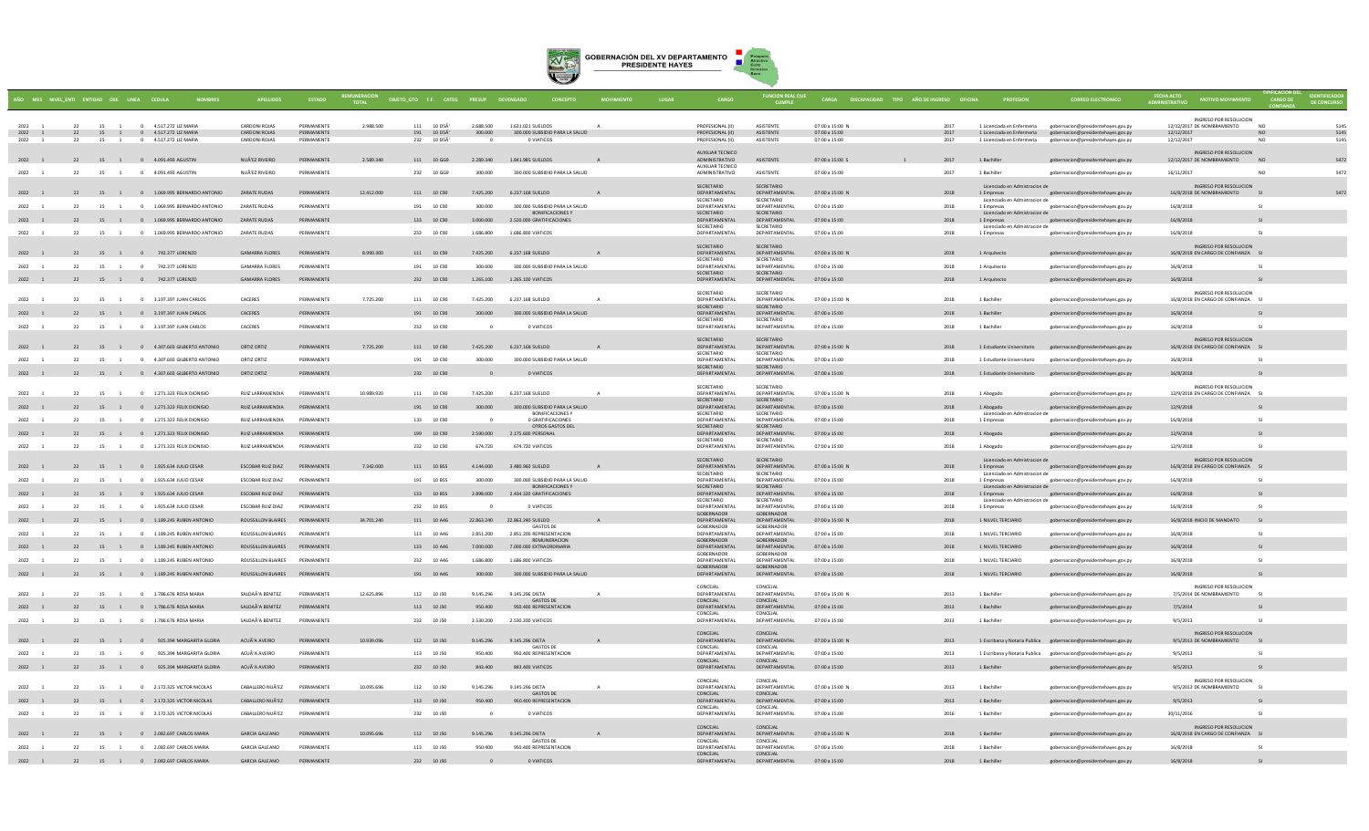

|                                  |    |          |                | AÑO MES NIVEL ENTI ENTIDAD OEE LINEA CEDULA         |                                       |                               |            | OBJETO_GTO F.F. CATEG PRESUP |            |                                                           |              |                                           |                                      |                                | CARGA DISCAPACIDAD TIPO AÑO DE INGRESO OFICINA |                                             |                                                                                                     |                         |                                                                     |                        | <b>DE CONCURSO</b> |
|----------------------------------|----|----------|----------------|-----------------------------------------------------|---------------------------------------|-------------------------------|------------|------------------------------|------------|-----------------------------------------------------------|--------------|-------------------------------------------|--------------------------------------|--------------------------------|------------------------------------------------|---------------------------------------------|-----------------------------------------------------------------------------------------------------|-------------------------|---------------------------------------------------------------------|------------------------|--------------------|
|                                  |    |          |                |                                                     |                                       |                               |            |                              |            |                                                           |              |                                           |                                      |                                |                                                |                                             |                                                                                                     |                         | INGRESO POR RESOLUCION                                              |                        |                    |
| 2022                             | 22 |          | 15 1           | 0 4 517 272 117 MARIA                               | <b>CARDONI ROIAS</b>                  | PERMANENTE                    | 2.988.500  | 111 10 DSA                   | 2.688.500  | 1.631.021.SUELDOS                                         |              | PROFESIONAL (II)                          | <b>ASISTENTE</b>                     | $07:00 \times 15:00 N$         | 2017                                           | 1 Licenciada en Enfermeria                  | gobernacion@presidentebayes.gov.ny                                                                  |                         | 12/12/2017 DE NOMRRAMIENTO                                          | NO <sub>1</sub>        | 5145               |
| 2022 1<br>2022                   | 22 | 22<br>15 | $\overline{1}$ | 15 1 0 4.517.272 LIZ MARIA<br>0 4.517.272 LIZ MARIA | CARDONI ROJAS<br><b>CARDONI ROJAS</b> | PERMANENTE<br>PERMANENTE      |            | 191 10 D5A'<br>232 10 D5A    | 300.000    | 300,000 SUBSIDIO PARA LA SALUD<br>O VIATICOS              |              | PROFESIONAL (II)<br>PROFESIONAL (II)      | <b>ASISTENTE</b><br><b>ASISTENTE</b> | 07:00 a 15:00<br>07:00 a 15:00 | 2017<br>2017                                   | 1 Licenciada en Enfermeria                  | 1 Licenciada en Enfermeria gobernacion@presidentehayes.gov.py<br>gobernacion@presidentehayes.gov.py | 12/12/2017<br>12/12/201 |                                                                     | <b>NO</b><br><b>NO</b> | 514<br>514         |
|                                  |    |          |                |                                                     |                                       |                               |            |                              |            |                                                           |              | AUXILIAR TECNICO                          |                                      |                                |                                                |                                             |                                                                                                     |                         | <b>INGRESO POR RESOLUCION</b>                                       |                        |                    |
| 2022 1                           |    |          |                | 22 15 1 0 4.091.493 AGUSTIN                         | NUÃ'EZ RIVEIRO                        | PERMANENTE                    | 2.589.340  | 111 10 GG9                   |            | 2.289.340 1.841.985 SUELDOS                               |              | ADMINISTRATIVO                            | ASISTENTE                            | 07:00 a 15:00 S                | 2017                                           | 1 Bachiller                                 | gobernacion@presidentehayes.gov.py                                                                  |                         | 12/12/2017 DE NOMBRAMIENTO                                          | <b>NO</b>              |                    |
| 2022<br>$\overline{\phantom{a}}$ | 22 |          | 15 1           | 0 4.091.493 AGUSTIN                                 | NUÃ'EZ RIVEIRO                        | PERMANENTE                    |            | 232 10 GG9                   | 300,000    | 300,000 SUBSIDIO PARA LA SALUD                            |              | <b>AUXILIAR TECNICO</b><br>ADMINISTRATIVO | <b>ASISTENTE</b>                     | 07:00 a 15:00                  | 2017                                           | 1 Bachiller                                 | gobernacion@presidentehaves.gov.pv                                                                  | 16/11/2017              |                                                                     | <b>NO</b>              | 547                |
|                                  |    |          |                |                                                     |                                       |                               |            |                              |            |                                                           |              | SECRETARIO                                | SECRETARIO                           |                                |                                                | Licenciado en Admistracion de               |                                                                                                     |                         | INGRESO POR RESOLUCION                                              |                        |                    |
| 2022 1                           |    |          |                | 22 15 1 0 1.069.995 BERNARDO ANTONIO                | ZARATE RUDAS                          | PERMANENTE                    | 12.412.000 | 111 10 C90                   | 7.425.200  | 6.237.168 SUELDO                                          |              | DEPARTAMENTAL<br>SECRETARIO               | DEPARTAMENTAL<br>SECRETARIO          | 07:00 a 15:00 N                | 2018                                           | 1 Empresas<br>Licenciado en Admistracion de | gobernacion@presidentehayes.gov.py                                                                  |                         | 16/8/2018 DE NOMBRAMIENTO                                           |                        |                    |
| 2022                             |    | 22       |                | 15 1 0 1.069.995 BERNARDO ANTONIC                   | ZARATE RUDAS                          | PERMANENTE                    |            | 191 10 C90                   | 300,000    | 300,000 SUBSIDIO PARA LA SALUD                            |              | DEPARTAMENTAL                             | DEPARTAMENTAL                        | 07:00 a 15:00                  | 2018                                           | 1 Empresas                                  | gobernacion@presidentehayes.gov.py                                                                  | 16/8/2018               |                                                                     | S1                     |                    |
| 2022 1                           |    |          |                | 22 15 1 0 1.069.995 BERNARDO ANTONIO                | ZARATE RUDAS                          | PERMANENTE                    |            | 133 10 C90                   | 3.000.000  | <b>BONIFICACIONES Y</b><br>2.520.000 GRATIFICACIONES      |              | SECRETARIO<br>DEPARTAMENTAL               | SECRETARIO<br>DEPARTAMENTAL          | 07:00 a 15:00                  | 2018                                           | Licenciado en Admistracion de<br>1 Empresas | gobernacion@presidentehayes.gov.py                                                                  | 16/8/2018               |                                                                     |                        |                    |
| 2022                             |    | 22       |                | 15 1 0 1.069.995 BERNARDO ANTONIO                   | ZARATE RUDAS                          | PERMANENTE                    |            | 232 10 C90                   | 1.686.800  | 1,686,800 VIATICOS                                        |              | SECRETARIO<br>DEPARTAMENTA                | SECRETARIO<br>DEPARTAMENTAL          | 07:00 a 15:00                  | 2018                                           | Licenciado en Admistracion de<br>1 Empresas | gobernacion@presidentehayes.gov.py                                                                  | 16/8/2018               |                                                                     | S1                     |                    |
|                                  |    |          |                |                                                     |                                       |                               |            |                              |            |                                                           |              | SECRETARIO                                | <b>SECRETARIO</b>                    |                                |                                                |                                             |                                                                                                     |                         | INGRESO POR RESOLUCION                                              |                        |                    |
| 2022 1                           |    |          |                | 22 15 1 0 742.377 LORENZO                           | <b>GAMARRA FLORES</b>                 | PERMANENTE                    | 8.990.300  | 111 10 C90                   | 7.425.200  | 6.237.168 SUELDO                                          |              | DEPARTAMENTAL                             | DEPARTAMENTAL                        | 07:00 a 15:00 N                | 2018                                           | 1 Arquitecto                                | gobernacion@presidentehayes.gov.py                                                                  |                         | 16/8/2018 EN CARGO DE CONFIANZA SI                                  |                        |                    |
| 2022                             |    | 22       |                | 15 1 0 742.377 LORENZO                              | GAMARRA FLORES                        | <b>DERMANENTE</b>             |            | 191 10 090                   | 300,000    | 300,000 SUBSIDIO PARA LA SALUD                            |              | SECRETARIO<br>DEPARTAMENTAL               | SECRETARIO<br>DEPARTAMENTAL          | 07:00 a 15:00                  | 2018                                           | 1 Arquitecto                                | gobernacion@presidentehayes.gov.py                                                                  | 16/8/2018               |                                                                     | $\mathsf{C}$           |                    |
| 2022 1                           |    |          |                | 22 15 1 0 742.377 LORENZO                           | <b>GAMARRA FLORES</b>                 | PERMANENTE                    |            | 232 10 C90                   | 1.265.100  | 1.265.100 VIATICOS                                        |              | SECRETARIO<br>DEPARTAMENTAL               | SECRETARIO<br>DEPARTAMENTAL          | 07:00 a 15:00                  | 2018                                           | 1 Arquitecto                                | gobernacion@presidentehayes.gov.py                                                                  | 16/8/2018               |                                                                     |                        |                    |
|                                  |    |          |                |                                                     |                                       |                               |            |                              |            |                                                           |              | SECRETARIO                                | SECRETARIO                           |                                |                                                |                                             |                                                                                                     |                         | INGRESO POR RESOLUCION                                              |                        |                    |
| 2022                             |    | 22       |                | 15 1 0 3.197.397 JUAN CARLOS                        | CACERES                               | PERMANENTE                    | 7.725.200  | 111 10 C90                   | 7.425.200  | 6.237.168.SUELDO                                          | $\mathbf{A}$ | DEPARTAMENTAL                             | DEPARTAMENTAL                        | 07:00 a 15:00 N                | 2018                                           | 1 Bachiller                                 | gobernacion@presidentehayes.gov.py                                                                  |                         | 16/8/2018 EN CARGO DE CONFIANZA SI                                  |                        |                    |
| 2022                             |    | 22       |                | 15 1 0 3.197.397 JUAN CARLOS                        | CACERES                               | PERMANENTE                    |            | 191 10 C90                   | 300,000    | 300,000 SUBSIDIO PARA LA SALUD                            |              | SECRETARIO<br>DEPARTAMENTAL               | SECRETARIO<br>DEPARTAMENTAL          | 07:00 a 15:00                  | 2018                                           | 1 Bachiller                                 | gobernacion@presidentehayes.gov.py                                                                  | 16/8/2018               |                                                                     |                        |                    |
| 2022 1                           |    | 22       |                | 15 1 0 3.197.397 JUAN CARLOS                        | CACERES                               | PERMANENTE                    |            | 232 10 C90                   | $\Omega$   | O VIATICOS                                                |              | SECRETARIO<br>DEPARTAMENTAL               | SECRETARIO<br>DEPARTAMENTAL          | 07:00 a 15:00                  | 2018                                           | 1 Bachiller                                 | gobernacion@presidentehayes.gov.py                                                                  | 16/8/2018               |                                                                     | SI.                    |                    |
|                                  |    |          |                |                                                     |                                       |                               |            |                              |            |                                                           |              | SECRETARIO                                | SECRETARIO                           |                                |                                                |                                             |                                                                                                     |                         | INGRESO POR RESOLUCION                                              |                        |                    |
| $2022 - 1$                       |    |          |                | 22 15 1 0 4.307.603 GILBERTO ANTONIO                | ORTIZ ORTIZ                           | PERMANENTE                    | 7.725.200  | 111 10 C90                   |            | 7425 200 6 237 168 SUELDO                                 |              | DEPARTAMENTAL                             | DEPARTAMENTAL                        | 07:00 a 15:00 N                | 2018                                           |                                             | 1 Estudiante Universitario gobernacion@presidentehayes.gov.py                                       |                         | 16/8/2018 EN CARGO DE CONFIANZA SI                                  |                        |                    |
| 2022                             |    | 22<br>15 | $\overline{1}$ | 0 4.307.603 GILBERTO ANTONIO                        | ORTIZ ORTIZ                           | PERMANENTE                    |            | 191 10 C90                   | 300,000    | 300,000 SUBSIDIO PARA LA SALUD                            |              | SECRETARIO<br>DEPARTAMENTAL               | SECRETARIO<br>DEPARTAMENTAL          | 07:00 a 15:00                  | 2018                                           | 1 Estudiante Universitario                  | gobernacion@presidentehaves.gov.pv                                                                  | 16/8/2018               |                                                                     | S1                     |                    |
| $2022 - 1$                       |    |          |                | 22 15 1 0 4.307.603 GILBERTO ANTONIO                | ORTIZ ORTIZ                           | PERMANENTE                    |            | 232 10 C90                   |            | O VIATICOS                                                |              | SECRETARIO<br>DEPARTAMENTAL               | SECRETARIO<br>DEPARTAMENTAL          | 07:00 a 15:00                  | 2018                                           | 1 Estudiante Universitario                  | gobernacion@presidentehayes.gov.py                                                                  | 16/8/2018               |                                                                     |                        |                    |
|                                  |    |          |                |                                                     |                                       |                               |            |                              |            |                                                           |              |                                           |                                      |                                |                                                |                                             |                                                                                                     |                         |                                                                     |                        |                    |
| 2022                             |    | 22       |                | 15 1 0 1.271.323 FELIX DIONISIO                     | RUIZ LARRAMENDIA                      | PERMANENTE                    | 10.989.920 | 111 10 C90                   | 7.425.200  | 6.237.168 SUELDO                                          | $\mathbf{A}$ | SECRETARIO<br>DEPARTAMENTAL               | SECRETARIO<br>DEPARTAMENTAL          | 07:00 a 15:00 N                | 2018                                           | 1 Abogado                                   | gobernacion@presidentehaves.gov.pv                                                                  |                         | <b>INGRESO POR RESOLUCION</b><br>12/9/2018 EN CARGO DE CONFIANZA SI |                        |                    |
| 2022 1                           |    | 22       |                | 15 1 0 1.271.323 FELIX DIONISIO                     | RUIZ LARRAMENDIA                      | PERMANENTE                    |            | 191 10 C90                   | 300,000    | 300.000 SUBSIDIO PARA LA SALUD                            |              | SECRETARIO<br>DEPARTAMENTAL               | SECRETARIO<br>DEPARTAMENTAL          | 07:00 a 15:00                  | 2018                                           | 1 Abogado                                   | gobernacion@presidentehayes.gov.py                                                                  | 12/9/2018               |                                                                     | SI.                    |                    |
| 2022                             |    | 22       | 15 1           | 0 1.271.323 FELIX DIONISIO                          | RUIZ LARRAMENDIA                      | PERMANENTE                    |            | 133 10 C90                   |            | <b>BONIFICACIONES Y</b><br>0 GRATIFICACIONES              |              | SECRETARIO<br>DEPARTAMENTAL               | SECRETARIO<br>DEPARTAMENTAL          | 07:00 a 15:00                  | 2018                                           | Licenciado en Admistracion de<br>1 Empresas | gobernacion@presidentehayes.gov.py                                                                  | 16/8/2018               |                                                                     | S1                     |                    |
|                                  |    |          |                |                                                     |                                       |                               |            |                              |            | OTROS GASTOS DEL                                          |              | SECRETARIO                                | SECRETARIO                           |                                |                                                |                                             |                                                                                                     |                         |                                                                     |                        |                    |
| 2022 1                           |    |          |                | 22 15 1 0 1.271.323 FELIX DIONISIO                  | RUIZ LARRAMENDIA                      | PERMANENTE                    |            | 199 10 C90                   | 2.590.000  | 2.175.600 PERSONAL                                        |              | DEPARTAMENTAL<br>SECRETARIO               | DEPARTAMENTAL<br>SECRETARIO          | 07:00 a 15:00                  | 2018                                           | 1 Abogado                                   | gobernacion@presidentehayes.gov.py                                                                  | 12/9/2018               |                                                                     |                        |                    |
| 2022                             |    | 22       | 15 1           | 0 1.271.323 FELIX DIONISIO                          | RUIZ LARRAMENDIA                      | PERMANENTE                    |            | 232 10 C90                   | 674.720    | 674,720 VIATICOS                                          |              | DEPARTAMENTAL                             | DEPARTAMENTAL                        | 07:00 a 15:00                  | 2018                                           | 1 Abogado                                   | gobernacion@presidentehayes.gov.py                                                                  | 12/9/2018               |                                                                     | S1                     |                    |
| 2022 1                           |    |          |                | 22 15 1 0 1.925.634 JULIO CESAR                     | ESCOBAR RUIZ DIAZ                     | PERMANENTE                    | 7.342.000  | 111 10 B55                   | 4.144.000  | 3.480.960 SUELDO                                          |              | SECRETARIO<br>DEPARTAMENTAL               | <b>SECRETARIO</b><br>DEPARTAMENTAL   | 07:00 a 15:00 N                | 2018                                           | Licenciado en Admistracion de<br>1 Empresas | gobernacion@presidentehayes.gov.py                                                                  |                         | INGRESO POR RESOLUCION<br>16/8/2018 EN CARGO DE CONFIANZA           |                        |                    |
|                                  |    |          |                |                                                     |                                       | <b>DERMANENTE</b>             |            |                              |            |                                                           |              | SECRETARIO<br>DEPARTAMENTAL               | SECRETARIO<br>DEPARTAMENTAL          |                                |                                                | Licenciado en Admistracion de               |                                                                                                     |                         |                                                                     | $\mathsf{C}$           |                    |
| 2022                             |    | 22       |                | 15 1 0 1.925.634 JULIO CESAR                        | <b>ESCOBAR RUIZ DIAZ</b>              |                               |            | 191 10 BSS                   | 300,000    | 300,000 SUBSIDIO PARA LA SALUD<br><b>BONIFICACIONES Y</b> |              | SECRETARIO                                | SECRETARIO                           | $07:00 \times 15:00$           | 2018                                           | 1 Empresas<br>Licenciado en Admistracion de | gobernacion@presidentehayes.gov.py                                                                  | 16/8/2018               |                                                                     |                        |                    |
| 2022 1                           |    | 22       |                | 15 1 0 1.925.634 JULIO CESAR                        | ESCOBAR RUIZ DIAZ                     | PERMANENTE                    |            | 133 10 B55                   | 2,898,000  | 2.434.320 GRATIFICACIONES                                 |              | DEPARTAMENTAL<br>SECRETARIO               | DEPARTAMENTAL<br>SECRETARIO          | 07:00 a 15:00                  | 2018                                           | 1 Empresas<br>Licenciado en Admistracion de | gobernacion@presidentehayes.gov.py                                                                  | 16/8/2018               |                                                                     |                        |                    |
| 2022                             |    | 22       |                | 15 1 0 1.925.634 JULIO CESAR                        | <b>ESCORAR RUIZ DIAZ</b>              | <b>DERMANENTE</b>             |            | 232 10 B55                   | $\sim$     | O VIATICOS                                                |              | DEPARTAMENTAL<br>GORFRNADOR               | DEPARTAMENTAL<br>GORERNADOR          | $07:00 \times 15:00$           | 2018                                           | 1 Empresas                                  | gobernacion@presidentehayes.gov.py                                                                  | 16/8/2018               |                                                                     | $1$                    |                    |
| 2022 1                           |    | 22       |                | 15 1 0 1.189.245 RUBEN ANTONIO                      | ROUSSILLON BLAIRES                    | PERMANENTE                    | 34,701,240 | 111 10 A46                   | 22.863.240 | 22.863.240 SUELDO                                         |              | DEPARTAMENTAL                             | DEPARTAMENTAL                        | 07:00 a 15:00 N                | 2018                                           | 1 NILVEL TERCIARIO                          | gobernacion@presidentehayes.gov.py                                                                  |                         | 16/8/2018 INICIO DE MANDATO                                         | S1                     |                    |
| 2022                             |    | 22       |                | 15 1 0 1.189.245 RUBEN ANTONIC                      | ROUSSILLON BLAIRES                    | PERMANENTE                    |            | 113 10 A46                   | 2.851.200  | GASTOS DE<br>2.851.200 REPRESENTACION                     |              | GORERNADOR<br>DEPARTAMENTAL               | GORFRNADOR<br>DEPARTAMENTAL          | $07:00 \times 15:00$           | 2018                                           | 1 NII VEL TERCIARIO                         | gobernacion@presidentehayes.gov.py                                                                  | 16/8/2018               |                                                                     | SI.                    |                    |
| 2022 1                           |    |          |                | 22 15 1 0 1.189.245 RUBEN ANTONIO                   |                                       | ROUSSILLON BLAIRES PERMANENTE |            | 133 10 A46                   | 7.000.000  | REMUNERACION<br>7,000,000 EXTRAORDINARIA                  |              | GOBERNADOR<br>DEPARTAMENTAL               | GOBERNADOR<br>DEPARTAMENTAL          | 07:00 a 15:00                  | 2018                                           | 1 NILVEL TERCIARIO                          | gobernacion@presidentehayes.gov.py                                                                  | 16/8/2018               |                                                                     |                        |                    |
| 2022 1                           |    | 22       |                | 15 1 0 1.189.245 RUBEN ANTONIC                      | ROUSSILLON BLAIRES                    | PERMANENTE                    |            | 232 10 A46                   | 1.686.800  | 1.686.800 VIATICOS                                        |              | GORERNADOR<br>DEPARTAMENTAL               | GORFRNADOR<br>DEPARTAMENTAL          | $07:00 \times 15:00$           | 2018                                           | 1 NII VEL TERCIARIO                         | gobernacion@presidentehayes.gov.py                                                                  | 16/8/2018               |                                                                     | $1$                    |                    |
|                                  |    |          |                |                                                     |                                       |                               |            |                              |            |                                                           |              | GOBERNADOR                                | GOBERNADOR                           |                                |                                                |                                             |                                                                                                     |                         |                                                                     |                        |                    |
| 2022 1                           |    |          |                | 22 15 1 0 1.189.245 RUBEN ANTONIO                   |                                       | ROUSSILLON BLAIRES PERMANENTE |            | 191 10 A46                   | 300,000    | 300,000 SUBSIDIO PARA LA SALUD                            |              | DEPARTAMENTAL                             | DEPARTAMENTAL                        | 07:00 a 15:00                  | 2018                                           | 1 NILVEL TERCIARIO                          | gobernacion@presidentehayes.gov.py                                                                  | 16/8/2018               |                                                                     | S1                     |                    |
| 2022                             |    | 22<br>15 | $\overline{1}$ | 0 1.786.676 ROSA MARIA                              | SALDAÃ'A BENITEZ                      | PERMANENTE                    | 12.625.896 | 112 10 J50                   | 9.145.296  | 9.145.296 DIETA                                           |              | CONCEJAL<br>DEPARTAMENTAL                 | CONCEJAL<br>DEPARTAMENTAL            | 07:00 a 15:00 N                | 2013                                           | 1 Bachiller                                 | gobernacion@presidentehayes.gov.py                                                                  |                         | INGRESO POR RESOLUCION<br>7/5/2014 DE NOMBRAMIENTO                  | SI.                    |                    |
| 2022 1                           |    |          |                | 22 15 1 0 1.786.676 ROSA MARIA                      | SALDAÃ'A BENITEZ                      | PERMANENTE                    |            | 113 10 J50                   | 950,400    | <b>GASTOS DE</b><br>950.400 REPRESENTACION                |              | CONCEJAL<br>DEPARTAMENTAL                 | CONCEJAL<br>DEPARTAMENTAL            | 07:00 a 15:00                  | 2013                                           | 1 Bachiller                                 | gobernacion@presidentehayes.gov.py                                                                  | 7/5/2014                |                                                                     |                        |                    |
|                                  |    |          |                |                                                     |                                       |                               |            |                              |            |                                                           |              | CONCEJAL                                  | CONCEJAL                             |                                |                                                |                                             |                                                                                                     |                         |                                                                     |                        |                    |
| 2022 1                           |    | 22       | 15 1           | 0 1.786.676 ROSA MARIA                              | SALDAÃ'A BENITEZ                      | PERMANENTE                    |            | 232 10 J50                   | 2.530.200  | 2.530.200 VIATICOS                                        |              | DEPARTAMENTAL                             | DEPARTAMENTAL                        | 07:00 a 15:00                  | 2013                                           | 1 Bachille                                  | gobernacion@presidentehayes.gov.py                                                                  | 9/5/2013                |                                                                     |                        |                    |
| 2022 1                           |    |          |                | 22 15 1 0 925.394 MARGARITA GLORIA                  | ACUÃ'A AVEIRO                         | PERMANENTE                    | 10.939.096 | 112 10 J50                   | 9.145.296  | 9.145.296 DIETA                                           |              | CONCEJAL<br>DEPARTAMENTAL                 | CONCEJAL<br>DEPARTAMENTAL            | 07:00 a 15:00 N                | 2013                                           |                                             | 1 Escribana y Notaria Publica gobernacion@presidentehayes.gov.py                                    |                         | <b>INGRESO POR RESOLUCION</b><br>9/5/2013 DE NOMBRAMIENTO           |                        |                    |
| 2022                             | 22 | 15       | $\overline{1}$ | 925.394 MARGARITA GLORIA<br>$\sim$ 0                | ACUÃ'A AVEIRO                         | PERMANENTE                    |            | 113 10 J50                   | 950.400    | <b>GASTOS DE</b><br>950.400 REPRESENTACION                |              | CONCEJAL<br>DEPARTAMENTAL                 | CONCEJAL<br>DEPARTAMENTAL            | 07:00 a 15:00                  | 2013                                           |                                             | 1 Escribana y Notaria Publica gobernacion@presidentehayes.gov.py                                    | 9/5/2013                |                                                                     | S1                     |                    |
|                                  |    |          |                |                                                     |                                       |                               |            |                              |            |                                                           |              | CONCEJAL                                  | CONCEJAL                             |                                |                                                |                                             |                                                                                                     |                         |                                                                     |                        |                    |
| 2022 1                           |    |          |                | 22 15 1 0 925.394 MARGARITA GLORIA                  | ACUÃ'A AVEIRO                         | PERMANENTE                    |            | 232 10 J50                   | 843,400    | 843,400 VIATICOS                                          |              | DEPARTAMENTAL                             | DEPARTAMENTAL                        | 07:00 a 15:00                  | 2013                                           | 1 Bachiller                                 | gobernacion@presidentehayes.gov.py                                                                  | 9/5/2013                |                                                                     |                        |                    |
| 2022                             | 22 |          |                | 15 1 0 2.172.325 VICTOR NICOLAS                     | CABALLERO NUÃ'EZ                      | PERMANENTE                    | 10.095.696 | 112 10 J50                   | 9.145.296  | 9.145.296 DIETA                                           | $\mathbf{A}$ | CONCEJAL<br>DEPARTAMENTAL                 | CONCEJAL<br>DEPARTAMENTAL            | 07:00 a 15:00 N                | 2013                                           | 1 Bachiller                                 | gobernacion@presidentehayes.gov.py                                                                  |                         | INGRESO POR RESOLUCION<br>9/5/2013 DE NOMBRAMIENTO                  | $1$                    |                    |
|                                  |    |          |                |                                                     |                                       | PERMANENTE                    |            | 113 10 J50                   | 950,400    | <b>GASTOS DE</b>                                          |              | CONCEJAL<br>DEPARTAMENTAL                 | CONCEIAL<br>DEPARTAMENTAL            |                                |                                                |                                             |                                                                                                     |                         |                                                                     |                        |                    |
|                                  |    | 22       |                | 15 1 0 2.172.325 VICTOR NICOLAS                     | CABALLERO NUÃ'EZ                      |                               |            |                              |            | 950.400 REPRESENTACION                                    |              | CONCEJAL                                  | CONCEIAL                             | 07:00 a 15:00                  | 2013                                           | 1 Bachiller                                 | gobernacion@presidentehayes.gov.py                                                                  | 9/5/2013                |                                                                     |                        |                    |
| 2022 1                           |    | 22       |                | 15 1 0 2.172.325 VICTOR NICOLAS                     | CARALLERO NUÃ'EZ                      | PERMANENTE                    |            | 232 10 J50                   | $\Omega$   | O VIATICOS                                                |              | DEPARTAMENTAL                             | DEPARTAMENTAL                        | $07:00 \times 15:00$           | 2016                                           | 1 Bachiller                                 | gobernacion@presidentehayes.gov.py                                                                  | 30/11/2016              |                                                                     | S1                     |                    |
| 2022 1                           |    |          |                | 22 15 1 0 2.082.697 CARLOS MARIA                    | <b>GARCIA GALEANO</b>                 | PERMANENTE                    | 10.095.696 | 112 10 J50                   | 9.145.296  | 9.145.296 DIETA                                           |              | CONCEJAL<br>DEPARTAMENTAL                 | CONCEIAL<br>DEPARTAMENTAL            | 07:00 a 15:00 N                | 2018                                           | 1 Bachiller                                 | gobernacion@presidentehayes.gov.py                                                                  |                         | INGRESO POR RESOLUCION<br>16/8/2018 EN CARGO DE CONFIANZA           | S1                     |                    |
| 2022                             | 22 |          | 15 1           | 0 2.082.697 CARLOS MARIA                            | <b>GARCIA GALEANO</b>                 | PERMANENTE                    |            | 113 10 150                   | 950,400    | GASTOS DE<br>950 400 REPRESENTACION                       |              | <b>CONCEIAL</b><br>DEPARTAMENTAL          | CONCEIAL<br>DEPARTAMENTAL            | 07:00 a 15:00                  | 2018                                           | 1 Rachiller                                 |                                                                                                     | 16/8/2018               |                                                                     | $1$                    |                    |
|                                  |    |          |                |                                                     |                                       |                               |            |                              |            |                                                           |              | CONCEJAL                                  | CONCEJAL                             |                                |                                                |                                             | gobernacion@presidentehayes.gov.py                                                                  |                         |                                                                     |                        |                    |
| 2022 1                           |    |          |                | 22 15 1 0 2.082.697 CARLOS MARIA                    | <b>GARCIA GALEANO</b>                 | PERMANENTE                    |            | 232 10 J50                   | $\Omega$   | O VIATICOS                                                |              | DEPARTAMENTAL                             | DEPARTAMENTAL                        | 07:00 a 15:00                  | 2018                                           | 1 Bachiller                                 | gobernacion@presidentehayes.gov.py                                                                  | 16/8/2018               |                                                                     | SI                     |                    |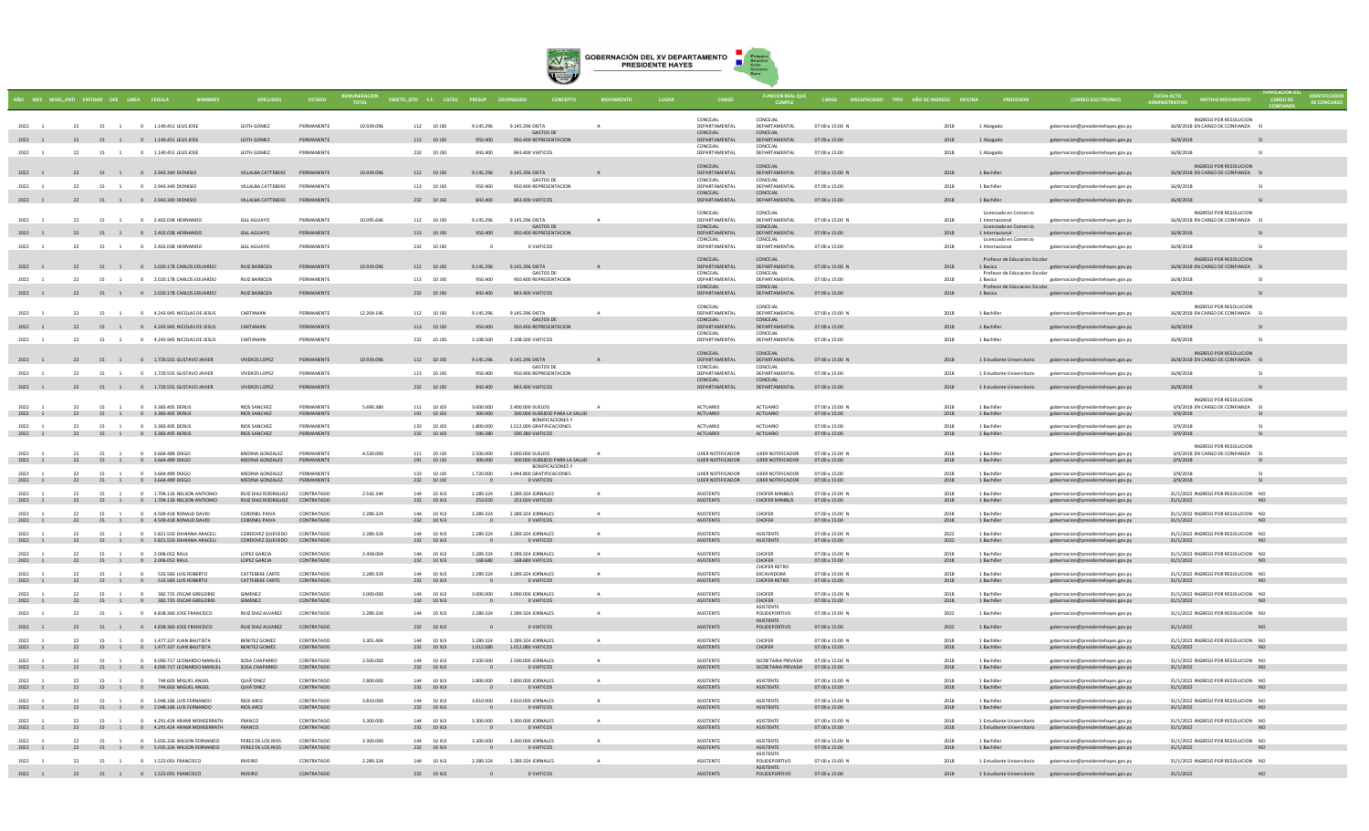

|                        |          | MES NIVEL_ENTI ENTIDAD OEE LINEA CEDULA |                                                                            |                                           |                                 |            | OBJETO_GTO F.F. CATEG PRESUP |                                       |                                                           |              |                                        |                                                        | CARGA DISCAPACIDAD TIPO AÑO DE INGRESO OFICINA |              |                                                          |                                                                          |                      |                                                              |                |
|------------------------|----------|-----------------------------------------|----------------------------------------------------------------------------|-------------------------------------------|---------------------------------|------------|------------------------------|---------------------------------------|-----------------------------------------------------------|--------------|----------------------------------------|--------------------------------------------------------|------------------------------------------------|--------------|----------------------------------------------------------|--------------------------------------------------------------------------|----------------------|--------------------------------------------------------------|----------------|
|                        |          |                                         |                                                                            |                                           |                                 |            |                              |                                       |                                                           |              | <b>CONCEIAL</b>                        | CONCEIAL                                               |                                                |              |                                                          |                                                                          |                      | INGRESO POR RESOLUCION                                       |                |
| 2022                   | 22       |                                         | 15 1 0 1.140.451 LELIS JOSE                                                | LEITH GOMEZ                               | PERMANENTE                      | 10.939.096 | 112 10 J50                   | 9.145.296                             | 9.145.296 DIETA<br><b>GASTOS DE</b>                       | $\mathbf{A}$ | DEPARTAMENTAL<br>CONCEJAL              | DEPARTAMENTAL<br>CONCEJAL                              | 07:00 a 15:00 N                                | 2018         | 1 Abogado                                                | gobernacion@presidentehayes.gov.py                                       |                      | 16/8/2018 EN CARGO DE CONFIANZA SI                           |                |
| 2022 1                 |          |                                         | 22 15 1 0 1.140.451 LELIS JOSE                                             | LEITH GOMEZ                               | PERMANENTE                      |            | 113 10 J50                   | 950,400                               | 950.400 REPRESENTACION                                    |              | DEPARTAMENTAL<br>CONCEJAL              | DEPARTAMENTAL<br>CONCEJAL                              | 07:00 a 15:00                                  | 2018         | 1 Abogado                                                | gobernacion@presidentehayes.gov.py                                       | 16/8/2018            |                                                              |                |
| 2022                   |          |                                         | 22 15 1 0 1.140.451 LELIS JOSE                                             | LEITH GOMEZ                               | PERMANENTE                      |            | 232 10 J50                   | 843.400                               | 843.400 VIATICOS                                          |              | DEPARTAMENTAL                          | DEPARTAMENTAL                                          | 07:00 a 15:00                                  | 2018         | 1 Abogado                                                | gobernacion@presidentehayes.gov.py                                       | 16/8/2018            |                                                              |                |
|                        |          |                                         |                                                                            |                                           |                                 |            |                              |                                       |                                                           |              | CONCEJAL                               | CONCEJA                                                |                                                |              |                                                          |                                                                          |                      | INGRESO POR RESOLUCION                                       |                |
| 2022 1                 |          |                                         | 22 15 1 0 2.943.340 DIONISIO                                               | VILLALBA CATTEBEKE                        | PERMANENTE                      | 10.939.096 | 112 10 J50                   | 9.145.296                             | 9.145.296 DIETA<br>GASTOS DE                              |              | DEPARTAMENTAL<br>CONCEJAL              | DEPARTAMENTAL<br>CONCEIAL                              | 07:00 a 15:00 M                                | 2018         | 1 Bachiller                                              | gobernacion@presidentehayes.gov.py                                       |                      | 16/8/2018 EN CARGO DE CONFIANZA S                            |                |
| 2022                   | 22       | 15 1                                    | 0 2.943.340 DIONISIO                                                       | VILLALBA CATTEREKE                        | PERMANENTE                      |            | 113 10 150                   | 950,400                               | 950.400 REPRESENTACION                                    |              | DEPARTAMENTAL<br>CONCEIAL              | DEPARTAMENTAL<br>CONCEIAL                              | $07:00 \times 15:00$                           | 2018         | 1 Bachiller                                              | gobernacion@presidentehayes.gov.p                                        | 16/8/2018            |                                                              |                |
| 2022 1                 |          |                                         | 22 15 1 0 2.943.340 DIONISIO                                               | VILLALBA CATTEBEKE                        | PERMANENTE                      |            | 232 10 J50                   | 843,400                               | 843,400 VIATICOS                                          |              | DEPARTAMENTAL                          | DEPARTAMENTAL                                          | 07:00 a 15:00                                  | 2018         | 1 Bachiller                                              | gobernacion@presidentehayes.gov.py                                       | 16/8/2018            |                                                              |                |
| 2022<br>$\overline{1}$ | 22       |                                         | 15 1 0 2.402.038 HERNANDO                                                  | <b>GILL AGUAYO</b>                        | PERMANENTE                      | 10.095.696 | 112 10 J50                   | 9.145.296                             | 9.145.296 DIETA                                           | $\mathbf{A}$ | CONCEJAL<br>DEPARTAMENTAL              | CONCEJAL<br>DEPARTAMENTAL                              | 07:00 a 15:00 N                                | 2018         | Licenciado en Comercio<br>1 Internacional                | gobernacion@presidentehayes.gov.py                                       |                      | INGRESO POR RESOLUCION<br>16/8/2018 EN CARGO DE CONFIANZA SI |                |
| 2022 1                 |          |                                         | 22 15 1 0 2.402.038 HERNANDO                                               | <b>GILL AGUAYO</b>                        | PERMANENTE                      |            | 113 10 J50                   | 950,400                               | <b>GASTOS DE</b><br>950.400 REPRESENTACION                |              | CONCEJAL<br>DEPARTAMENTAL              | CONCEJAL<br>DEPARTAMENTAL                              | 07:00 a 15:00                                  | 2018         | Licenciado en Comercio                                   |                                                                          | 16/8/2018            |                                                              |                |
| 2022                   | 22       |                                         |                                                                            | <b>GILL AGUAYO</b>                        | PERMANENTE                      |            | 232 10 J50                   |                                       | 0 VIATICOS                                                |              | CONCEJAL<br>DEPARTAMENTAL              | DEPARTAMENTAL                                          | 07:00 a 15:00                                  | 2018         | 1 Internacional<br>Licenciado en Comercio                | gobernacion@presidentehayes.gov.py                                       | 16/8/2018            |                                                              |                |
|                        |          | 15 1                                    | 0 2.402.038 HERNANDO                                                       |                                           |                                 |            |                              |                                       |                                                           |              |                                        |                                                        |                                                |              | 1 Internacional                                          | gobernacion@presidentehayes.gov.py                                       |                      |                                                              |                |
| 2022 1                 |          |                                         | 22 15 1 0 2.020.178 CARLOS EDUARDO                                         | RUIZ BARBOZA                              | PERMANENTE                      | 10.939.096 | 112 10 J50                   | 9.145.296                             | 9.145.296 DIETA                                           |              | <b>CONCEIAL</b><br>DEPARTAMENTAL       | CONCEIAL<br>DEPARTAMENTAL                              | 07:00 a 15:00 N                                | 2018         | Profesor de Educacion Escola<br>1 Basica                 | gobernacion@presidentehayes.gov.py                                       |                      | INGRESO POR RESOLUCION<br>16/8/2018 EN CARGO DE CONFIANZA 9  |                |
| 2022                   | 22       |                                         | 15 1 0 2.020.178 CARLOS EDUARDO                                            | <b>RUIZ BARBOZA</b>                       | PERMANENTE                      |            | 113 10 J50                   | 950.400                               | <b>GASTOS DE</b><br>950,400 REPRESENTACION                |              | CONCEJAL<br>DEPARTAMENTAL              | CONCEJAL<br>DEPARTAMENTAL                              | 07:00 a 15:00                                  | 2018         | Profesor de Educacion Escolar<br>1 Basica                | gobernacion@presidentehayes.gov.py                                       | 16/8/2018            |                                                              |                |
| 2022 1                 |          |                                         | 22 15 1 0 2.020.178 CARLOS EDUARDO                                         | RUIZ BARBOZA                              | PERMANENTE                      |            | 232 10 J50                   | 843.400                               | 843.400 VIATICOS                                          |              | CONCEJAL<br>DEPARTAMENTAL              | CONCEJAL<br>DEPARTAMENTAL                              | 07:00 a 15:00                                  | 2018         | Profesor de Educacion Escolar<br>1 Basica                | gobernacion@presidentehayes.gov.py                                       | 16/8/2018            |                                                              |                |
|                        |          |                                         |                                                                            |                                           |                                 |            |                              |                                       |                                                           |              | CONCEJAL                               | CONCEJAL                                               |                                                |              |                                                          |                                                                          |                      | INGRESO POR RESOLUCION                                       |                |
| 2022                   | 22       | 15 1                                    | 0 4.243.945 NICOLAS DE JESUS                                               | CARTAMAN                                  | PERMANENTE                      | 12.204.196 | 112 10 J50                   | 9.145.296                             | 9.145.296 DIETA<br><b>GASTOS DE</b>                       | $\mathbf{A}$ | DEPARTAMENTAL<br>CONCEIAL              | DEPARTAMENTAL<br>CONCEIAL                              | 07:00 a 15:00 N                                | 2018         | 1 Bachille                                               | gobernacion@presidentehayes.gov.py                                       |                      | 16/8/2018 EN CARGO DE CONFIANZA SI                           |                |
| 2022 1                 | 22       |                                         | 15 1 0 4.243.945 NICOLAS DE JESUS                                          | CARTAMAN                                  | PERMANENTE                      |            | 113 10 J50                   | 950,400                               | 950.400 REPRESENTACION                                    |              | DEPARTAMENTAL                          | DEPARTAMENTAL<br>CONCEIAL                              | 07:00 a 15:00                                  | 2018         | 1 Bachiller                                              | gobernacion@presidentehayes.gov.py                                       | 16/8/2018            |                                                              |                |
| 2022                   | 22       |                                         | 15 1 0 4.243.945 NICOLAS DE JESUS                                          | CARTAMAN                                  | PERMANENTE                      |            | 232 10 J50                   | 2.108.500                             | 2.108.500 VIATICOS                                        |              | CONCEJAL<br>DEPARTAMENTAL              | DEPARTAMENTAL                                          | $07:00 \times 15:00$                           | 2018         | 1 Bachille                                               | gobernacion@presidentehayes.gov.p                                        | 16/8/2018            |                                                              |                |
|                        |          |                                         |                                                                            |                                           |                                 |            |                              |                                       |                                                           |              | CONCEJAL                               | CONCEJAL                                               |                                                |              |                                                          |                                                                          |                      | INGRESO POR RESOLUCION                                       |                |
| 2022 1                 |          |                                         | 22 15 1 0 1.720.555 GUSTAVO JAVIER                                         | <b>VIVEROS LOPEZ</b>                      | PERMANENTE                      | 10.939.096 | 112 10 J50                   | 9.145.296                             | 9.145.296 DIETA<br><b>GASTOS DE</b>                       |              | DEPARTAMENTAL<br>CONCEJAL              | DEPARTAMENTAL<br>CONCEJAL                              | 07:00 a 15:00 N                                | 2018         |                                                          | 1 Estudiante Universitario gobernacion@presidentehayes.gov.py            |                      | 16/8/2018 EN CARGO DE CONFIANZA                              |                |
| 2022                   | 22       |                                         | 15 1 0 1.720.555 GUSTAVO JAVIER                                            | <b>VIVEROS LOPEZ</b>                      | PERMANENTE                      |            | 113 10 J50                   | 950.400                               | 950,400 REPRESENTACION                                    |              | DEPARTAMENTAL<br>CONCEJAL              | DEPARTAMENTAL<br>CONCEJAL                              | 07:00 a 15:00                                  | 2018         | 1 Estudiante Universitario                               | gobernacion@presidentehayes.gov.py                                       | 16/8/2018            |                                                              |                |
| 2022 1                 |          |                                         | 22 15 1 0 1.720.555 GUSTAVO JAVIER                                         | <b>VIVEROS LOPEZ</b>                      | PERMANENTE                      |            | 232 10 J50                   | 843,400                               | 843,400 VIATICOS                                          |              | DEPARTAMENTAL                          | DEPARTAMENTAL                                          | 07:00 a 15:00                                  | 2018         |                                                          | 1 Estudiante Universitario gobernacion@presidentehayes.gov.py            | 16/8/2018            |                                                              |                |
| 2022 1                 |          |                                         | 22 15 1 0 3.383.405 DERLIS                                                 | <b>RIOS SANCHEZ</b>                       | PERMANENTE                      | 5,690,380  | 111 10 103                   | 3,000,000                             | 2.400.000 SUELDO                                          |              | ACTUARIO                               | ACTUARIO                                               | $07:00 \times 15:00 N$                         | 2018         | 1 Bachille                                               | gobernacion@presidentehayes.gov.py                                       |                      | INGRESO POR RESOLUCION<br>3/9/2018 EN CARGO DE CONFIANZA     |                |
| 2022 1                 |          |                                         | 22 15 1 0 3.383.405 DERLIS                                                 | RIOS SANCHEZ                              | PERMANENTE                      |            | 191 10 J03                   | 300,000                               | 300.000 SUBSIDIO PARA LA SALUD<br><b>BONIFICACIONES Y</b> |              | <b>ACTUARIO</b>                        | <b>ACTUARIO</b>                                        | 07:00 a 15:00                                  | 2018         | 1 Bachiller                                              | gobernacion@presidentehayes.gov.py                                       | 3/9/2018             |                                                              |                |
| 2022                   | 22       |                                         | 15 1 0 3.383.405 DERLIS                                                    | <b>RIOS SANCHEZ</b>                       | PERMANENTE                      |            | 133 10 J03                   | 1,800,000                             | 1.512.000 GRATIFICACIONES                                 |              | <b>ACTUARIO</b>                        | <b>ACTUARIO</b>                                        | 07:00 a 15:00                                  | 2018         | 1 Bachiller                                              | gobernacion@presidentehaves.gov.pv                                       | 3/9/2018             |                                                              |                |
| 2022 1                 |          |                                         | 22 15 1 0 3.383.405 DERLIS                                                 | RIOS SANCHEZ                              | PERMANENTE                      |            | 232 10 J03                   | 590.380                               | 590.380 VIATICOS                                          |              | ACTUARIO                               | ACTUARIO                                               | 07:00 a 15:00                                  | 2018         | 1 Bachiller                                              | gobernacion@presidentehayes.gov.py                                       | 3/9/2018             |                                                              |                |
| 2022                   | 22       |                                         | 15 1 0 3.664.489 DIEGO                                                     | MEDINA GONZALEZ                           | PERMANENTE                      | 4.520.000  | 111 10 J10                   | 2,500,000                             | 2,000,000 SUELDO                                          |              | <b>UJIER NOTIFICADOR</b>               | <b>UJIER NOTIFICADOR</b>                               | 07:00 a 15:00 N                                | 2018         | 1 Bachille                                               | gobernacion@presidentehayes.gov.py                                       |                      | INGRESO POR RESOLUCION<br>3/9/2018 EN CARGO DE CONFIANZA     |                |
| 2022 1                 | 22       |                                         | 15 1 0 3.664.489 DIEGO                                                     | MEDINA GONZALEZ                           | PERMANENTE                      |            | 191 10 J10                   | 300.000                               | 300.000 SUBSIDIO PARA LA SALUD<br><b>BONIFICACIONES \</b> |              | UJIER NOTIFICADOR                      | UJIER NOTIFICADOR                                      | 07:00 a 15:00                                  | 2018         | 1 Bachiller                                              | gobernacion@presidentehayes.gov.py                                       | 3/9/2018             |                                                              |                |
| 2022<br>2022 1         | 22       |                                         | 15 1 0 3 664 489 DIEGO<br>22 15 1 0 3.664.489 DIEGO                        | MEDINA GONZALEZ<br>MEDINA GONZALEZ        | <b>DERMANENTE</b><br>PERMANENTE |            | 133 10 110<br>232 10 J10     | 1.720.000<br>$\overline{\phantom{0}}$ | 1.444.800 GRATIFICACIONES<br>O VIATICOS                   |              | UJIER NOTIFICADOR<br>UJIER NOTIFICADOR | LUIER NOTIFICADOR<br>UJIER NOTIFICADOR                 | 07:00 a 15:00<br>07:00 a 15:00                 | 2018<br>2018 | 1 Rachille<br>1 Bachiller                                | gobernacion@presidentehayes.gov.p<br>gobernacion@presidentehayes.gov.py  | 3/9/2018<br>3/9/2018 |                                                              |                |
| 2022                   | 22       | 15 1                                    | 0 1.704.126 NELSON ANTIONIO                                                | RUIZ DIAZ RODRIGUEZ                       | CONTRATADO                      | 2.542.344  | 144 10 XJ3                   | 2.289.324                             | 2.289.324 JORNALES                                        |              | ASISTENTE                              | <b>CHOFER MINIBUS</b>                                  | 07:00 a 15:00 N                                | 2018         | 1 Bachille                                               | gobernacion@presidentehaves.gov.pv                                       |                      | 31/1/2022 INGRESO POR RESOLUCION NO                          |                |
|                        |          |                                         | 2022 1 22 15 1 0 1.704.126 NELSON ANTIONIO                                 | RUIZ DIAZ RODRIGUEZ CONTRATADO            |                                 |            | 232 10 XJ3                   | 253,020                               | 253,020 VIATICOS                                          |              | ASISTENTE                              | <b>CHOFER MINIBUS</b>                                  | 07:00 a 15:00                                  | 2018         | 1 Bachiller                                              | gobernacion@presidentehayes.gov.py                                       | 31/1/2022            |                                                              | <b>NO</b>      |
| 2022                   | 22       | 15                                      | 0 4.509.418 RONALD DAVID                                                   | CORONEL PAIVA                             | CONTRATADO                      | 2.289.324  | 144 10 XJ3                   | 2.289.324                             | 2.289.324 JORNALES                                        | $\mathbf{A}$ | ASISTENTI                              | CHOFER                                                 | 07:00 a 15:00 N                                | 2018         | 1 Bachille                                               | gobernacion@presidentehaves.gov.pv                                       |                      | 31/1/2022 INGRESO POR RESOLUCION NO                          |                |
| 2022 1                 |          |                                         | 22 15 1 0 4.509.418 RONALD DAVID                                           | CORONEL PAIVA                             | CONTRATADO                      |            | 232 10 XJ3                   | $\overline{\phantom{0}}$              | O VIATICOS                                                |              | ASISTENTE                              | CHOFER                                                 | 07:00 a 15:00                                  | 2018         | 1 Bachiller                                              | gobernacion@presidentehayes.gov.py                                       | 31/1/2022            |                                                              | NO             |
| 2022<br>2022 1         |          |                                         | 22 15 1 0 5.821.550 DAHIANA ARACELI<br>22 15 1 0 5.821.550 DAHIANA ARACELI | CORDOVEZ QUEVEDO<br>CORDOVEZ QUEVEDO      | CONTRATADO<br>CONTRATADO        | 2.289.324  | 144 10 XJ3<br>232 10 XJ3     | 2.289.324                             | 2.289.324 JORNALES<br>O VIATICOS                          | $\mathbf{A}$ | ASISTENTE<br>ASISTENTE                 | <b>ASISTENTE</b><br>ASISTENTE                          | 07:00 a 15:00 N<br>07:00 a 15:00               | 2022<br>2022 | 1 Bachille<br>1 Bachiller                                | gobernacion@presidentehayes.gov.py<br>gobernacion@presidentehayes.gov.py | 31/1/2022            | 31/1/2022 INGRESO POR RESOLUCION NO                          | NO.            |
| 2022                   | 22       | 15 1                                    | 0 2.006.052 RAUL                                                           | <b>LOPEZ GARCIA</b>                       | CONTRATADO                      | 2.458.004  | 144 10 XI3                   | 2.289.324                             | 2.289.324 JORNALES                                        |              | <b>ASISTENTE</b>                       | CHOFFR                                                 | 07:00 a 15:00 N                                | 2018         | 1 Bachille                                               | gobernacion@presidentehayes.gov.py                                       |                      | 31/1/2022 INGRESO POR RESOLUCION NO                          |                |
| 2022 1                 |          |                                         | 22 15 1 0 2.006.052 RAUL                                                   | LOPEZ GARCIA                              | CONTRATADO                      |            | 232 10 XJ3                   | 168,680                               | 168,680 VIATICOS                                          |              | ASISTENTE                              | CHOFER<br>CHOFFR RETRO                                 | 07:00 a 15:00                                  | 2018         | 1 Bachiller                                              | gobernacion@presidentehayes.gov.py                                       | 31/1/2022            |                                                              | NO.            |
| 2022<br>2022 1         | 22<br>22 |                                         | 15 1 0 533,583 LUIS ROBERTO<br>15 1 0 533.583 LUIS ROBERTO                 | CATTEBEKE CARTE<br><b>CATTEBEKE CARTE</b> | CONTRATADO<br>CONTRATADO        | 2.289.324  | 144 10 XJ3<br>232 10 XJ3     | 2.289.324<br>$\overline{\phantom{0}}$ | 2.289.324 JORNALES<br>O VIATICOS                          | $\Delta$     | ASISTENTE<br>ASISTENTE                 | EXCAVADORA<br><b>CHOFER RETRO</b>                      | 07:00 a 15:00 N<br>07:00 a 15:00               | 2018<br>2018 | 1 Bachiller<br>1 Bachiller                               | gobernacion@presidentehayes.gov.py<br>gobernacion@presidentehayes.gov.py | 31/1/2022            | 31/1/2022 INGRESO POR RESOLUCION NO                          | NO             |
| 2022                   |          |                                         | 22 15 1 0 382,725 OSCAR GREGORIO                                           | <b>GIMENEZ</b>                            | CONTRATADO                      | 3.000.000  | 144 10 XJ3                   | 3.000.000                             | 3,000,000 JORNALES                                        |              | <b>ASISTENTE</b>                       | CHOFER                                                 | 07:00 a 15:00 N                                | 2018         | 1 Bachille                                               | gobernacion@presidentehayes.gov.py                                       |                      | 31/1/2022 INGRESO POR RESOLUCION NO                          |                |
| 2022 1                 |          |                                         | 22 15 1 0 382.725 OSCAR GREGORIO                                           | GIMENEZ                                   | CONTRATADO                      |            | 232 10 XJ3                   | $\overline{0}$                        | 0 VIATICOS                                                |              | ASISTENTE                              | CHOFER<br><b>ASISTENTI</b>                             | 07:00 a 15:00                                  | 2018         | 1 Bachiller                                              | gobernacion@presidentehayes.gov.py                                       | 31/1/2022            |                                                              | N <sub>O</sub> |
| 2022                   |          |                                         | 15 1 0 4.838.360 JOSE FRANCISCO                                            | RUIZ DIAZ ALVAREZ                         | CONTRATADO                      | 2.289.324  | 144 10 XJ3                   | 2.289.324                             | 2.289.324 JORNALES                                        |              | ASISTENTE                              | POLIDEPORTIVO                                          | 07:00 a 15:00 N                                | 2022         | 1 Bachille                                               | gobernacion@presidentehayes.gov.py                                       |                      | 31/1/2022 INGRESO POR RESOLUCION NO                          |                |
| 2022 1                 |          |                                         | 22 15 1 0 4.838.360 JOSE FRANCISCO                                         | RUIZ DIAZ ALVAREZ                         | CONTRATADO                      |            | 232 10 XJ3                   |                                       | 0 VIATICOS                                                |              | <b>ASISTENTE</b>                       | ASISTENTE<br>POLIDEPORTIVO                             | 07:00 a 15:00                                  | 2022         | 1 Bachiller                                              | gobernacion@presidentehayes.gov.py                                       | 31/1/2022            |                                                              | N <sub>0</sub> |
| 2022                   | 22       | 15 1                                    | 0 1.477 337 IUAN BAUTISTA                                                  | <b>RENITEZ GOMEZ</b>                      | CONTRATADO                      | 3.301.404  | 144 10 XI3                   | 2.289.324                             | 2.289.324 JORNALES                                        |              | <b>ASISTENTE</b>                       | CHOFFR                                                 | $07:00 \times 15:00 N$                         | 2018         | 1 Bachille                                               | gobernacion@presidentehaves.gov.p                                        |                      | 31/1/2022 INGRESO POR RESOLUCION NO                          |                |
|                        |          |                                         | 2022 1 22 15 1 0 1.477.337 JUAN BAUTISTA                                   | BENITEZ GOMEZ                             | CONTRATADO                      |            | 232 10 XJ3                   |                                       | 1.012.080 1.012.080 VIATICOS                              |              | ASISTENTE                              | CHOFER                                                 | 07:00 a 15:00                                  | 2018         | 1 Bachiller                                              | gobernacion@presidentehayes.gov.py                                       | 31/1/2022            |                                                              | NO             |
| 2022<br>2022 1         | 22       | 15                                      | 0 4.090.717 LEONARDO MANUEL<br>22 15 1 0 4.090.717 LEONARDO MANUEL         | SOSA CHAPARRO<br>SOSA CHAPARRO            | CONTRATADO<br>CONTRATADO        | 2.500.000  | 144 10 XJ3<br>232 10 XJ3     | 2.500.000<br>$\Omega$                 | 2.500.000 JORNALES<br>O VIATICOS                          |              | ASISTENTE<br>ASISTENTE                 | SECRETARIA PRIVADA<br>SECRETARIA PRIVADA 07:00 a 15:00 | 07:00 a 15:00 N                                | 2018<br>2018 | 1 Bachiller<br>1 Bachiller                               | gobernacion@presidentehayes.gov.py<br>gobernacion@presidentehayes.gov.py | 31/1/2022            | 31/1/2022 INGRESO POR RESOLUCION NO                          | N <sub>O</sub> |
| 2022                   | 22       | 15 1 0                                  | 744.603 MIGUEL ANGEL                                                       | QUIĀ'ONEZ                                 | CONTRATADO                      | 2,800,000  | 144 10 XJ3                   | 2,800,000                             | 2,800,000 JORNALES                                        |              | ASISTENTE                              | <b>ASISTENTE</b>                                       | 07:00 a 15:00 N                                | 2018         | 1 Bachille                                               | gobernacion@presidentehayes.gov.py                                       |                      | 31/1/2022 INGRESO POR RESOLUCION NO                          |                |
| 2022 1                 |          |                                         | 22 15 1 0 744.603 MIGUEL ANGEL                                             | QUIÃ'ONEZ                                 | CONTRATADO                      |            | 232 10 XJ3                   | $\mathbf{0}$                          | O VIATICOS                                                |              | ASISTENTE                              | ASISTENTE                                              | 07:00 a 15:00                                  | 2018         | 1 Bachiller                                              | gobernacion@presidentehayes.gov.py                                       | 31/1/2022            |                                                              |                |
| 2022 1                 |          |                                         | 22 15 1 0 2.048.186 LUIS FERNANDO                                          | <b>RIOS ARCE</b><br><b>RIOS ARCE</b>      | CONTRATADO<br>CONTRATADO        | 3.810.000  | 144 10 13                    | 3,810,000                             | 3.810.000 JORNALES<br>O VIATICOS                          | $\Delta$     | ASISTENTE<br>ASISTENTE                 | <b>ASISTENTE</b>                                       | 07:00 a 15:00 N                                | 2018         | 1 Bachiller<br>1 Bachiller                               | gobernacion@presidentehayes.gov.py                                       |                      | 31/1/2022 INGRESO POR RESOLUCION NO                          | NO.            |
| 2022 1                 |          |                                         | 22 15 1 0 2.048.186 LUIS FERNANDO                                          |                                           |                                 |            | 232 10 XJ3                   | $\overline{0}$                        |                                                           |              |                                        | ASISTENTE                                              | 07:00 a 15:00                                  | 2018         |                                                          | gobernacion@presidentehayes.gov.py                                       | 31/1/2022            |                                                              |                |
| 2022<br>2022 1         | 22       | 15                                      | 0 4 291 424 ARAMI MONSERRATH<br>22 15 1 0 4.291.424 ARAMI MONSERRATH       | <b>FRANCO</b><br><b>FRANCO</b>            | CONTRATADO<br>CONTRATADO        | 3.300.000  | 144 10 XI3<br>232 10 XJ3     | 3.300.000<br>$\overline{\phantom{0}}$ | 3.300.000 IORNALES<br><b>O VIATICOS</b>                   |              | <b>ASISTENTE</b><br><b>ASISTENTE</b>   | <b>ASISTENTE</b><br>ASISTENTE                          | $07:00 \times 15:00 N$<br>07:00 a 15:00        | 2018<br>2018 | 1 Estudiante Universitario<br>1 Estudiante Universitario | gobernacion@presidentehayes.gov.p<br>gobernacion@presidentehayes.gov.py  | 31/1/2022            | 31/1/2022 INGRESO POR RESOLUCION NO                          | N <sub>O</sub> |
| 2022                   | 22       | 15                                      | 0 5.035.326 WILSON FERNANDO                                                | PEREZ DE LOS RIOS                         | CONTRATADO                      | 3.300.000  | 144 10 XI3                   | 3.300.000                             | 3.300.000 JORNALES                                        |              | <b>ASISTENTE</b>                       | <b>ASISTENTE</b>                                       | 07:00 a 15:00 N                                | 2018         | 1 Bachille                                               | gobernacion@presidentehayes.gov.py                                       |                      | 31/1/2022 INGRESO POR RESOLUCION NO                          |                |
| 2022 1                 |          |                                         | 22 15 1 0 5.035.326 WILSON FERNANDO                                        | PEREZ DE LOS RIOS                         | CONTRATADO                      |            | 232 10 XJ3                   | $\overline{\phantom{0}}$              | <b>O VIATICOS</b>                                         |              | ASISTENTE                              | ASISTENTE<br><b>ASISTENTE</b>                          | 07:00 a 15:00                                  | 2018         | 1 Bachiller                                              | gobernacion@presidentehayes.gov.py                                       | 31/1/2022            |                                                              | NO             |
| 2022                   | 22       |                                         | 15 1 0 1.523.091 FRANCISCO                                                 | RIVEIRO                                   | CONTRATADO                      | 2.289.324  | 144 10 XJ3                   | 2.289.324                             | 2.289.324 JORNALES                                        |              | ASISTENTE                              | POLIDEPORTIVO<br><b>ASISTENTE</b>                      | 07:00 a 15:00 N                                | 2018         | 1 Estudiante Universitario                               | gobernacion@presidentehayes.gov.py                                       |                      | 31/1/2022 INGRESO POR RESOLUCION NO                          |                |
| 2022 1                 |          |                                         | 22 15 1 0 1.523.091 FRANCISCO                                              | <b>RIVEIRO</b>                            | CONTRATADO                      |            | 232 10 XJ3                   |                                       | 0 VIATICOS                                                |              | <b>ASISTENTE</b>                       | POLIDEPORTIVO                                          | 07:00 a 15:00                                  | 2018         |                                                          | 1 Estudiante Universitario gobernacion@presidentehayes.gov.py            | 31/1/2022            |                                                              |                |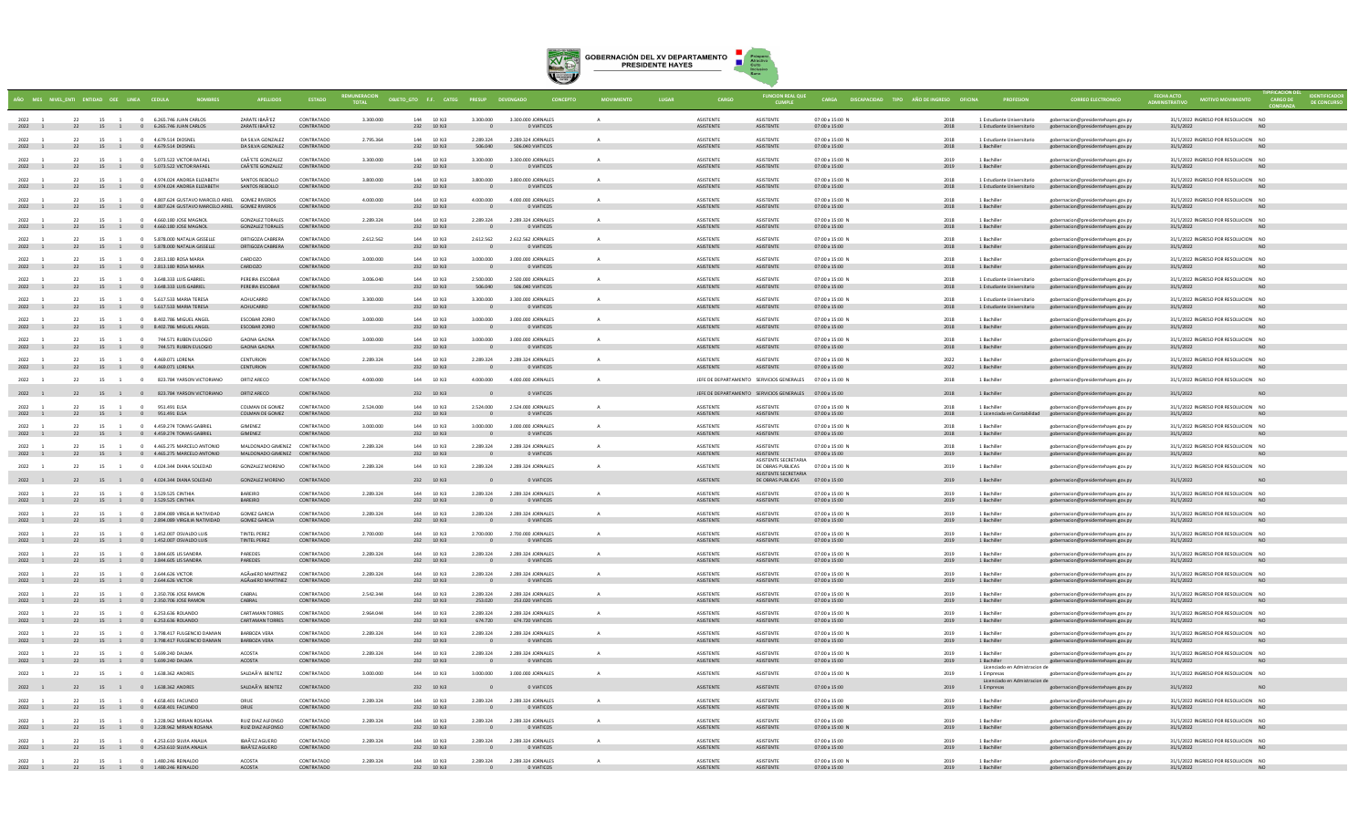

|                      | AÑO MES NIVEL ENTI ENTIDAD OEE LINEA CEDULA |      |                |                                                                                                                 |                                                               | <b>ESTADO</b>            | <b>TOTAL</b> | OBJETO_GTO F.F. CATEG PRESUP DEVENGADO |                                       | <b>CONCEPTO</b>                         |          |                                      | <b>FUNCION REAL QUE</b>                                        | CARGA DISCAPACIDAD TIPO AÑO DE INGRESO OFICINA  |              |                                                           | <b>CORREO ELECTRONICO</b>                                                                           | <b>OTIVO MOVIMIENTO</b>                          |                 |
|----------------------|---------------------------------------------|------|----------------|-----------------------------------------------------------------------------------------------------------------|---------------------------------------------------------------|--------------------------|--------------|----------------------------------------|---------------------------------------|-----------------------------------------|----------|--------------------------------------|----------------------------------------------------------------|-------------------------------------------------|--------------|-----------------------------------------------------------|-----------------------------------------------------------------------------------------------------|--------------------------------------------------|-----------------|
| 2022 1<br>2022 1     |                                             |      |                | 22 15 1 0 6.265.746 ILIAN CARLOS<br>22 15 1 0 6.265.746 JUAN CARLOS                                             | <b>ZARATE IRAÃ'EZ</b><br>ZARATE IBAÃ'EZ                       | CONTRATADO<br>CONTRATADO | 3,300,000    | 144 10 XJ3<br>232 10 XJ3               | 3.300.000                             | 3.300.000 JORNALES<br>O VIATICOS        |          | <b>ASISTENTE</b><br><b>ASISTENTE</b> | <b>ASISTENTE</b><br>ASISTENTE                                  | $07:00 \times 15:00 N$<br>07:00 a 15:00         | 2018<br>2018 | 1 Estudiante Universitario<br>1 Estudiante Universitario  | gobernacion@presidentehayes.gov.py<br>gobernacion@presidentehayes.gov.py                            | 31/1/2022 INGRESO POR RESOLUCION NO<br>31/1/2022 |                 |
| 2022<br>2022 1       | 22                                          | 15 1 |                | 0 4.679.514 DIOSNEL<br>22 15 1 0 4.679.514 DIOSNEL                                                              | DA SILVA GONZALEZ<br>DA SILVA GONZALEZ                        | CONTRATADO<br>CONTRATADO | 2.795.364    | 144 10 XJ3<br>232 10 XJ3               | 2.289.324<br>506,040                  | 2.289.324 JORNALES<br>506,040 VIATICOS  |          | ASISTENTE<br><b>ASISTENTE</b>        | ASISTENTE<br>ASISTENTE                                         | 07:00 a 15:00 N<br>07:00 a 15:00                | 2018<br>2018 | 1 Estudiante Universitario<br>1 Bachiller                 | gobernacion@presidentehaves.gov.pv<br>gobernacion@presidentehayes.gov.py                            | 31/1/2022 INGRESO POR RESOLUCION NO<br>31/1/2022 | <b>NO</b>       |
| 2022 1               |                                             |      |                | 22 15 1 0 5.073.522 VICTOR RAFAEL<br>2022 1 22 15 1 0 5.073.522 VICTOR RAFAEL                                   | CAÃ'ETE GONZALEZ<br>CAÃ'ETE GONZALEZ CONTRATADO               | CONTRATADO               | 3.300.000    | 144 10 XJ3<br>232 10 XJ3               | 3.300.000<br>$\overline{\phantom{0}}$ | 3.300.000 JORNALES<br><b>O VIATICOS</b> |          | ASISTENTE<br>ASISTENTE               | <b>ASISTENTE</b><br>ASISTENTE                                  | 07:00 a 15:00 N<br>07:00 a 15:00                | 2019<br>2019 | 1 Bachille<br>1 Bachiller                                 | gobernacion@presidentehaves.gov.py<br>gobernacion@presidentehayes.gov.py                            | 31/1/2022 INGRESO POR RESOLUCION NO<br>31/1/2022 | <b>NO</b>       |
| 2022<br>2022 1       |                                             | 15   |                | 0 4.974.024 ANDREA ELIZABETH<br>22 15 1 0 4.974.024 ANDREA ELIZABETH                                            | SANTOS REBOLLO<br>SANTOS REBOLLO                              | CONTRATADO<br>CONTRATADO | 3.800.000    | 144 10 XJ3<br>232 10 XJ3               | 3.800.000                             | 3.800.000 JORNALE<br>O VIATICOS         |          | ASISTENTE<br>ASISTENTE               | <b>ASISTENTE</b><br>ASISTENTE                                  | 07:00 a 15:00 N<br>07:00 a 15:00                | 2018         | 1 Estudiante Universitario                                | gobernacion@presidentehayes.gov.py<br>1 Estudiante Universitario gobernacion@presidentehayes.gov.py | 31/1/2022 INGRESO POR RESOLUCION NO<br>31/1/2022 |                 |
| 2022 1<br>2022 1     | 22                                          |      |                | 15 1 0 4.807.624 GUSTAVO MARCELO ARIEL GOMEZ RIVEROS<br>22 15 1 0 4.807.624 GUSTAVO MARCELO ARIEL GOMEZ RIVEROS |                                                               | CONTRATADO<br>CONTRATADO | 4.000.000    | 144 10 XI3<br>232 10 XJ3               | 4.000.000<br>$\mathbf{0}$             | 4.000.000 IORNALES<br>O VIATICOS        | $\Delta$ | <b>ASISTENTE</b><br>ASISTENTE        | <b>ASISTENTE</b><br>ASISTENTE                                  | $07:00 \times 15:00 N$<br>07:00 a 15:00         | 2018<br>2018 | 1 Bachiller<br>1 Bachiller                                | gobernacion@presidentehayes.gov.p<br>gobernacion@presidentehayes.gov.py                             | 31/1/2022 INGRESO POR RESOLUCION NO<br>31/1/2022 | N <sub>O</sub>  |
| $2022 - 1$<br>2022 1 |                                             | 15   |                | 0 4.660.180 JOSE MAGNOL<br>22 15 1 0 4.660.180 JOSE MAGNOL                                                      | GONZALEZ TORALES<br><b>GONZALEZ TORALES</b>                   | CONTRATADO<br>CONTRATADO | 2.289.324    | 144 10 XI3<br>232 10 XJ3               | 2.289.324<br>$\sqrt{ }$               | 2.289.324 JORNALES<br>O VIATICOS        |          | <b>ASISTENTE</b><br>ASISTENTE        | <b>ASISTENTE</b><br>ASISTENTE                                  | $07:00 \times 15:00 N$<br>07:00 a 15:00         | 2018<br>2018 | 1 Bachiller<br>1 Bachiller                                | gobernacion@presidentehayes.gov.py<br>gobernacion@presidentehayes.gov.py                            | 31/1/2022 INGRESO POR RESOLUCION NO<br>31/1/2022 | NO <sub>1</sub> |
| 2022 1<br>2022 1     | 22<br>22                                    |      |                | 15 1 0 5.878.000 NATALIA GISSELLE<br>15 1 0 5.878.000 NATALIA GISSELLE                                          | ORTIGOZA CABRERA<br>ORTIGOZA CABRERA                          | CONTRATADO<br>CONTRATADO | 2.612.562    | 144 10 XJ3<br>232 10 XJ3               | 2.612.562<br>$\overline{\phantom{a}}$ | 2.612.562 JORNALES<br><b>O VIATICOS</b> |          | ASISTENTE<br>ASISTENTE               | ASISTENTE<br>ASISTENTE                                         | 07:00 a 15:00 N<br>07:00 a 15:00                | 2018<br>2018 | 1 Bachiller<br>1 Bachiller                                | gobernacion@presidentehayes.gov.py<br>gobernacion@presidentehayes.gov.py                            | 31/1/2022 INGRESO POR RESOLUCION NO<br>31/1/2022 | <b>NO</b>       |
| 2022 1<br>2022 1     |                                             |      |                | 22 15 1 0 2.813.180 ROSA MARIA<br>22 15 1 0 2.813.180 ROSA MARIA                                                | CARDOZO<br>CARDOZO                                            | CONTRATADO<br>CONTRATADO | 3.000.000    | 144 10 XJ3<br>232 10 XJ3               | 3,000,000<br>$\overline{\phantom{0}}$ | 3.000.000 JORNALES<br><b>O VIATICOS</b> |          | ASISTENTE<br>ASISTENTE               | <b>ASISTENTE</b><br>ASISTENTE                                  | 07:00 a 15:00 N<br>07:00 a 15:00                | 2018<br>2018 | 1 Bachiller<br>1 Bachiller                                | gobernacion@presidentehayes.gov.py<br>gobernacion@presidentehayes.gov.py                            | 31/1/2022 INGRESO POR RESOLUCION NO<br>31/1/2022 | <b>NO</b>       |
| 2022<br>2022 1       |                                             |      |                | 15 1 0 3.648.333 LUIS GABRIEL<br>22 15 1 0 3.648.333 LUIS GABRIEL                                               | PERFIRA ESCORAR<br>PEREIRA ESCOBAR                            | CONTRATADO<br>CONTRATADO | 3.006.040    | 144 10 XI3<br>232 10 XJ3               | 2.500.000<br>506,040                  | 2.500.000 IORNALES<br>506.040 VIATICOS  |          | <b>ASISTENTE</b><br>ASISTENTE        | <b>ASISTENTE</b><br>ASISTENTE                                  | $07:00 \times 15:00 N$<br>07:00 a 15:00         | 2018<br>2018 | 1 Estudiante Universitario                                | gobernacion@presidentehayes.gov.py<br>1 Estudiante Universitario gobernacion@presidentehayes.gov.py | 31/1/2022 INGRESO POR RESOLUCION NO<br>31/1/2022 | <b>NO</b>       |
| 2022 1<br>2022 1     | 22                                          | 15 1 |                | 0 5.617.533 MARIA TERESA<br>22 15 1 0 5.617.533 MARIA TERESA                                                    | ACHUCARRO<br>ACHUCARRO                                        | CONTRATADO<br>CONTRATADO | 3,300,000    | 144 10 XJ3<br>232 10 XJ3               | 3,300,000<br>$\mathbf{0}$             | 3.300.000 JORNALES<br>0 VIATICOS        | $\Delta$ | <b>ASISTENTE</b><br>ASISTENTE        | ASISTENTE<br>ASISTENTE                                         | 07:00 a 15:00 N<br>07:00 a 15:00                | 2018<br>2018 | 1 Estudiante Universitario                                | gobernacion@presidentehaves.gov.py<br>1 Estudiante Universitario gobernacion@presidentehayes.gov.py | 31/1/2022 INGRESO POR RESOLUCION NO<br>31/1/2022 | NO              |
| 2022<br>2022 1       |                                             | 15   |                | 1 0 8.402.786 MIGUEL ANGEL<br>22 15 1 0 8.402.786 MIGUEL ANGEL                                                  | ESCOBAR ZORIO<br><b>ESCOBAR ZORIO</b>                         | CONTRATADO<br>CONTRATADO | 3.000.000    | 144 10 XJ3<br>232 10 XJ3               | 3,000,000                             | 3,000,000 JORNALES<br>O VIATICOS        |          | ASISTENTE<br><b>ASISTENTE</b>        | <b>ASISTENTE</b><br>ASISTENTE                                  | 07:00 a 15:00 N<br>07:00 a 15:00                | 2018<br>2018 | 1 Bachiller<br>1 Bachiller                                | gobernacion@presidentehayes.gov.py<br>gobernacion@presidentehayes.gov.py                            | 31/1/2022 INGRESO POR RESOLUCION NO<br>31/1/2022 |                 |
| 2022<br>2022 1       | 22<br>22                                    |      | 15 1 0         | 15 1 0 744.571 RUBEN EULOGIO<br>744.571 RUBEN EULOGIO                                                           | <b>GAONA GAONA</b><br><b>GAONA GAONA</b>                      | CONTRATADO<br>CONTRATADO | 3.000.000    | 144 10 XJ3<br>232 10 XJ3               | 3.000.000                             | 3,000,000 JORNALES<br>0 VIATICOS        |          | ASISTENTE<br>ASISTENTE               | <b>ASISTENTE</b><br>ASISTENTE                                  | 07:00 a 15:00 N<br>07:00 a 15:00                | 2018<br>2018 | 1 Bachille<br>1 Bachiller                                 | gobernacion@presidentehayes.gov.py<br>gobernacion@presidentehayes.gov.py                            | 31/1/2022 INGRESO POR RESOLUCION NO<br>31/1/2022 |                 |
| $2022 - 1$<br>2022 1 | 22                                          |      |                | 15 1 0 4.469.071.IORENA<br>22 15 1 0 4.469.071 LORENA                                                           | <b>CENTURION</b><br>CENTURION                                 | CONTRATADO<br>CONTRATADO | 2.289.324    | 144 10 ¥13<br>232 10 XJ3               | 2.289.324<br>$\overline{\phantom{0}}$ | 2.289.324 IORNALES<br>O VIATICOS        |          | <b>ASISTENTE</b><br>ASISTENTE        | <b>ASISTENTE</b><br>ASISTENTE                                  | 07:00 a 15:00 N<br>07:00 a 15:00                | 2022<br>2022 | 1 Rachiller<br>1 Bachiller                                | gobernacion@presidentehayes.gov.py<br>gobernacion@presidentehayes.gov.py                            | 31/1/2022 INGRESO POR RESOLUCION NO<br>31/1/2022 | NO <sub>1</sub> |
| 2022 1               | 22                                          |      |                | 15 1 0 823,784 YARSON VICTORIANO                                                                                | ORTIZ ARECC                                                   | CONTRATADO               | 4.000.000    | 144 10 XJ3                             | 4.000.000                             | 4.000.000 JORNALES                      |          |                                      | JEFE DE DEPARTAMENTO SERVICIOS GENERALES 07:00 a 15:00 N       |                                                 | 2018         | 1 Bachiller                                               | gobernacion@presidentehayes.gov.py                                                                  | 31/1/2022 INGRESO POR RESOLUCION NO              |                 |
| 2022 1               |                                             |      |                | 22 15 1 0 823.784 YARSON VICTORIANO                                                                             | ORTIZ ARECO                                                   | CONTRATADO               |              | 232 10 XJ3                             |                                       | O VIATICOS                              |          |                                      | JEFE DE DEPARTAMENTO SERVICIOS GENERALES 07:00 a 15:00         |                                                 | 2018         | 1 Bachiller                                               | gobernacion@presidentehayes.gov.py                                                                  | 31/1/2022                                        | N <sub>O</sub>  |
| 2022<br>2022 1       |                                             |      | 15 1<br>$\sim$ | 951.491 ELSA<br>22 15 1 0 951.491 ELSA                                                                          | COLMAN DE GOMEZ<br>COLMAN DE GOMEZ CONTRATADO                 | CONTRATADO               | 2.524.000    | 144 10 XJ3<br>232 10 XJ3               | 2.524.000                             | 2.524.000 JORNALES<br>O VIATICOS        |          | ASISTENTE<br>ASISTENTE               | <b>ASISTENTE</b><br>ASISTENTE                                  | 07:00 a 15:00 N<br>07:00 a 15:00                | 2018<br>2018 | 1 Bachiller<br>1 Licenciada en Contabilidad               | gobernacion@presidentehayes.gov.py<br>gobernacion@presidentehayes.gov.py                            | 31/1/2022 INGRESO POR RESOLUCION NO<br>31/1/2022 | <b>NO</b>       |
| 2022<br>2022 1       |                                             | 15 1 |                | 0 4.459.274 TOMAS GABRIE<br>22 15 1 0 4.459.274 TOMAS GABRIEL                                                   | <b>GIMENEZ</b><br><b>GIMENEZ</b>                              | CONTRATADO<br>CONTRATADO | 3.000.000    | 144 10 XJ3<br>232 10 XJ3               | 3.000.000                             | 3.000.000 JORNALES<br>O VIATICOS        |          | ASISTENTE<br>ASISTENTE               | <b>ASISTENTE</b><br>ASISTENTE                                  | 07:00 a 15:00 N<br>07:00 a 15:00                | 2018<br>2018 | 1 Bachille<br>$1$ Bachiller                               | robernacion@presidentehayes.gov.py<br>gobernacion@presidentehayes.gov.py                            | 31/1/2022 INGRESO POR RESOLUCION NO<br>31/1/2022 |                 |
| 2022<br>2022 1       | 22                                          |      |                | 15 1 0 4 465 275 MARCELO ANTONIO<br>22 15 1 0 4.465.275 MARCELO ANTONIO                                         | MAI DONADO GIMENEZ CONTRATADO<br>MALDONADO GIMENEZ CONTRATADO |                          | 2.289.324    | 144 10 XI3<br>232 10 XJ3               | 2.289.324                             | 2.289.324 JORNALES<br>0 VIATICOS        |          | <b>ASISTENTE</b><br>ASISTENTE        | <b>ASISTENTE</b><br>ASISTENTE                                  | $07:00 \times 15:00 N$<br>07:00 a 15:00         | 2018<br>2019 | 1 Bachiller<br>1 Bachiller                                | gobernacion@presidentehayes.gov.py<br>gobernacion@presidentehayes.gov.py                            | 31/1/2022 INGRESO POR RESOLUCION NO<br>31/1/2022 | <b>NO</b>       |
| 2022 1               | 22                                          |      |                | 15 1 0 4.024.344 DIANA SOLEDAD                                                                                  | <b>GONZALEZ MORENO</b>                                        | CONTRATADO               | 2.289.324    | 144 10 XJ3                             | 2.289.324                             | 2.289.324 JORNALES                      |          | <b>ASISTENTE</b>                     | <b>ASISTENTE SECRETARIA</b><br>DE OBRAS PUBLICAS               | 07:00 a 15:00 N                                 | 2019         | 1 Bachiller                                               | gobernacion@presidentehayes.gov.py                                                                  | 31/1/2022 INGRESO POR RESOLUCION NO              |                 |
| 2022 1               |                                             |      |                | 22 15 1 0 4.024.344 DIANA SOLEDAD                                                                               | GONZALEZ MORENO CONTRATADO                                    |                          |              | 232 10 XJ3                             |                                       | O VIATICOS                              |          | ASISTENTE                            | <b>ASISTENTE SECRETARIA</b><br>DE OBRAS PUBLICAS 07:00 a 15:00 |                                                 | 2019         | 1 Bachiller                                               | gobernacion@presidentehayes.gov.py                                                                  | 31/1/2022                                        | NO.             |
| 2022 1<br>2022 1     |                                             |      |                | 22 15 1 0 3.529.525 CINTHIA<br>22 15 1 0 3.529.525 CINTHIA                                                      | <b>BAREIRO</b><br>BAREIRO                                     | CONTRATADO<br>CONTRATADO | 2.289.324    | 144 10 XJ3<br>232 10 XJ3               | 2.289.324<br>$\overline{0}$           | 2.289.324 JORNALES<br>O VIATICOS        |          | ASISTENTE<br>ASISTENTE               | <b>ASISTENTE</b><br>ASISTENTE                                  | 07:00 a 15:00 N<br>07:00 a 15:00                | 2019<br>2019 | 1 Bachiller<br>1 Bachiller                                | gobernacion@presidentehaves.gov.pv<br>gobernacion@presidentehayes.gov.py                            | 31/1/2022 INGRESO POR RESOLUCION NO<br>31/1/2022 | <b>NO</b>       |
| 2022 1<br>2022 1     |                                             |      |                | 22 15 1 0 2.894.089 VIRGILIA NATIVIDAD<br>15 1 0 2.894.089 VIRGILIA NATIVIDAD                                   | <b>GOMEZ GARCIA</b><br><b>GOMEZ GARCIA</b>                    | CONTRATADO<br>CONTRATADO | 2.289.324    | 144 10 XJ3<br>232 10 XJ3               | 2.289.324                             | 2.289.324 JORNALES<br>0 VIATICOS        |          | ASISTENTE<br>ASISTENTE               | ASISTENTE<br>ASISTENTE                                         | 07:00 a 15:00 N<br>07:00 a 15:00                | 2019<br>2019 | 1 Bachiller<br>1 Bachiller                                | gobernacion@presidentehayes.gov.py<br>gobernacion@presidentehayes.gov.py                            | 31/1/2022 INGRESO POR RESOLUCION NO<br>31/1/2022 |                 |
| 2022 1               |                                             |      |                | 22 15 1 0 1.452.007 OSVALDO LUIS                                                                                | TINTEL PEREZ                                                  | CONTRATADO               | 2.700.000    | 144 10 X 13                            | 2.700.000                             | 2.700.000 IORNALES                      | $\Delta$ | <b>ASISTENTE</b>                     | <b>ASISTENTE</b>                                               | $07:00 \times 15:00 N$                          | 2019         | 1 Bachiller                                               | gobernacion@presidentehayes.gov.py                                                                  | 31/1/2022 INGRESO POR RESOLUCION NO              |                 |
| 2022 1               |                                             |      |                | 22 15 1 0 1.452.007 OSVALDO LUIS                                                                                | TINTEL PEREZ                                                  | CONTRATADO               |              | 232 10 XJ3                             | $\overline{\phantom{0}}$              | <b>O VIATICOS</b>                       |          | <b>ASISTENTE</b>                     | ASISTENTE                                                      | 07:00 a 15:00                                   | 2019         | 1 Bachiller                                               | gobernacion@presidentehayes.gov.py                                                                  | 31/1/2022                                        | <b>NO</b>       |
| 2022<br>2022 1       |                                             | 15   |                | 0 3.844,605 LIS SANDRA<br>22 15 1 0 3.844.605 LIS SANDRA                                                        | PAREDES<br>PAREDES                                            | CONTRATADO<br>CONTRATADO | 2.289.324    | 144 10 X 13<br>232 10 XJ3              | 2.289.324<br>$\overline{0}$           | 2.289.324 IORNALES<br>O VIATICOS        |          | <b>ASISTENTE</b><br>ASISTENTE        | <b>ASISTENTE</b><br>ASISTENTE                                  | $07:00 \times 15:00 N$<br>07:00 a 15:00         | 2019<br>2019 | 1 Bachiller<br>1 Bachiller                                | gobernacion@presidentehayes.gov.p<br>gobernacion@presidentehayes.gov.py                             | 31/1/2022 INGRESO POR RESOLUCION NO<br>31/1/2022 | <b>NO</b>       |
| 2022<br>2022 1       |                                             | 15   | $\overline{1}$ | 0 2.644.626 VICTOR<br>22 15 1 0 2.644.626 VICTOR                                                                | AGÜERO MARTINEZ<br>AGÃO ERO MARTINEZ CONTRATADO               | CONTRATADO               | 2.289.324    | 144 10 XJ3<br>232 10 XJ3               | 2.289.324                             | 2.289.324 JORNALES<br>O VIATICOS        |          | ASISTENTE<br>ASISTENTE               | ASISTENTE<br>ASISTENTE                                         | 07:00 a 15:00 N<br>07:00 a 15:00                | 2019<br>2019 | 1 Bachille<br>1 Bachiller                                 | gobernacion@presidentehayes.gov.py<br>gobernacion@presidentehayes.gov.py                            | 31/1/2022 INGRESO POR RESOLUCION NO<br>31/1/2022 | <b>NO</b>       |
| 2022 1<br>2022 1     |                                             |      |                | 22 15 1 0 2.350.706 JOSE RAMON<br>22 15 1 0 2.350.706 JOSE RAMON                                                | CARRAI<br>CABRAL                                              | CONTRATADO<br>CONTRATADO | 2.542.344    | 144 10 XJ3<br>232 10 XJ3               | 2.289.324<br>253,020                  | 2.289.324 JORNALES<br>253,020 VIATICOS  |          | ASISTENTE<br><b>ASISTENTE</b>        | <b>ASISTENTE</b><br>ASISTENTE                                  | 07:00 a 15:00 N<br>07:00 a 15:00                | 2019<br>2019 | 1 Bachiller<br>1 Bachiller                                | gobernacion@presidentehayes.gov.py<br>gobernacion@presidentehayes.gov.py                            | 31/1/2022 INGRESO POR RESOLUCION NO<br>31/1/2022 | N <sub>O</sub>  |
| $2022 - 1$<br>2022 1 | 22                                          |      |                | 15 1 0 6.253.636.ROIANDO<br>22 15 1 0 6.253.636 ROLANDO                                                         | CARTAMAN TORRES<br>CARTAMAN TORRES                            | CONTRATADO<br>CONTRATADO | 2.964.044    | 144 10 X 13<br>232 10 XJ3              | 2 289 324<br>674,720                  | 2.289.324 IORNALES<br>674.720 VIATICOS  |          | <b>ASISTENTE</b><br><b>ASISTENTE</b> | <b>ASISTENTE</b><br><b>ASISTENTE</b>                           | 07:00 a 15:00 N<br>07:00 a 15:00                | 2019<br>2019 | 1 Bachiller<br>1 Bachiller                                | gobernacion@presidentehayes.gov.py<br>gobernacion@presidentehayes.gov.py                            | 31/1/2022 INGRESO POR RESOLUCION NO<br>31/1/2022 | NO <sub>1</sub> |
| 2022 1               | 22                                          | 15 1 |                | 0 3.798.417 FULGENCIO DAMIAN                                                                                    | <b>BARBOZA VERA</b>                                           | CONTRATADO               | 2.289.324    | 144 10 XJ3                             | 2.289.324                             | 2.289.324 JORNALES                      | $\Delta$ | ASISTENTE                            | ASISTENTE                                                      | 07:00 a 15:00 N                                 | 2019         | 1 Bachiller                                               | gobernacion@presidentehaves.gov.pv                                                                  | 31/1/2022 INGRESO POR RESOLUCION NO              |                 |
| 2022 1<br>2022       |                                             | 15   |                | 22 15 1 0 3.798.417 FULGENCIO DAMIAN<br>0 5.699.240 DALMA                                                       | BARBOZA VERA<br><b>ACOSTA</b>                                 | CONTRATADO<br>CONTRATADO | 2.289.324    | 232 10 XJ3<br>144 10 XJ3               | $\sim$ 0<br>2.289.324                 | O VIATICOS<br>2.289.324 JORNALES        |          | ASISTENTE<br>ASISTENTE               | ASISTENTE<br>ASISTENTE                                         | 07:00 a 15:00<br>07:00 a 15:00 N                | 2019         | 1 Bachiller<br>1 Bachille                                 | gobernacion@presidentehayes.gov.py<br>gobernacion@presidentehayes.gov.py                            | 31/1/2022<br>31/1/2022 INGRESO POR RESOLUCION NO | <b>NO</b>       |
|                      |                                             |      |                | 2022 1 22 15 1 0 5.699.240 DALMA                                                                                | ACOSTA                                                        | CONTRATADO               |              | 232 10 XJ3                             | $\overline{\phantom{0}}$              | <b>O VIATICOS</b>                       |          | ASISTENTE                            | ASISTENTE                                                      | 07:00 a 15:00                                   | 2019         | 1 Bachiller<br>Licenciado en Admistracion de              | gobernacion@presidentehayes.gov.py                                                                  | 31/1/2022                                        | N <sub>O</sub>  |
| 2022<br>2022 1       | 22                                          |      |                | 15 1 0 1.638.362 ANDRES<br>22 15 1 0 1.638.362 ANDRES                                                           | SALDAÃ'A BENITEZ<br>SALDAÃ'A BENITEZ                          | CONTRATADO<br>CONTRATADO | 3.000.000    | 144 10 XJ3<br>232 10 XJ3               | 3.000.000                             | 3,000,000 JORNALES<br>0 VIATICOS        |          | ASISTENTE<br>ASISTENTE               | ASISTENTE<br>ASISTENTE                                         | 07:00 a 15:00 N<br>07:00 a 15:00                | 2019<br>2019 | 1 Empresas<br>Licenciado en Admistracion de<br>1 Empresas | gobernacion@presidentehayes.gov.py<br>gobernacion@presidentehayes.gov.py                            | 31/1/2022 INGRESO POR RESOLUCION NO<br>31/1/2022 |                 |
| $2022 - 1$           | 22                                          | 15 1 |                | 0 4 658 401 FACUNDO                                                                                             | ORUF                                                          | CONTRATADO               | 2.289.324    | 144 10 XI3                             | 2.289.324                             | 2.289.324 JORNALES                      | $\Delta$ | <b>ASISTENTE</b>                     | <b>ASISTENTE</b>                                               | $07:00 \times 15:00$                            | 2019         | 1 Bachiller                                               | gobernacion@presidentehayes.gov.p                                                                   | 31/1/2022 INGRESO POR RESOLUCION NO              |                 |
| 2022 1               |                                             |      |                | 22 15 1 0 4.658.401 FACUNDO                                                                                     | ORUE                                                          | CONTRATADO               |              | 232 10 XJ3                             |                                       | O VIATICOS                              |          | ASISTENTE                            | ASISTENTE                                                      | 07:00 a 15:00 N                                 | 2019         | 1 Bachiller                                               | gobernacion@presidentehayes.gov.py                                                                  | 31/1/2022                                        | N <sub>O</sub>  |
| 2022<br>2022 1       |                                             | 15   |                | 3.228.962 MIRIAN ROSANA<br>22 15 1 0 3.228.962 MIRIAN ROSANA                                                    | <b>RUIZ DIAZ ALFONSO</b><br>RUIZ DIAZ ALFONSO                 | CONTRATADO<br>CONTRATADO | 2.289.324    | 144 10 XI3<br>232 10 XJ3               | 2.289.324<br>$\sqrt{ }$               | 2.289.324 IORNALES<br>O VIATICOS        |          | <b>ASISTENTE</b><br>ASISTENTE        | <b>ASISTENTE</b><br>ASISTENTE                                  | $07:00 \times 15:00$<br>07:00 a 15:00 N         | 2019<br>2019 | 1 Bachiller<br>1 Bachiller                                | gobernacion@presidentehayes.gov.p<br>gobernacion@presidentehayes.gov.py                             | 31/1/2022 INGRESO POR RESOLUCION NO<br>31/1/2022 | <b>NO</b>       |
| 2022<br>2022 1       |                                             | 15   |                | 0 4.253.610 SILVIA ANALIA<br>22 15 1 0 4.253.610 SILVIA ANALIA                                                  | IBAÃ'EZ AGUERO<br>IBAÃ'EZ AGUERO                              | CONTRATADO<br>CONTRATADO | 2.289.324    | 144 10 XJ3<br>232 10 XJ3               | 2.289.324                             | 2.289.324 JORNALES<br>O VIATICOS        |          | ASISTENTE<br>ASISTENTE               | <b>ASISTENTE</b><br>ASISTENTE                                  | 07:00 a 15:00<br>07:00 a 15:00                  | 2019<br>2019 | 1 Bachiller<br>1 Bachiller                                | gobernacion@presidentehayes.gov.py<br>gobernacion@presidentehayes.gov.py                            | 31/1/2022 INGRESO POR RESOLUCION NO<br>31/1/2022 |                 |
| 2022 1<br>2022 1     |                                             |      |                | 22 15 1 0 1.480.246 REINAIDO<br>22 15 1 0 1.480.246 REINALDO                                                    | ACOSTA<br><b>ACOSTA</b>                                       | CONTRATADO<br>CONTRATADO | 2.289.324    | 144 10 XJ3<br>232 10 XJ3               | 2.289.324                             | 2.289.324 JORNALES                      |          | <b>ASISTENTE</b><br><b>ASISTENTE</b> | <b>ASISTENTE</b><br><b>ASISTENTE</b>                           | $07:00 \times 15:00 \text{ N}$<br>07:00 a 15:00 | 2019<br>2019 | 1 Bachiller<br>1 Bachiller                                | gobernacion@presidentehayes.gov.py<br>gobernacion@presidentehayes.gov.py                            | 31/1/2022 INGRESO POR RESOLUCION NO<br>31/1/2022 |                 |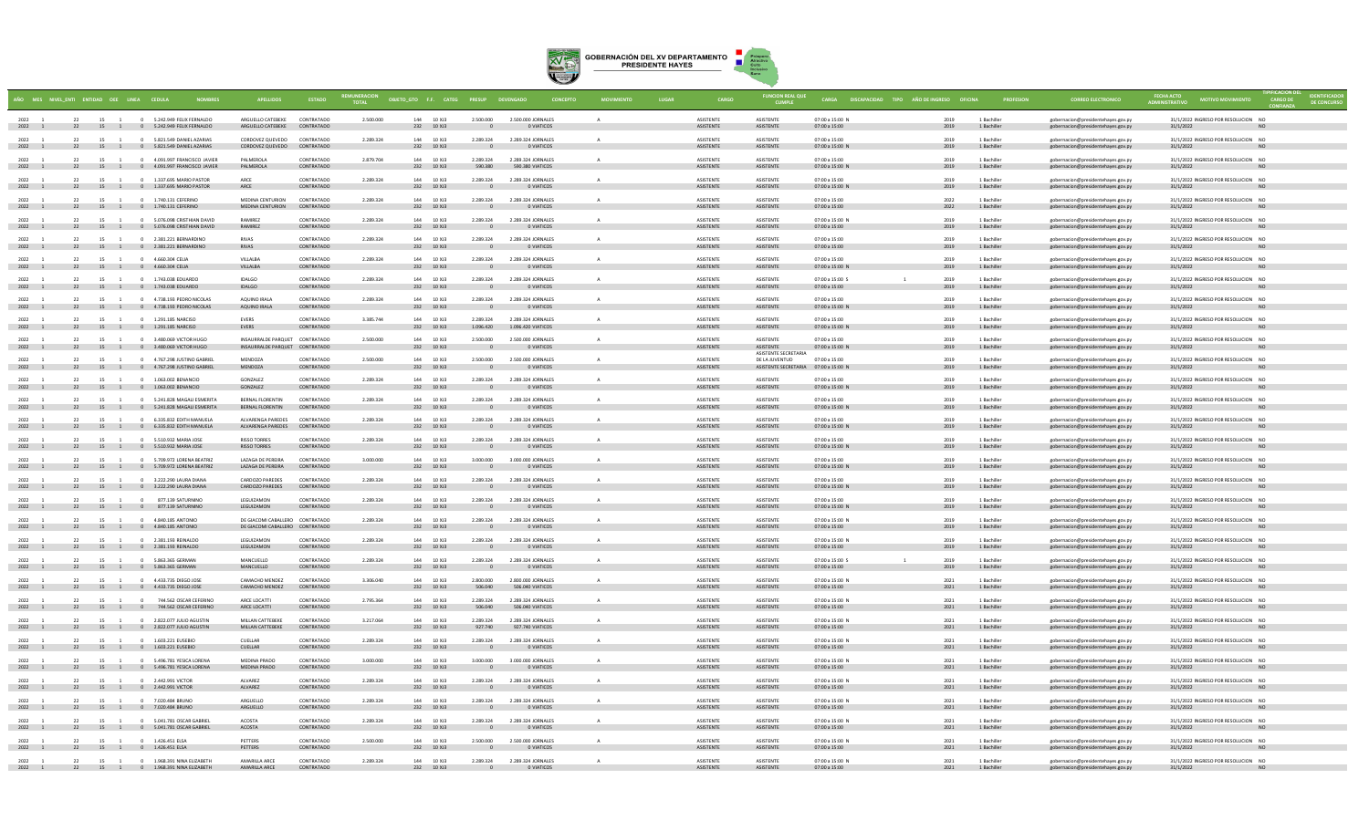

|                      |    | ÑO MES NIVELENTI ENTIDAD OEE LINEA CEDULA            |                                                                                     |                                                                    | <b>ESTADO</b>            |           | OBJETO_GTO F.F. CATEG PRESUP DEVENGADO |                                       |                                                              | <b>CONCEPTO</b> |                                      | <b>FUNCION REAL QUE</b>                                                        | CARGA DISCAPACIDAD TIPO AÑO DE INGRESO OFICINA |              |                            | <b>CORREO ELECTRONICO</b>                                                |                                                                |                 |
|----------------------|----|------------------------------------------------------|-------------------------------------------------------------------------------------|--------------------------------------------------------------------|--------------------------|-----------|----------------------------------------|---------------------------------------|--------------------------------------------------------------|-----------------|--------------------------------------|--------------------------------------------------------------------------------|------------------------------------------------|--------------|----------------------------|--------------------------------------------------------------------------|----------------------------------------------------------------|-----------------|
| 2022 1<br>2022 1     |    |                                                      | 22 15 1 0 5.242 949 FEUX FERNALDO<br>22 15 1 0 5.242.949 FELIX FERNALDO             | ARGUELLO CATEREKE CONTRATADO<br>ARGUELLO CATEBEKE                  | CONTRATADO               | 2.500.000 | 144 10 XI3<br>232 10 XJ3               | 2.500.000                             | 2.500.000 IORNALES<br>O VIATICOS                             |                 | <b>ASISTENTE</b><br><b>ASISTENTE</b> | <b>ASISTENTE</b><br>ASISTENTE                                                  | 07:00 a 15:00 N<br>07:00 a 15:00               | 2019<br>2019 | 1 Bachiller<br>1 Bachiller | gobernacion@presidentehayes.gov.py<br>gobernacion@presidentehayes.gov.py | 31/1/2022 INGRESO POR RESOLUCION NO<br>31/1/2022               |                 |
| 2022<br>2022 1       | 22 |                                                      | 15 1 0 5.821.549 DANIEL AZARIAS<br>22 15 1 0 5.821.549 DANIEL AZARIAS               | CORDOVEZ QUEVEDO<br>CORDOVEZ QUEVEDO CONTRATADO                    | CONTRATADO               | 2.289.324 | 144 10 XJ3<br>232 10 XJ3               | 2.289.324<br>$\overline{\phantom{0}}$ | 2.289.324 JORNALES<br>O VIATICOS                             | A               | ASISTENTE<br><b>ASISTENTE</b>        | ASISTENTE<br>ASISTENTE                                                         | 07:00 a 15:00<br>07:00 a 15:00 N               | 2019<br>2019 | 1 Bachiller<br>1 Bachiller | gobernacion@presidentehaves.gov.pv<br>gobernacion@presidentehayes.gov.py | 31/1/2022 INGRESO POR RESOLUCION NO<br>31/1/2022               |                 |
| 2022                 |    |                                                      | 22 15 1 0 4.091.997 FRANCISCO JAVIER<br>2022 1 22 15 1 0 4.091.997 FRANCISCO JAVIER | PALMEROLA<br>PALMEROLA                                             | CONTRATADO<br>CONTRATADO | 2,879,704 | 144 10 XJ3<br>232 10 XJ3               | 2.289.324<br>590,380                  | 2.289.324 JORNALES<br>590.380 VIATICOS                       |                 | <b>ASISTENTE</b><br>ASISTENTE        | ASISTENTE<br>ASISTENTE                                                         | 07:00 a 15:00<br>07:00 a 15:00 N               | 2019         | 1 Bachiller<br>1 Bachiller | gobernacion@presidentehayes.gov.py<br>gobernacion@presidentehayes.gov.py | 31/1/2022 INGRESO POR RESOLUCION NC<br>31/1/2022               | <b>NO</b>       |
| 2022                 |    | 15 1                                                 | 0 1.337.695 MARIO PASTOR<br>2022 1 22 15 1 0 1.337.695 MARIO PASTOR                 | ARCE                                                               | CONTRATADO<br>CONTRATADO | 2.289.324 | 144 10 XJ3<br>232 10 XJ3               | 2.289.324<br>$\overline{\phantom{0}}$ | 2.289.324 JORNALES<br>O VIATICOS                             |                 | <b>ASISTENTE</b><br>ASISTENTE        | <b>ASISTENTE</b><br>ASISTENTE                                                  | 07:00 a 15:00<br>07:00 a 15:00 N               | 2019         | 1 Bachille<br>1 Bachiller  | gobernacion@presidentehayes.gov.py<br>gobernacion@presidentehayes.gov.py | 31/1/2022 INGRESO POR RESOLUCION NO<br>31/1/2022               |                 |
| $2022 - 1$<br>2022 1 |    |                                                      | 22 15 1 0 1.740.131 CEFERINO<br>22 15 1 0 1.740.131 CEFERINO                        | MEDINA CENTURION<br>MEDINA CENTURION                               | CONTRATADO<br>CONTRATADO | 2.289.324 | 144 10 ¥13<br>232 10 XJ3               | 2.289.324<br>$\sim$ 0                 | 2.289.324 JORNALES<br><b>0 VIATICOS</b>                      |                 | <b>ASISTENTE</b><br>ASISTENTE        | <b>ASISTENTE</b><br>ASISTENTE                                                  | 07:00 a 15:00<br>07:00 a 15:00                 | 2022<br>2022 | 1 Bachiller<br>1 Bachiller | (obernacion@presidentehayes.gov.p<br>gobernacion@presidentehayes.gov.py  | 31/1/2022 INGRESO POR RESOLUCION NO<br>31/1/2022               | NO              |
| $2022 - 1$           | 22 |                                                      | 15 1 0 5.076.098 CRISTHIAN DAVID<br>2022 1 22 15 1 0 5.076.098 CRISTHIAN DAVID      | <b>BAMIREZ</b><br>RAMIREZ                                          | CONTRATADO<br>CONTRATADO | 2.289.324 | 144 10 YR<br>232 10 XJ3                | 2.289.324                             | 2.289.324 JORNALES<br>$\overline{0}$<br>O VIATICOS           |                 | <b>ASISTENTE</b><br><b>ASISTENTE</b> | <b>ASISTENTE</b><br><b>ASISTENTE</b>                                           | 07:00 a 15:00 N<br>07:00 a 15:00               | 2019<br>2019 | 1 Rachiller<br>1 Bachiller | gobernacion@presidentehayes.gov.py<br>gobernacion@presidentehayes.gov.py | 31/1/2022 INGRESO POR RESOLUCION NO<br>31/1/2022               | NO <sub>1</sub> |
| 2022 1<br>2022 1     |    |                                                      | 22 15 1 0 2.381.221 BERNARDINO<br>22 15 1 0 2.381.221 BERNARDINO                    | <b>RIVAS</b><br><b>RIVAS</b>                                       | CONTRATADO<br>CONTRATADO | 2.289.324 | 144 10 XJ3<br>232 10 XJ3               | 2.289.324<br>$\sim$ 0                 | 2.289.324 JORNALES<br><b>O VIATICOS</b>                      | A               | ASISTENTE<br><b>ASISTENTE</b>        | ASISTENTE<br>ASISTENTE                                                         | 07:00 a 15:00<br>07:00 a 15:00                 | 2019<br>2019 | 1 Bachiller<br>1 Bachiller | gobernacion@presidentehaves.gov.pv<br>gobernacion@presidentehayes.gov.py | 31/1/2022 INGRESO POR RESOLUCION NO<br>31/1/2022               | - NO            |
| 2022<br>2022 1       |    | 22 15 1 0 4.660.304 CELIA                            | 22 15 1 0 4.660.304 CELIA                                                           | VILLALBA<br>VILLALBA                                               | CONTRATADO<br>CONTRATADO | 2.289.324 | 144 10 XJ3<br>232 10 XJ3               | 2.289.324<br>$\overline{\phantom{a}}$ | 2.289.324 JORNALES<br><b>O VIATICOS</b>                      |                 | <b>ASISTENTE</b><br>ASISTENTE        | <b>ASISTENTE</b><br>ASISTENTE                                                  | 07:00 a 15:00<br>07:00 a 15:00 N               | 2019<br>2019 | 1 Bachiller<br>1 Bachiller | gobernacion@presidentehayes.gov.py<br>gobernacion@presidentehayes.gov.py | 31/1/2022 INGRESO POR RESOLUCION NC<br>31/1/2022 2012 12:00:00 |                 |
| 2022<br>2022 1       |    |                                                      | 15 1 0 1,743,038 EDUARDO<br>22 15 1 0 1.743.038 EDUARDO                             | <b>IDALGO</b><br><b>IDALGO</b>                                     | CONTRATADO<br>CONTRATADO | 2.289.324 | 144 10 XJ3<br>232 10 XJ3               | 2.289.324                             | 2.289.324 JORNALES<br>0 VIATICOS                             |                 | <b>ASISTENTE</b><br>ASISTENTE        | <b>ASISTENTE</b><br>ASISTENTE                                                  | 07:00 a 15:00 S<br>07:00 a 15:00               | 2019<br>2019 | 1 Bachille<br>1 Bachiller  | gobernacion@presidentehayes.gov.py<br>gobernacion@presidentehayes.gov.py | 31/1/2022 INGRESO POR RESOLUCION NO<br>31/1/2022               |                 |
| $2022 - 1$<br>2022 1 |    |                                                      | 22 15 1 0 4.738.193.PEDRO NICOLAS<br>22 15 1 0 4.738.193 PEDRO NICOLAS              | AOUINO IRALA<br>AQUINO IRALA                                       | CONTRATADO<br>CONTRATADO | 2.289.324 | 144 10 YR<br>232 10 XJ3                | 2.289.324<br>$\overline{\phantom{0}}$ | 2.289.324 JORNALES<br>O VIATICOS                             |                 | <b>ASISTENTE</b><br><b>ASISTENTE</b> | <b>ASISTENTE</b><br>ASISTENTE                                                  | 07:00 a 15:00<br>07:00 a 15:00 N               | 2019<br>2019 | 1 Rachiller<br>1 Bachiller | gobernacion@presidentehayes.gov.p<br>gobernacion@presidentehayes.gov.py  | 31/1/2022 INGRESO POR RESOLUCION NO<br>31/1/2022               |                 |
| 2022 1               |    |                                                      | 22 15 1 0 1.291.185 NARCISO<br>2022 1 22 15 1 0 1.291.185 NARCISO                   | <b>EVERS</b><br><b>EVERS</b>                                       | CONTRATADO<br>CONTRATADO | 3,385,744 | 144 10 XJ3<br>232 10 XJ3               | 2.289.324<br>1.096.420                | 2.289.324 JORNALES<br>1.096.420 VIATICOS                     |                 | ASISTENTE<br>ASISTENTE               | <b>ASISTENTE</b><br>ASISTENTE                                                  | 07:00 a 15:00<br>07:00 a 15:00 N               | 2019<br>2019 | 1 Bachiller<br>1 Bachiller | gobernacion@presidentehayes.gov.py<br>gobernacion@presidentehayes.gov.py | 31/1/2022 INGRESO POR RESOLUCION NO<br>31/1/2022               | NO <sub>1</sub> |
| 2022<br>2022 1       | 22 | 15 1                                                 | 0 3.480.069 VICTOR HUGO<br>22 15 1 0 3.480.069 VICTOR HUGO                          | INSAURRALDE PARQUET CONTRATADO<br>INSAURRALDE PARQUET CONTRATADO   |                          | 2,500,000 | 144 10 XJ3<br>232 10 XJ3               | 2,500,000<br>$\sim$ 0                 | 2.500.000 JORNALES<br><b>O VIATICOS</b>                      | $\mathbf{A}$    | ASISTENTE<br><b>ASISTENTE</b>        | ASISTENTE<br>ASISTENTE                                                         | 07:00 a 15:00<br>07:00 a 15:00 N               | 2019<br>2019 | 1 Bachiller<br>1 Bachiller | gobernacion@presidentehaves.gov.pv<br>gobernacion@presidentehayes.gov.py | 31/1/2022 INGRESO POR RESOLUCION NO<br>31/1/2022               | - NO            |
| 2022                 |    |                                                      | 22 15 1 0 4.767.298 JUSTINO GABRIE<br>2022 1 22 15 1 0 4.767.298 JUSTINO GABRIEL    | MENDOZA<br>MENDOZA                                                 | CONTRATADO<br>CONTRATADO | 2.500.000 | 144 10 XJ3<br>232 10 XJ3               | 2.500.000<br>$\overline{\phantom{a}}$ | 2,500,000 JORNALES<br><b>O VIATICOS</b>                      |                 | <b>ASISTENTE</b><br>ASISTENTE        | ASISTENTE SECRETARIA<br>DE LA JUVENTUD<br>ASISTENTE SECRETARIA 07:00 a 15:00 N | 07:00 a 15:00                                  | 2019<br>2019 | 1 Bachiller                | gobernacion@presidentehaves.gov.p<br>gobernacion@presidentehayes.gov.py  | 31/1/2022 INGRESO POR RESOLUCION NC<br>31/1/2022               |                 |
| 2022 1               | 22 |                                                      | 15 1 0 1.063.002 BENANCIO<br>2022 1 22 15 1 0 1.063.002 BENANCIO                    | GONZALEZ<br>GONZALEZ                                               | CONTRATADO<br>CONTRATADO | 2.289.324 | 144 10 XI3<br>232 10 XJ3               | 2.289.324                             | 2.289.324 JORNALES<br>O VIATICOS                             |                 | <b>ASISTENTE</b><br>ASISTENTE        | <b>ASISTENTE</b><br>ASISTENTE                                                  | $07:00 \times 15:00$<br>07:00 a 15:00 N        | 2019<br>2019 | 1 Bachille<br>1 Bachiller  | gobernacion@presidentehayes.gov.p<br>gobernacion@presidentehayes.gov.py  | 31/1/2022 INGRESO POR RESOLUCION NO<br>31/1/2022               |                 |
| $2022 - 1$<br>2022 1 |    |                                                      | 22 15 1 0 5.241.828 MAGAILESMERITA<br>22 15 1 0 5.241.828 MAGALI ESMERITA           | <b>RERNAL ELORENTIN</b><br>BERNAL FLORENTIN                        | CONTRATADO<br>CONTRATADO | 2.289.324 | 144 10 13<br>232 10 XJ3                | 2.289.324<br>$\overline{\phantom{0}}$ | 2.289.324 JORNALES<br>O VIATICOS                             |                 | <b>ASISTENTE</b><br><b>ASISTENTE</b> | <b>ASISTENTE</b><br>ASISTENTE                                                  | 07:00 a 15:00<br>07:00 a 15:00 N               | 2019<br>2019 | 1 Rachiller<br>1 Bachiller | obernacion@presidentehayes.gov.p<br>gobernacion@presidentehayes.gov.py   | 31/1/2022 INGRESO POR RESOLUCION NO<br>31/1/2022               | NO              |
| 2022 1               | 22 |                                                      | 15 1 0 6.335.832 EDITH MANUELA<br>2022 1 22 15 1 0 6.335.832 EDITH MANUELA          | ALVARENGA PAREDES CONTRATADO<br>ALVARENGA PAREDES CONTRATADO       |                          | 2.289.324 | 144 10 XJ3<br>232 10 XJ3               | 2.289.324                             | 2.289.324 JORNALES<br>O VIATICOS<br>$\overline{0}$           |                 | <b>ASISTENTE</b><br>ASISTENTE        | <b>ASISTENTE</b><br>ASISTENTE                                                  | 07:00 a 15:00<br>07:00 a 15:00 N               | 2019<br>2019 | 1 Bachiller<br>1 Bachiller | gobernacion@presidentehaves.gov.pv<br>gobernacion@presidentehayes.gov.py | 31/1/2022 INGRESO POR RESOLUCION NO<br>31/1/2022               | NO <sub>1</sub> |
| 2022 1<br>2022 1     |    |                                                      | 22 15 1 0 5.510.932 MARIA JOSE<br>22 15 1 0 5.510.932 MARIA JOSE                    | <b>RISSO TORRES</b><br><b>RISSO TORRES</b>                         | CONTRATADO<br>CONTRATADO | 2.289.324 | 144 10 XJ3<br>232 10 XJ3               | 2.289.324<br>$\sim$ 0                 | 2.289.324 JORNALES<br>O VIATICOS                             |                 | ASISTENTE<br><b>ASISTENTE</b>        | ASISTENTE<br>ASISTENTE                                                         | 07:00 a 15:00<br>07:00 a 15:00 N               | 2019<br>2019 | 1 Bachiller<br>1 Bachiller | gobernacion@presidentehayes.gov.py<br>gobernacion@presidentehayes.gov.py | 31/1/2022 INGRESO POR RESOLUCION NO<br>31/1/2022               | <b>NO</b>       |
|                      |    |                                                      | 22 15 1 0 5.709.972 LORENA BEATRIZ<br>2022 1 22 15 1 0 5.709.972 LORENA BEATRIZ     | LAZAGA DE PEREIRA<br>LAZAGA DE PEREIRA                             | CONTRATADO<br>CONTRATADO | 3,000,000 | 144 10 XJ3<br>232 10 XJ3               | 3.000.000<br>$\overline{\phantom{a}}$ | 3,000,000 JORNALES<br><b>CONTROL</b> OVIATICOS               |                 | <b>ASISTENTE</b><br>ASISTENTE        | <b>ASISTENTE</b><br>ASISTENTE                                                  | 07:00 a 15:00<br>07:00 a 15:00 N               | 2019<br>2019 | 1 Bachiller<br>1 Bachiller | gobernacion@presidentehaves.gov.pv<br>gobernacion@presidentehayes.gov.py | 31/1/2022 INGRESO POR RESOLUCION NC<br>31/1/2022 2012 12:00:00 |                 |
| 2022<br>2022 1       |    |                                                      | 22 15 1 0 3.222.290 LAURA DIANA<br>22 15 1 0 3.222.290 LAURA DIANA                  | CARDOZO PAREDES<br>CARDOZO PAREDES                                 | CONTRATADO<br>CONTRATADO | 2.289.324 | 144 10 X 13<br>232 10 XJ3              | 2.289.324                             | 2.289.324 JORNALES<br>0 VIATICOS                             |                 | <b>ASISTENTE</b><br>ASISTENTE        | <b>ASISTENTE</b><br>ASISTENTE                                                  | $07:00 \times 15:00$<br>07:00 a 15:00 N        | 2019<br>2019 | 1 Bachille<br>1 Bachiller  | gobernacion@presidentehayes.gov.py<br>gobernacion@presidentehayes.gov.py | 31/1/2022 INGRESO POR RESOLUCION NO<br>31/1/2022               |                 |
| 2022                 |    | 15                                                   | 877 139 SATURNINO<br>2022 1 22 15 1 0 877.139 SATURNINO                             | <b>I FGUIZAMON</b><br>LEGUIZAMON                                   | CONTRATADO<br>CONTRATADO | 2.289.324 | 144 10 XI3<br>232 10 XJ3               | 2.289.324<br>$\sim$ 0                 | 2.289.324 JORNALES<br>O VIATICOS                             |                 | <b>ASISTENTE</b><br><b>ASISTENTE</b> | <b>ASISTENTE</b><br>ASISTENTE                                                  | $07:00 \times 15:00$<br>07:00 a 15:00 N        | 2019<br>2019 | 1 Bachille<br>1 Bachiller  | obernacion@presidentehayes.gov.p<br>gobernacion@presidentehayes.gov.py   | 31/1/2022 INGRESO POR RESOLUCION NO<br>31/1/2022               |                 |
| 2022 1<br>2022 1     | 22 |                                                      | 15 1 0 4.840.185 ANTONIO<br>22 15 1 0 4.840.185 ANTONIO                             | DE GIACOMI CABALLERO CONTRATADO<br>DE GIACOMI CABALLERO CONTRATADO |                          | 2.289.324 | 144 10 XJ3<br>232 10 XJ3               | 2.289.324                             | 2.289.324 JORNALES<br>O VIATICOS                             |                 | <b>ASISTENTE</b><br>ASISTENTE        | ASISTENTE<br>ASISTENTE                                                         | 07:00 a 15:00 N<br>07:00 a 15:00               | 2019<br>2019 | 1 Bachiller<br>1 Bachiller | gobernacion@presidentehaves.gov.pv<br>gobernacion@presidentehayes.gov.py | 31/1/2022 INGRESO POR RESOLUCION NO<br>31/1/2022               | NO <sub>1</sub> |
| 2022 1<br>2022 1     |    |                                                      | 22 15 1 0 2.381.193 REINALDO<br>22 15 1 0 2.381.193 REINALDO                        | LEGUIZAMON<br>LEGUIZAMON                                           | CONTRATADO<br>CONTRATADO | 2.289.324 | 144 10 XJ3<br>232 10 XJ3               | 2.289.324                             | 2.289.324 JORNALES<br>O VIATICOS<br>$^{\circ}$               |                 | <b>ASISTENTE</b><br><b>ASISTENTE</b> | ASISTENTE<br>ASISTENTE                                                         | 07:00 a 15:00 N<br>07:00 a 15:00               | 2019<br>2019 | 1 Bachille<br>1 Bachiller  | gobernacion@presidentehayes.gov.py<br>gobernacion@presidentehayes.gov.py | 31/1/2022 INGRESO POR RESOLUCION NO<br>31/1/2022               |                 |
| 2022                 |    |                                                      | 22 15 1 0 5.863.365 GERMAN<br>2022 1 22 15 1 0 5.863.365 GERMAN                     | MANCUELLO<br>MANCUELLO                                             | CONTRATADO<br>CONTRATADO | 2.289.324 | 144 10 XJ3<br>232 10 XJ3               | 2.289.324<br>$\overline{\phantom{0}}$ | 2.289.324 JORNALES<br>0 VIATICOS                             |                 | <b>ASISTENTE</b><br><b>ASISTENTE</b> | <b>ASISTENTE</b><br>ASISTENTE                                                  | 07:00 a 15:00 S<br>07:00 a 15:00               | 2019<br>2019 | 1 Bachiller                | gobernacion@presidentehaves.gov.p<br>gobernacion@presidentehayes.gov.py  | 31/1/2022 INGRESO POR RESOLUCION NO<br>31/1/2022               |                 |
| $2022 - 1$<br>2022 1 | 22 |                                                      | 15 1 0 4.433.735 DIEGO JOSE<br>22 15 1 0 4.433.735 DIEGO JOSE                       | CAMACHO MENDEZ<br>CAMACHO MENDEZ                                   | CONTRATADO<br>CONTRATADO | 3.306.040 | 144 10 Y 13<br>232 10 XJ3              | 2.800.000<br>506,040                  | 2.800.000 IORNALES<br>506.040 VIATICOS                       |                 | <b>ASISTENTE</b><br>ASISTENTE        | <b>ASISTENTE</b><br>ASISTENTE                                                  | 07:00 a 15:00 N<br>07:00 a 15:00               | 2021<br>2021 | 1 Rachiller<br>1 Bachiller | gobernacion@presidentehayes.gov.p<br>gobernacion@presidentehayes.gov.py  | 31/1/2022 INGRESO POR RESOLUCION NO<br>31/1/2022               | <b>NO</b>       |
| 2022 1               | 22 |                                                      | 15 1 0 744.562 OSCAR CEFERINO<br>2022 1 22 15 1 0 744.562 OSCAR CEFERINO            | ARCE LOCATTI<br>ARCE LOCATTI                                       | CONTRATADO<br>CONTRATADO | 2.795.364 | 144 10 XJ3<br>232 10 XJ3               | 2.289.324<br>506,040                  | 2.289.324 JORNALES<br>506,040 VIATICOS                       | A               | <b>ASISTENTE</b><br><b>ASISTENTE</b> | ASISTENTE<br>ASISTENTE                                                         | 07:00 a 15:00 N<br>07:00 a 15:00               | 2021<br>2021 | 1 Bachiller<br>1 Bachiller | gobernacion@presidentehaves.gov.pv<br>gobernacion@presidentehayes.gov.py | 31/1/2022 INGRESO POR RESOLUCION NO<br>31/1/2022               | NO              |
| 2022 1               | 22 |                                                      | 15 1 0 2.822.077 JULIO AGUSTIN<br>2022 1 22 15 1 0 2.822.077 JULIO AGUSTIN          | MILLAN CATTEBEKE<br>MILLAN CATTEBEKE                               | CONTRATADO<br>CONTRATADO | 3.217.064 | 144 10 XJ3<br>232 10 XJ3               | 2.289.324<br>927,740                  | 2.289.324 JORNALES<br>927,740 VIATICOS                       |                 | <b>ASISTENTE</b><br>ASISTENTE        | ASISTENTE<br>ASISTENTE                                                         | 07:00 a 15:00 N<br>07:00 a 15:00               | 2021<br>2021 | 1 Bachiller<br>1 Bachiller | gobernacion@presidentehaves.gov.pv<br>gobernacion@presidentehayes.gov.py | 31/1/2022 INGRESO POR RESOLUCION NO<br>31/1/2022               | NO <sub>1</sub> |
| 2022 1<br>2022 1     |    |                                                      | 22 15 1 0 1.603.221 EUSEBIO<br>22 15 1 0 1.603.221 EUSEBIO                          | CUELLAR<br>CUELLAR                                                 | CONTRATADO<br>CONTRATADO | 2,289,324 | 144 10 XJ3<br>232 10 XJ3               | 2.289.324                             | 2.289.324 JORNALES<br>O VIATICOS                             |                 | <b>ASISTENTE</b><br><b>ASISTENTE</b> | ASISTENTE<br>ASISTENTE                                                         | 07:00 a 15:00 N<br>07:00 a 15:00               | 2021<br>2021 | 1 Bachiller<br>1 Bachiller | gobernacion@presidentehayes.gov.py<br>gobernacion@presidentehayes.gov.py | 31/1/2022 INGRESO POR RESOLUCION NO<br>31/1/2022               |                 |
| $2022 - 1$<br>2022 1 |    |                                                      | 22 15 1 0 5.496.781 YESICA LORENA<br>22 15 1 0 5.496.781 YESICA LORENA              | MEDINA PRADO<br>MEDINA PRADO                                       | CONTRATADO<br>CONTRATADO | 3,000,000 | 144 10 XI3<br>232 10 XJ3               | 3,000,000<br>$\overline{\phantom{0}}$ | 3,000,000 IORNALES<br><b>O VIATICOS</b>                      | $\Delta$        | <b>ASISTENTE</b><br>ASISTENTE        | <b>ASISTENTE</b><br>ASISTENTE                                                  | 07:00 a 15:00 N<br>07:00 a 15:00               | 2021<br>2021 | 1 Rachiller<br>1 Bachiller | gobernacion@presidentehayes.gov.p<br>gobernacion@presidentehayes.gov.py  | 31/1/2022 INGRESO POR RESOLUCION NO<br>31/1/2022               | N <sub>C</sub>  |
| 2022<br>2022 1       | 22 |                                                      | 15 1 0 2.442.991 VICTOR<br>22 15 1 0 2.442.991 VICTOR                               | AIVAREZ<br>ALVAREZ                                                 | CONTRATADO<br>CONTRATADO | 2.289.324 | 144 10 XJ3<br>232 10 XJ3               | 2.289.324                             | 2.289.324 JORNALES<br>O VIATICOS                             |                 | <b>ASISTENTE</b><br>ASISTENTE        | <b>ASISTENTE</b><br>ASISTENTE                                                  | 07:00 a 15:00 N<br>07:00 a 15:00               | 2021<br>2021 | 1 Bachille<br>1 Bachiller  | gobernacion@presidentehayes.gov.p<br>gobernacion@presidentehayes.gov.py  | 31/1/2022 INGRESO POR RESOLUCION NO<br>31/1/2022               | <b>NO</b>       |
| 2022<br>2022 1       | 22 | 15 1                                                 | 0 7.020.484 BRUNO<br>22 15 1 0 7.020.484 BRUNO                                      | ARGUELLO<br>ARGUELLO                                               | CONTRATADO<br>CONTRATADO | 2.289.324 | 144 10 XJ3<br>232 10 XJ3               | 2.289.324<br>$\mathbf{0}$             | 2.289.324 JORNALES<br>O VIATICOS                             | A               | <b>ASISTENTE</b><br>ASISTENTE        | ASISTENTE<br>ASISTENTE                                                         | 07:00 a 15:00 N<br>07:00 a 15:00               | 2021<br>2021 | 1 Bachiller<br>1 Bachiller | gobernacion@presidentehaves.gov.pv<br>gobernacion@presidentehayes.gov.py | 31/1/2022 INGRESO POR RESOLUCION NO<br>31/1/2022               | NO              |
| 2022<br>2022 1       |    | 15                                                   | 0 5.041.781 OSCAR GABRIE<br>22 15 1 0 5.041.781 OSCAR GABRIEL                       | ACOSTA<br>ACOSTA                                                   | CONTRATADO<br>CONTRATADO | 2.289.324 | 144 10 X 13<br>232 10 XJ3              | 2.289.324                             | 2.289.324 JORNALES<br>O VIATICOS                             |                 | <b>ASISTENTE</b><br>ASISTENTE        | ASISTENTE<br>ASISTENTE                                                         | 07:00 a 15:00 N<br>07:00 a 15:00               | 2021<br>2021 | 1 Bachiller<br>1 Bachiller | gobernacion@presidentehayes.gov.py<br>gobernacion@presidentehayes.gov.py | 31/1/2022 INGRESO POR RESOLUCION NC<br>31/1/2022               | N <sub>O</sub>  |
| 2022 1<br>2022 1     |    | 22 15 1 0 1.426.451 ELSA<br>22 15 1 0 1.426.451 ELSA |                                                                                     | PETTERS<br>PETTERS                                                 | CONTRATADO<br>CONTRATADO | 2.500.000 | 144 10 XJ3<br>232 10 XJ3               | 2.500.000                             | 2,500,000 JORNALES<br>O VIATICOS<br>$\overline{\phantom{0}}$ |                 | <b>ASISTENTE</b><br><b>ASISTENTE</b> | <b>ASISTENTE</b><br>ASISTENTE                                                  | 07:00 a 15:00 N<br>07:00 a 15:00               | 2021<br>2021 | 1 Bachille<br>1 Bachiller  | gobernacion@presidentehayes.gov.py<br>gobernacion@presidentehayes.gov.py | 31/1/2022 INGRESO POR RESOLUCION NC<br>31/1/2022               |                 |
| $2022 - 1$<br>2022 1 |    |                                                      | 22 15 1 0 1 068 301 NINA FI 7ARETH<br>22 15 1 0 1.968.391 NINA ELIZABETH            | AMARILLA ARCE<br>AMARILLA ARCE                                     | CONTRATADO<br>CONTRATADO | 2.289.324 | 144 10 13<br>232 10 XJ3                | 2.289.324<br>$\sim$ 0                 | 2.289.324 JORNALES<br>O VIATICOS                             |                 | <b>ASISTENTE</b><br><b>ASISTENTE</b> | <b>ASISTENTE</b><br>ASISTENTE                                                  | 07:00 a 15:00 N<br>07:00 a 15:00               | 2021<br>2021 | 1 Rachiller<br>1 Bachiller | gobernacion@presidentehaves.gov.p<br>gobernacion@presidentehayes.gov.py  | 31/1/2022 INGRESO POR RESOLUCION NO<br>31/1/2022               |                 |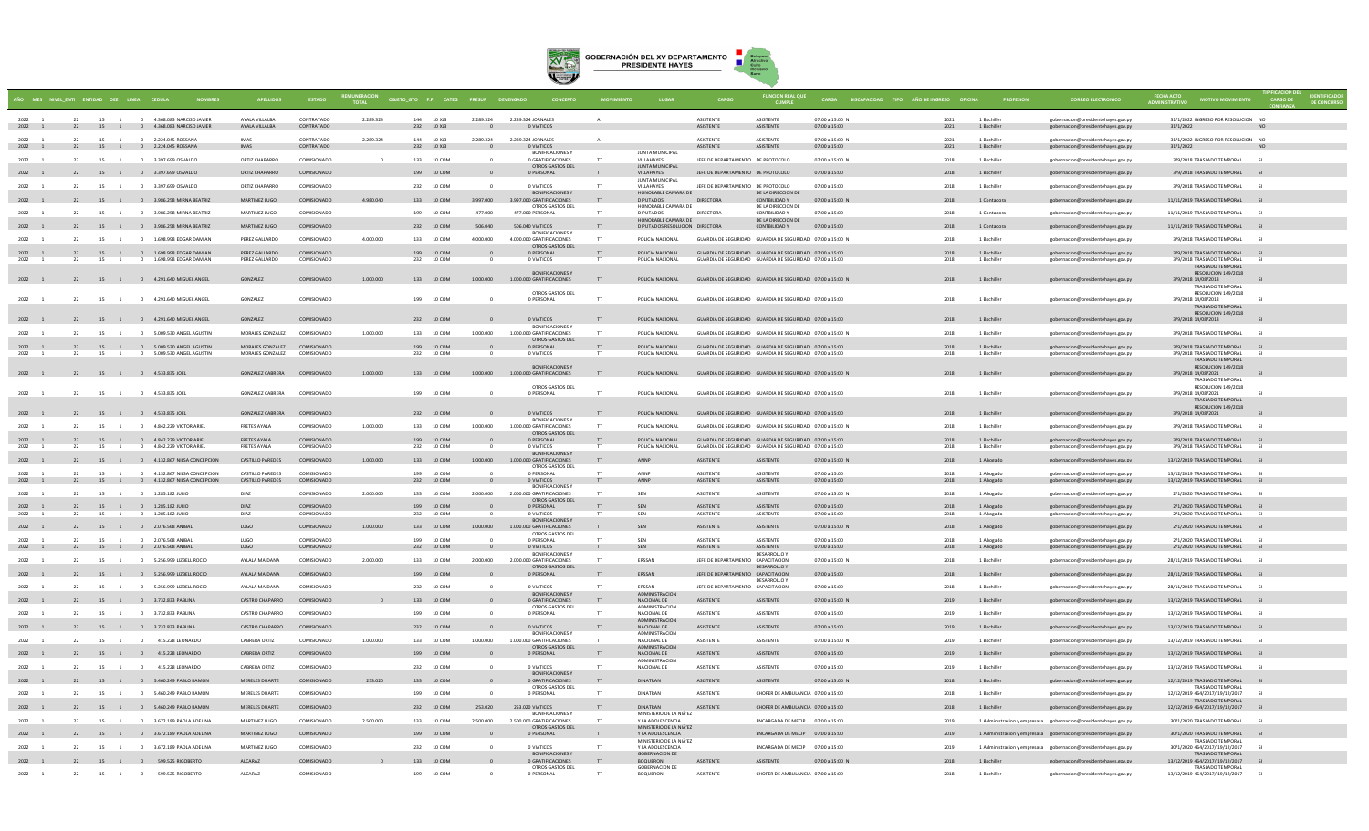

|                        |          |                                    | IO MES NIVELENTI ENTIDAD OEE LINEA CEDULA                                  |                                             | <b>ESTADO</b>              | <b>REMUNERACION</b>      | OBJETO GTO F.F. CATEG PRESUP |           |                                                                          |           |                                                                |                                                                                                                    | <b>FUNCION REAL QUE</b>                                   |                                  | CARGA DISCAPACIDAD TIPO AÑO DE INGRESO OFICINA |                            |                                                                          | <b>FECHA ACTO</b>                                               |                      |
|------------------------|----------|------------------------------------|----------------------------------------------------------------------------|---------------------------------------------|----------------------------|--------------------------|------------------------------|-----------|--------------------------------------------------------------------------|-----------|----------------------------------------------------------------|--------------------------------------------------------------------------------------------------------------------|-----------------------------------------------------------|----------------------------------|------------------------------------------------|----------------------------|--------------------------------------------------------------------------|-----------------------------------------------------------------|----------------------|
| 2022<br>2022 1         |          |                                    | 22 15 1 0 4.368.083 NARCISO JAVIER<br>22 15 1 0 4.368.083 NARCISO JAVIER   | AYALA VILLALBA<br>AYALA VILLALBA            | CONTRATADO<br>CONTRATADO   | 2.289.324                | 144 10 XJ3<br>232 10 XJ3     | 2.289.324 | 2.289.324 JORNALES<br>0 VIATICOS                                         |           |                                                                | ASISTENTE<br><b>ASISTENTE</b>                                                                                      | <b>ASISTENTE</b><br><b>ASISTENTE</b>                      | 07:00 a 15:00 N<br>07:00 a 15:00 | 2021<br>2021                                   | 1 Bachiller<br>1 Bachiller | gobernacion@presidentehayes.gov.py<br>gobernacion@presidentehayes.gov.py | 31/1/2022 INGRESO POR RESOLUCION NO<br>31/1/2022                |                      |
| 2022                   | 22       |                                    | 15 1 0 2.224.045.ROSSANA                                                   | <b>IMAS</b>                                 | CONTRATADO                 | 2.289.324                | 144 10 XI3                   | 2.289.324 | 2.289.324 JORNALES                                                       |           |                                                                | <b>ASISTENTE</b>                                                                                                   | <b>ASISTENTE</b>                                          | 07:00 a 15:00 N                  | 2021                                           | 1 Bachiller                | gobernacion@presidentehayes.gov.py                                       | 31/1/2022 INGRESO POR RESOLUCION NO                             |                      |
| 2022 1<br>2022 1       |          |                                    | 22 15 1 0 2.224.045 ROSSANA<br>22 15 1 0 3.397.699 OSVALDO                 | <b>IMAS</b><br>ORTIZ CHAPARRO               | CONTRATADO<br>COMISIONADO  | $\Omega$                 | 232 10 XJ3<br>133 10 COM     |           | 0 VIATICOS<br><b>BONIFICACIONES</b><br>0 GRATIFICACIONES                 | TT        | <b>IUNTA MUNICIPAL</b><br>VILLAHAYES                           | <b>ASISTENTE</b><br>JEFE DE DEPARTAMENTO DE PROTOCOLO                                                              | ASISTENTE                                                 | 07:00 a 15:00<br>07:00 a 15:00 N | 2021<br>2018                                   | 1 Bachiller<br>1 Bachiller | gobernacion@presidentehayes.gov.py<br>gobernacion@presidentehayes.gov.py | 31/1/2022<br>3/9/2018 TRASLADO TEMPORAL                         | S1                   |
| 2022 1                 |          |                                    | 22 15 1 0 3.397.699 OSVALDO                                                | ORTIZ CHAPARRO                              | COMISIONADO                |                          | 199 10 COM                   |           | OTROS GASTOS DEL<br>0 PERSONAL                                           | TT        | <b>IUNTA MUNICIPAL</b><br>VILLAHAYES                           | JEFE DE DEPARTAMENTO DE PROTOCOLO                                                                                  |                                                           | 07:00 a 15:00                    | 2018                                           | 1 Bachiller                | gobernacion@presidentehayes.gov.py                                       | 3/9/2018 TRASLADO TEMPORAL                                      |                      |
| 2022                   | 22       | 15 1                               | 0 3.397.699 OSVALDO                                                        | ORTIZ CHAPARRO                              | COMISIONADO                |                          | 232 10 COM                   |           | 0 VIATICOS                                                               |           | JUNTA MUNICIPAL<br>VILLAHAYES                                  | JEFE DE DEPARTAMENTO DE PROTOCOLO                                                                                  |                                                           | 07:00 a 15:00                    | 2018                                           | 1 Bachiller                | gobernacion@presidentehayes.gov.py                                       | 3/9/2018 TRASLADO TEMPORAL                                      | <b>SI</b>            |
| 2022 1                 | 22       |                                    | 15 1 0 3.986.258 MIRNA BEATRIZ                                             | MARTINEZ LUGO                               | COMISIONADO                | 4.980.040                | 133 10 COM                   | 3.997.000 | <b>BONIFICACIONES Y</b><br>3.997.000 GRATIFICACIONES                     | T         | HONORABLE CAMARA DE<br><b>DIPUTADOS</b>                        | DIRECTORA                                                                                                          | DE LA DIRECCION DE<br>CONTBILIDAD Y                       | 07:00 a 15:00 N                  | 2018                                           | 1 Contadora                | gobernacion@presidentehayes.gov.py                                       | 11/11/2019 TRASLADO TEMPORAL                                    |                      |
| 2022                   | 22       | 15<br>$\overline{1}$               | 0 3.986.258 MIRNA BEATRIZ                                                  | MARTINEZ LUGO                               | COMISIONADO                |                          | 199 10 COM                   | 477,000   | OTROS GASTOS DEL<br>477 000 PERSONAL                                     | <b>TT</b> | HONORABLE CAMARA DE<br><b>DIPUTADOS</b><br>HONORABLE CAMARA DE | DIRECTORA                                                                                                          | DE LA DIRECCION DE<br>CONTRILIDAD Y<br>DE LA DIRECCION DE | $07:00 \times 15:00$             | 2018                                           | 1 Contadora                | gobernacion@presidentehayes.gov.py                                       | 11/11/2019 TRASLADO TEMPORAL                                    | S1                   |
| 2022 1                 |          |                                    | 22 15 1 0 3.986.258 MIRNA BEATRIZ                                          | MARTINEZ LUGO                               | COMISIONADO                |                          | 232 10 COM                   | 506,040   | 506,040 VIATICOS<br><b>BONIFICACIONES Y</b>                              | TT        | DIPUTADOS RESOLUCION DIRECTORA                                 |                                                                                                                    | CONTBILIDAD Y                                             | 07:00 a 15:00                    | 2018                                           | 1 Contadora                | gobernacion@presidentehayes.gov.py                                       | 11/11/2019 TRASLADO TEMPORAL                                    | S1                   |
| 2022                   | 22       | 15                                 | 0 1.698.998 EDGAR DAMIAN                                                   | PEREZ GALLARDO                              | COMISIONADO                | 4.000.000                | 133 10 COM                   | 4.000.000 | 4.000.000 GRATIFICACIONES<br>OTROS GASTOS DEL                            | T         | POLICIA NACIONAL                                               | GUARDIA DE SEGURIDAD GUARDIA DE SEGURIDAD 07:00 a 15:00 N                                                          |                                                           |                                  | 2018                                           | 1 Bachiller                | gobernacion@presidentehayes.gov.py                                       | 3/9/2018 TRASLADO TEMPORAL                                      | S1                   |
| 2022 1<br>2022         | 22       | 15<br>$\mathbf{1}$                 | 22 15 1 0 1.698.998 EDGAR DAMIAN<br>0 1.698.998 EDGAR DAMIAN               | PEREZ GALLARDO<br>PEREZ GALLARDO            | COMISIONADO<br>COMISIONADO |                          | 199 10 COM<br>232<br>10 COM  |           | 0 PERSONAL<br>0 VIATICOS                                                 |           | POLICIA NACIONAL<br>POLICIA NACIONAL                           | GUARDIA DE SEGURIDAD GUARDIA DE SEGURIDAD 07:00 a 15:00<br>GUARDIA DE SEGURIDAD GUARDIA DE SEGURIDAD 07:00 a 15:00 |                                                           |                                  | 2018<br>2018                                   | 1 Bachiller<br>1 Bachiller | gobernacion@presidentehayes.gov.py<br>gobernacion@presidentehayes.gov.py | 3/9/2018 TRASLADO TEMPORAL<br>3/9/2018 TRASLADO TEMPORAL        | SI <sub>SI</sub>     |
| 2022 1                 |          |                                    | 22 15 1 0 4.291.640 MIGUEL ANGEL                                           | GONZALEZ                                    | COMISIONADO                | 1.000.000                | 133 10 COM                   | 1,000,000 | <b>BONIFICACIONES Y</b><br>1.000.000 GRATIFICACIONES                     | T         | POLICIA NACIONAL                                               | GUARDIA DE SEGURIDAD GUARDIA DE SEGURIDAD 07:00 a 15:00 N                                                          |                                                           |                                  | 2018                                           | 1 Bachiller                | gobernacion@presidentehayes.gov.py                                       | TRASLADO TEMPORAL<br>RESOLUCION 149/2018<br>3/9/2018 14/08/2018 |                      |
|                        |          |                                    |                                                                            |                                             |                            |                          |                              |           | OTROS GASTOS DEL                                                         |           |                                                                |                                                                                                                    |                                                           |                                  |                                                |                            |                                                                          | TRASLADO TEMPORAL<br>RESOLUCION 149/2018                        |                      |
| 2022 1                 | 22       | 15 1                               | 0 4.291.640 MIGUEL ANGEL                                                   | GONZALEZ                                    | COMISIONADO                |                          | 199 10 COM                   |           | 0 PERSONAL                                                               |           | POLICIA NACIONAL                                               | GUARDIA DE SEGURIDAD GUARDIA DE SEGURIDAD 07:00 a 15:00                                                            |                                                           |                                  | 2018                                           | 1 Bachiller                | gobernacion@presidentehayes.gov.py                                       | 3/9/2018 14/08/2018<br>TRASLADO TEMPORAL                        |                      |
| 2022 1                 |          |                                    | 22 15 1 0 4.291.640 MIGUEL ANGEL                                           | GONZALEZ                                    | COMISIONADO                |                          | 232 10 COM                   |           | 0 VIATICOS                                                               | T         | POLICIA NACIONAL                                               | GUARDIA DE SEGURIDAD GUARDIA DE SEGURIDAD 07:00 a 15:00                                                            |                                                           |                                  | 2018                                           | 1 Bachiller                | gobernacion@presidentehayes.gov.py                                       | RESOLUCION 149/2018<br>3/9/2018 14/08/2018                      |                      |
| 2022                   | 22       | 15                                 | 0 5.009.530 ANGEL AGUSTIN                                                  | MORALES GONZALEZ                            | COMISIONADO                | 1.000.000                | 133<br>10 COM                | 1.000.000 | <b>BONIFICACIONES \</b><br>1,000,000 GRATIFICACIONES<br>OTROS GASTOS DEL |           | POLICIA NACIONAL                                               | GUARDIA DE SEGURIDAD GUARDIA DE SEGURIDAD 07:00 a 15:00 N                                                          |                                                           |                                  | 2018                                           | 1 Bachiller                | gobernacion@presidentehayes.gov.py                                       | 3/9/2018 TRASLADO TEMPORAL                                      |                      |
| 2022 1<br>2022         | 22<br>22 | 15 1                               | 15 1 0 5.009.530 ANGEL AGUSTIN<br>0 5.009.530 ANGEL AGUSTIN                | MORALES GONZALEZ<br>MORALES GONZALEZ        | COMISIONADO<br>COMISIONADO |                          | 199 10 COM<br>232 10 COM     |           | 0 PERSONAL<br>0 VIATICOS                                                 | TT.       | POLICIA NACIONAL<br>POLICIA NACIONAL                           | GUARDIA DE SEGURIDAD GUARDIA DE SEGURIDAD 07:00 a 15:00<br>GUARDIA DE SEGURIDAD GUARDIA DE SEGURIDAD 07:00 a 15:00 |                                                           |                                  | 2018<br>2018                                   | 1 Bachiller<br>1 Bachiller | gobernacion@presidentehayes.gov.py<br>gobernacion@presidentehayes.gov.py | 3/9/2018 TRASLADO TEMPORAL<br>3/9/2018 TRASLADO TEMPORAL        | S1                   |
|                        |          |                                    |                                                                            |                                             |                            |                          |                              |           | <b>BONIFICACIONES Y</b>                                                  |           |                                                                |                                                                                                                    |                                                           |                                  |                                                |                            |                                                                          | TRASLADO TEMPORAL<br>RESOLUCION 149/2018                        |                      |
| 2022 1                 |          |                                    | 22 15 1 0 4.533.835 JOEL                                                   | GONZALEZ CABRERA COMISIONADO                |                            | 1.000.000                | 133 10 COM                   |           | 1.000.000 1.000.000 GRATIFICACIONES                                      | TT        | POLICIA NACIONAL                                               | GUARDIA DE SEGURIDAD GUARDIA DE SEGURIDAD 07:00 a 15:00 N                                                          |                                                           |                                  | 2018                                           | 1 Bachiller                | gobernacion@presidentehayes.gov.py                                       | 3/9/2018 14/08/2021<br><b>TRASLADO TEMPORAL</b>                 |                      |
| 2022                   | 22       | 15 1                               | 0 4.533.835 JOEL                                                           | <b>GONZALEZ CABRERA</b>                     | COMISIONADO                |                          | 199 10 COM                   |           | OTROS GASTOS DEL<br>0 PERSONAL                                           |           | POLICIA NACIONAL                                               | GUARDIA DE SEGURIDAD GUARDIA DE SEGURIDAD 07:00 a 15:00                                                            |                                                           |                                  | 2018                                           | 1 Bachiller                | gobernacion@presidentehayes.gov.py                                       | RESOLUCION 149/2018<br>3/9/2018 14/08/2021                      |                      |
| 2022 1                 |          |                                    | 22 15 1 0 4.533.835 JOEL                                                   | <b>GONZALEZ CABRERA</b>                     | COMISIONADO                |                          | 232 10 COM                   |           | 0 VIATICOS                                                               | T         | POLICIA NACIONAL                                               | GUARDIA DE SEGURIDAD GUARDIA DE SEGURIDAD 07:00 a 15:00                                                            |                                                           |                                  | 2018                                           | 1 Bachiller                | gobernacion@presidentehayes.gov.py                                       | TRASLADO TEMPORAL<br>RESOLUCION 149/2018<br>3/9/2018 14/08/2021 |                      |
| 2022                   | 22       |                                    | 15 1 0 4.842.229 VICTOR ARIEL                                              | <b>FRETES AYALA</b>                         | COMISIONADO                | 1,000,000                | 133 10 COM                   | 1.000.000 | <b>BONIFICACIONES</b><br>1,000,000 GRATIFICACIONES                       | TT        | POLICIA NACIONAL                                               | GUARDIA DE SEGURIDAD GUARDIA DE SEGURIDAD 07:00 a 15:00 N                                                          |                                                           |                                  | 2018                                           | 1 Bachiller                | gobernacion@presidentehayes.gov.py                                       | 3/9/2018 TRASLADO TEMPORAL                                      | $\sim$               |
| 2022 1                 |          |                                    | 22 15 1 0 4.842.229 VICTOR ARIEL                                           | <b>FRETES AYALA</b>                         | COMISIONADO                |                          | 199 10 COM                   |           | OTROS GASTOS DEL<br>0 PERSONAL                                           | T         | POLICIA NACIONAL                                               | GUARDIA DE SEGURIDAD GUARDIA DE SEGURIDAD 07:00 a 15:00                                                            |                                                           |                                  | 2018                                           | 1 Bachiller                | gobernacion@presidentehayes.gov.py                                       | 3/9/2018 TRASLADO TEMPORAL                                      | SI                   |
| 2022<br>$\overline{1}$ | 22       | 15 1                               | 0 4.842.229 VICTOR ARIEL                                                   | <b>FRETES AYALA</b>                         | COMISIONADO                |                          | 232 10 COM                   |           | 0 VIATICOS<br><b>BONIFICACIONES \</b>                                    | <b>TT</b> | POLICIA NACIONAL                                               | GUARDIA DE SEGURIDAD GUARDIA DE SEGURIDAD 07:00 a 15:00                                                            |                                                           |                                  | 2018                                           | 1 Bachiller                | gobernacion@presidentehayes.gov.py                                       | 3/9/2018 TRASLADO TEMPORAL                                      | S1                   |
| 2022 1                 | 22       |                                    | 15 1 0 4.132.867 NILSA CONCEPCION                                          | <b>CASTILLO PAREDES</b>                     | COMISIONADO                | 1.000.000                | 133 10 COM                   | 1.000.000 | 1,000,000 GRATIFICACIONES<br>OTROS GASTOS DEL                            | T         |                                                                | ASISTENTE                                                                                                          | <b>ASISTENTE</b>                                          | 07:00 a 15:00 N                  | 2018                                           | 1 Abogado                  | gobernacion@presidentehayes.gov.py                                       | 13/12/2019 TRASLADO TEMPORAL                                    | SI <sub>SI</sub>     |
| 2022<br>2022 1         | 22       |                                    | 15 1 0 4 132 867 NII SA CONCEPCION<br>22 15 1 0 4.132.867 NILSA CONCEPCION | CASTILLO PAREDES<br><b>CASTILLO PAREDES</b> | COMISIONADO<br>COMISIONADO |                          | 199 10 COM<br>232 10 COM     |           | n PERSONAL<br>0 VIATICOS                                                 | T         | <b>ANNP</b><br>ANNP                                            | <b>ASISTENTE</b><br>ASISTENTE                                                                                      | <b>ASISTENTE</b><br>ASISTENTE                             | 07:00 a 15:00<br>07:00 a 15:00   | 2018<br>2018                                   | 1 Abogado<br>1 Abogado     | gobernacion@presidentehayes.gov.py<br>gobernacion@presidentehayes.gov.py | 13/12/2019 TRASLADO TEMPORAL<br>13/12/2019 TRASLADO TEMPORAL    | $\mathbf{c}_1$<br>SI |
| 2022                   | 22       |                                    | 15 1 0 1.285.182 JULIO                                                     | DIA7                                        | COMISIONADO                | 2,000,000                | 133 10 COM                   | 2.000.000 | <b>BONIFICACIONES</b><br>2,000,000 GRATIFICACIONES                       |           | SEN                                                            | ASISTENTE                                                                                                          | ASISTENTE                                                 | 07:00 a 15:00 N                  | 2018                                           | 1 Abogado                  | gobernacion@presidentehayes.gov.py                                       | 2/1/2020 TRASLADO TEMPORAL                                      | S1                   |
| 2022 1<br>2022 1       | 22       |                                    | 22 15 1 0 1.285.182 JULIO<br>15 1 0 1.285.182 JULIO                        | DIAZ<br><b>DIAZ</b>                         | COMISIONADO<br>COMISIONADO |                          | 199 10 COM<br>232 10 COM     |           | OTROS GASTOS DEL<br>0 PERSONAL<br>O VIATICOS                             |           | SEN<br>SEN                                                     | <b>ASISTENTE</b><br>ASISTENTE                                                                                      | <b>ASISTENTE</b><br>ASISTENTE                             | 07:00 a 15:00<br>07:00 a 15:00   | 2018<br>2018                                   | 1 Abogado<br>1 Abogado     | gobernacion@presidentehayes.gov.py<br>gobernacion@presidentehaves.gov.pv | 2/1/2020 TRASLADO TEMPORAL SI<br>2/1/2020 TRASLADO TEMPORAL     | - 51                 |
| 2022 1                 |          |                                    | 22 15 1 0 2.076.568 ANIBAL                                                 | LUGO                                        | COMISIONADO                | 1,000,000                | 133 10 COM                   | 1,000,000 | <b>BONIFICACIONES Y</b><br>1,000,000 GRATIFICACIONES                     | T         | SEN                                                            | ASISTENTE                                                                                                          | <b>ASISTENTE</b>                                          | 07:00 a 15:00 N                  | 2018                                           | 1 Abogado                  | gobernacion@presidentehayes.gov.py                                       | 2/1/2020 TRASLADO TEMPORAL SI                                   |                      |
| 2022                   | 22       | 15 1                               | 0 2.076 568 ANIBAL                                                         | 11160                                       | COMISIONADO                |                          | 199 10 COM                   |           | OTROS GASTOS DEL<br>0 PERSONAL                                           |           | <b>SEN</b>                                                     | <b>ASISTENTE</b>                                                                                                   | <b>ASISTENTE</b>                                          | 07:00 a 15:00                    | 2018                                           | 1 Abogado                  | gobernacion@presidentehayes.gov.p                                        | 2/1/2020 TRASLADO TEMPORAL                                      |                      |
| 2022 1                 |          |                                    | 22 15 1 0 2.076.568 ANIBAL                                                 | LUGO                                        | COMISIONADO                |                          | 232 10 COM                   |           | 0 VIATICOS<br><b>BONIFICACIONES \</b>                                    | TT        | SEN                                                            | ASISTENTE                                                                                                          | <b>ASISTENTE</b><br>DESARROLLO'                           | 07:00 a 15:00                    | 2018                                           | 1 Abogado                  | gobernacion@presidentehayes.gov.py                                       | 2/1/2020 TRASLADO TEMPORAL                                      | S1                   |
| 2022                   | 22       |                                    | 15 1 0 5.256.999 LIZBELL ROCIO                                             | AYLALA MAIDANA                              | COMISIONADO                | 2,000,000                | 133 10 COM                   | 2,000,000 | 2.000.000 GRATIFICACIONES<br>OTROS GASTOS DEL                            | TT        | <b>FRSSAN</b>                                                  | IFFE DE DEPARTAMENTO CAPACITACION                                                                                  | <b>DESARROLLO Y</b>                                       | 07:00 a 15:00 N                  | 2018                                           | 1 Bachiller                | gobernacion@presidentehayes.gov.py                                       | 28/11/2019 TRASLADO TEMPORAL                                    | S1                   |
| 2022 1                 |          |                                    | 22 15 1 0 5.256.999 LIZBELL ROCIO                                          | AYLALA MAIDANA                              | COMISIONADO                |                          | 199 10 COM                   |           | 0 PERSONAL                                                               | TT        | ERSSAN                                                         | JEFE DE DEPARTAMENTO CAPACITACION                                                                                  | <b>DESARROLLO</b>                                         | 07:00 a 15:00                    | 2018                                           | 1 Bachiller                | gobernacion@presidentehayes.gov.py                                       | 28/11/2019 TRASLADO TEMPORAL                                    | S1                   |
| 2022                   | 22       | 15 1                               | 0 5.256.999 LIZBELL ROCIO                                                  | AYLALA MAIDANA                              | COMISIONADO                |                          | 10 COM<br>232                |           | 0 VIATICOS<br><b>BONIFICACIONES Y</b>                                    |           | ERSSAN<br>ADMINISTRACION                                       | JEFE DE DEPARTAMENTO CAPACITACION                                                                                  |                                                           | 07:00 a 15:00                    | 2018                                           | 1 Bachiller                | gobernacion@presidentehayes.gov.py                                       | 28/11/2019 TRASLADO TEMPORAL                                    |                      |
| 2022 1                 |          |                                    | 22 15 1 0 3.732.833 PABLINA                                                | <b>CASTRO CHAPARRO</b>                      | COMISIONADO                |                          | 133 10 COM                   |           | 0 GRATIFICACIONES<br>OTROS GASTOS DE                                     | T         | NACIONAL DE<br>ADMINISTRACION                                  | <b>ASISTENTE</b>                                                                                                   | ASISTENTE                                                 | 07:00 a 15:00 N                  | 2019                                           | 1 Bachiller                | gobernacion@presidentehayes.gov.py                                       | 13/12/2019 TRASLADO TEMPORAL                                    | S1                   |
| 2022                   | 22       | 15 1                               | 0 3.732.833 PABLINA                                                        | CASTRO CHAPARRO                             | COMISIONADO                |                          | 199 10 COM                   |           | 0 PERSONAL                                                               |           | NACIONAL DE<br>ADMINISTRACION                                  | <b>ASISTENTE</b>                                                                                                   | <b>ASISTENTE</b>                                          | 07:00 a 15:00                    | 2019                                           | 1 Bachiller                | gobernacion@presidentehayes.gov.py                                       | 13/12/2019 TRASLADO TEMPORAL                                    | $1$                  |
| 2022 1                 |          |                                    | 22 15 1 0 3.732.833 PABLINA                                                | <b>CASTRO CHAPARRO</b>                      | COMISIONADO                |                          | 232 10 COM                   |           | 0 VIATICOS<br><b>BONIFICACIONES Y</b>                                    | TT        | NACIONAL DE<br><b>ADMINISTRACION</b>                           | <b>ASISTENTE</b>                                                                                                   | ASISTENTE                                                 | 07:00 a 15:00                    | 2019                                           | 1 Bachiller                | gobernacion@presidentehayes.gov.py                                       | 13/12/2019 TRASLADO TEMPORAL                                    | S                    |
| 2022                   | 22       | 15<br>$\overline{1}$               | $\mathbf{0}$<br>415.228 LEONARDO                                           | CABRERA ORTIZ                               | COMISIONADO                | 1,000,000                | 133 10 COM                   | 1.000.000 | 1,000,000 GRATIFICACIONES<br>OTROS GASTOS DEL                            |           | NACIONAL DE<br>ADMINISTRACION                                  | <b>ASISTENTE</b>                                                                                                   | <b>ASISTENTE</b>                                          | 07:00 a 15:00 N                  | 2019                                           | 1 Bachiller                | gobernacion@presidentehaves.gov.pv                                       | 13/12/2019 TRASLADO TEMPORAL                                    | S                    |
| 2022 1                 | 22       | 15 1 0                             | 22 15 1 0 415.228 LEONARDO<br>415.228 LEONARDO                             | CABRERA ORTIZ<br>CABRERA ORTIZ              | COMISIONADO<br>COMISIONADO |                          | 199 10 COM<br>232 10 COM     |           | 0 PERSONAL<br>0 VIATICOS                                                 |           | NACIONAL DE<br><b>ADMINISTRACION</b><br>NACIONAL DE            | <b>ASISTENTE</b><br>ASISTENTE                                                                                      | ASISTENTE<br><b>ASISTENTE</b>                             | 07:00 a 15:00<br>07:00 a 15:00   | 2019<br>2019                                   | 1 Bachiller<br>1 Bachiller | gobernacion@presidentehayes.gov.py                                       | 13/12/2019 TRASLADO TEMPORAL<br>13/12/2019 TRASLADO TEMPORAL    | S1                   |
|                        |          |                                    | 15 1 0 5.460.249 PABLO RAMON                                               | MERELES DUARTE                              | COMISIONADO                | 253.020                  | 133 10 COM                   |           | <b>BONIFICACIONES Y</b><br>0 GRATIFICACIONES                             | T         | DINATRAN                                                       | <b>ASISTENTE</b>                                                                                                   | ASISTENTE                                                 | 07:00 a 15:00 N                  | 2018                                           | 1 Bachiller                | gobernacion@presidentehayes.gov.py                                       | 12/12/2019 TRASLADO TEMPORAL                                    |                      |
| 2022                   | 22       |                                    | 15 1 0 5.460.249 PARIO RAMON                                               | MERFLES DUARTE                              | COMISIONADO                |                          | 199 10 COM                   |           | OTROS GASTOS DE<br>0 PERSONAL                                            | <b>TT</b> | <b>DINATRAN</b>                                                | <b>ASISTENTE</b>                                                                                                   | CHOFFR DE AMBULANCIA 07:00 a 15:00                        |                                  | 2018                                           | 1 Bachiller                | gobernacion@presidentehayes.gov.py<br>gobernacion@presidentehayes.gov.py | TRASLADO TEMPORAL<br>12/12/2019 464/2017/ 19/12/2017            | S1                   |
| 2022 1                 |          |                                    | 22 15 1 0 5.460.249 PABLO RAMON                                            | MERELES DUARTE                              | COMISIONADO                |                          | 232 10 COM                   | 253,020   | 253,020 VIATICOS                                                         | T         | <b>DINATRAN</b>                                                | ASISTENTE                                                                                                          | CHOFER DE AMBULANCIA 07:00 a 15:00                        |                                  | 2018                                           | 1 Bachiller                | gobernacion@presidentehayes.gov.py                                       | <b>TRASLADO TEMPORAL</b><br>12/12/2019 464/2017/ 19/12/2017     | S                    |
| 2022                   | 22       |                                    | 15 1 0 3.672.189 PAOLA ADELINA                                             | MARTINEZ LUGO                               | COMISIONADO                | 2.500.000                | 133 10 COM                   | 2.500.000 | <b>BONIFICACIONES \</b><br>2.500.000 GRATIFICACIONES                     |           | MINISTERIO DE LA NIÃ'EZ<br>Y LA ADOLESCENCIA                   |                                                                                                                    | ENCARGADA DE MECIP 07:00 a 15:00                          |                                  | 2019                                           |                            | 1 Administracion y empresasa gobernacion@presidentehayes.gov.py          | 30/1/2020 TRASLADO TEMPORAL                                     | S1                   |
| 2022 1                 | 22       |                                    | 15 1 0 3.672.189 PAOLA ADELINA                                             | MARTINEZ LUGO                               | COMISIONADO                |                          | 199 10 COM                   |           | OTROS GASTOS DEL<br>0 PERSONAL                                           | T         | MINISTERIO DE LA NIÃ'EZ<br>Y LA ADOLESCENCIA                   |                                                                                                                    | ENCARGADA DE MECIP 07:00 a 15:00                          |                                  | 2019                                           |                            | 1 Administracion y empresasa gobernacion@presidentehayes.gov.py          | 30/1/2020 TRASLADO TEMPORAL                                     | SI                   |
| 2022                   | 22       | 15<br>$\overline{1}$               | 0 3.672.189 PAOLA ADELINA                                                  | MARTINEZ LUGO                               | COMISIONADO                |                          | 232 10 COM                   |           | 0 VIATICOS                                                               |           | MINISTERIO DE LA NIÃ'EZ<br>Y LA ADOLESCENCIA                   |                                                                                                                    | ENCARGADA DE MECIP 07:00 a 15:00                          |                                  | 2019                                           |                            | 1 Administracion y empresasa gobernacion@presidentehayes.gov.py          | TRASLADO TEMPORA<br>30/1/2020 464/2017/ 19/12/2017              | $\mathbf{c}_1$       |
| 2022 1                 |          | 22 15 1 0                          | 599.525 RIGOBERTO                                                          | AICARAZ                                     | COMISIONADO                | $\overline{\phantom{0}}$ | 133 10 COM                   |           | <b>BONIFICACIONES Y</b><br>0 GRATIFICACIONES                             |           | GORERNACION DE<br><b>BOOUFRON</b>                              | <b>ASISTENTE</b>                                                                                                   | ASISTENTE                                                 | 07:00 a 15:00 N                  | 2018                                           | 1 Rachiller                | gobernacion@presidentehayes.gov.py                                       | TRASI ADO TEMPORAL<br>13/12/2019 464/2017/ 19/12/2017           |                      |
| $2022 - 1$             | 22       | $15 \qquad \quad 1 \qquad \quad 0$ | 599.525 RIGOBERTO                                                          | ALCARAZ                                     | COMISIONADO                |                          | 199 10 COM                   |           | OTROS GASTOS DEL<br>0 PERSONAL                                           |           | <b>GOBERNACION DE</b><br>BOQUERON                              | <b>ASISTENTE</b>                                                                                                   | CHOFER DE AMBULANCIA 07:00 a 15:00                        |                                  | 2018                                           | 1 Bachiller                | gobernacion@presidentehayes.gov.py                                       | <b>TRASLADO TEMPORAL</b><br>13/12/2019 464/2017/ 19/12/2017     | S1                   |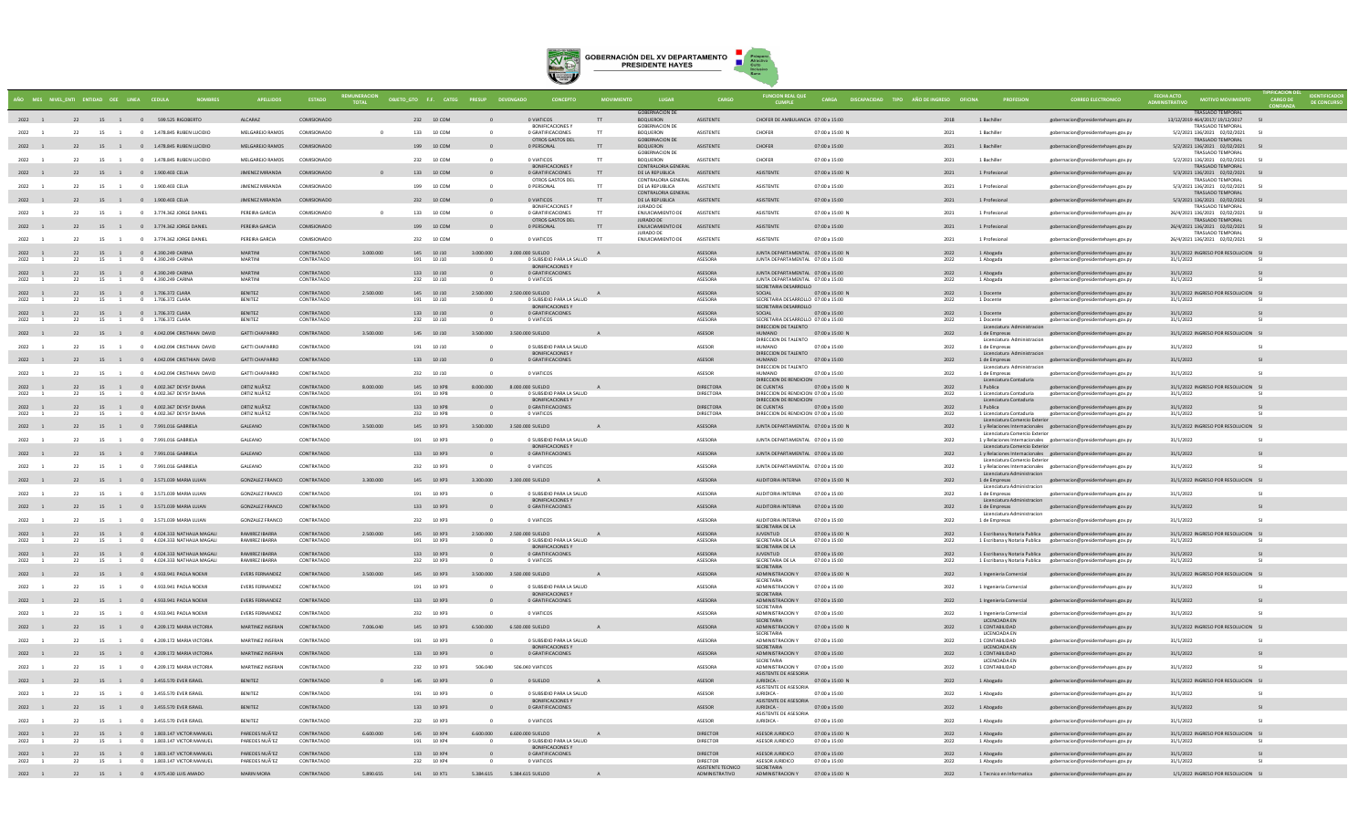

|                |          |                      | MES NIVEL ENTI ENTIDAD OEE LINEA CEDULA                         |                                  |                          | REMUNERACION OBJETO_GTO F.F. CATEG PRESUP DEVENGADO |     |                          |              |                                                        |     |                                              |                               | <b>FUNCION REAL QUE</b>                                                 |                                  | CARGA DISCAPACIDAD TIPO AÑO DE INGRESO OFICINA |                                                             |                                                                                                        |                                                           |        | <b>IDENTIFICA</b><br>DE CONCUI |
|----------------|----------|----------------------|-----------------------------------------------------------------|----------------------------------|--------------------------|-----------------------------------------------------|-----|--------------------------|--------------|--------------------------------------------------------|-----|----------------------------------------------|-------------------------------|-------------------------------------------------------------------------|----------------------------------|------------------------------------------------|-------------------------------------------------------------|--------------------------------------------------------------------------------------------------------|-----------------------------------------------------------|--------|--------------------------------|
| 2022 1         |          |                      | 22 15 1 0 599.525 RIGOBERTO                                     | <b>ALCARAZ</b>                   | COMISIONADO              |                                                     |     | 232 10 COM               |              | 0 VIATICOS                                             |     | <b>GOBERNACION DE</b><br><b>BOQUERON</b>     | <b>ASISTENTE</b>              | CHOFER DE AMBULANCIA 07:00 a 15:00                                      |                                  | 2018                                           | 1 Bachiller                                                 | gobernacion@presidentehayes.gov.py                                                                     | TRASLADO TEMPORAL<br>13/12/2019 464/2017/ 19/12/2017      |        |                                |
| 2022           | 22       |                      | 15 1 0 1.478.845 RUBEN LUCIDIO                                  | MELGAREIO RAMOS                  | COMISIONADO              |                                                     |     | 133 10 COM               | $\sim$       | <b>BONIFICACIONES</b><br>0 GRATIFICACIONES             | TT. | <b>GOBERNACION DE</b><br><b>ROOLIERON</b>    | <b>ASISTENTE</b>              | CHOEFR                                                                  | 07:00 a 15:00 N                  | 2021                                           | 1 Rachiller                                                 | gobernacion@presidentehayes.gov.py                                                                     | <b>TRASLADO TEMPORAL</b><br>5/2/2021 136/2021 02/02/2021  | $^{c}$ |                                |
| 2022 1         |          |                      | 22 15 1 0 1.478.845 RUBEN LUCIDIO                               | MELGAREJO RAMOS                  | COMISIONADO              |                                                     |     | 199 10 COM               |              | OTROS GASTOS DEL<br>0 PERSONAL                         | T   | <b>GORFRNACION DE</b><br><b>BOQUERON</b>     | ASISTENTE                     | CHOFER                                                                  | 07:00 a 15:00                    | 2021                                           | 1 Bachiller                                                 | gobernacion@presidentehayes.gov.py                                                                     | TRASLADO TEMPORAL<br>5/2/2021 136/2021 02/02/2021         |        |                                |
| 2022           | 22       |                      | 15 1 0 1.478.845 RUBEN LUCIDIO                                  | MELGAREJO RAMOS                  | COMISIONADO              |                                                     |     | 232 10 COM               | $\circ$      | 0 VIATICOS                                             | T   | <b>GOBERNACION DE</b><br>BOQUERON            | ASISTENTE                     | CHOFER                                                                  | 07:00 a 15:00                    | 2021                                           | 1 Bachiller                                                 | gobernacion@presidentehayes.gov.py                                                                     | <b>TRASLADO TEMPORAL</b><br>5/2/2021 136/2021 02/02/2021  |        |                                |
| 2022 1         |          |                      | 22 15 1 0 1.900.403 CELIA                                       | JIMENEZ MIRANDA                  | COMISIONADO              | $\overline{0}$                                      |     | 133 10 COM               |              | <b>BONIFICACIONES Y</b><br>0 GRATIFICACIONES           | TT  | CONTRALORIA GENERAL<br>DE LA REPUBLICA       | ASISTENTE                     | ASISTENTE                                                               | 07:00 a 15:00 N                  | 2021                                           | 1 Profesional                                               | gobernacion@presidentehayes.gov.py                                                                     | <b>TRASLADO TEMPORAL</b><br>5/3/2021 136/2021 02/02/2021  |        |                                |
| 2022           | 22       | 15 1                 | 0 1.900.403 CELIA                                               | JIMENEZ MIRANDA                  | COMISIONADO              |                                                     |     | 199 10 COM               |              | OTROS GASTOS DEL<br>0 PERSONAL                         |     | CONTRALORIA GENERAL<br>DE LA REPUBLICA       | ASISTENTI                     | ASISTENTE                                                               | 07:00 a 15:00                    | 2021                                           | 1 Profesional                                               | gobernacion@presidentehayes.gov.py                                                                     | <b>TRASLADO TEMPORAL</b><br>5/3/2021 136/2021 02/02/2021  |        |                                |
| 2022 1         |          |                      | 22 15 1 0 1.900.403 CELIA                                       | JIMENEZ MIRANDA                  | COMISIONADO              |                                                     |     | 232 10 COM               |              | 0 VIATICOS                                             | TT  | CONTRALORIA GENERAL<br>DE LA REPUBLICA       | ASISTENTE                     | ASISTENTE                                                               | 07:00 a 15:00                    | 2021                                           | 1 Profesional                                               | gobernacion@presidentehayes.gov.py                                                                     | TRASLADO TEMPORAL<br>5/3/2021 136/2021 02/02/2021         |        |                                |
| 2022           | 22       | 15 1                 | 0 3.774.362 JORGE DANIEL                                        | PEREIRA GARCIA                   | COMISIONADO              | $\sim$                                              |     | 133 10 COM               |              | <b>BONIFICACIONES Y</b><br>0 GRATIFICACIONES           | T   | <b>IURADO DE</b><br>ENJUICIAMIENTO DE        | ASISTENTE                     | <b>ASISTENTE</b>                                                        | 07:00 a 15:00 N                  | 2021                                           | 1 Profesional                                               | gobernacion@presidentehayes.gov.py                                                                     | TRASI ADO TEMPORAL<br>26/4/2021 136/2021 02/02/2021       |        |                                |
| 2022 1         |          |                      | 22 15 1 0 3.774.362 JORGE DANIEL                                | PEREIRA GARCIA                   | COMISIONADO              |                                                     |     | 199 10 COM               |              | OTROS GASTOS DEL<br>0 PERSONAL                         | T   | <b>IURADO DE</b><br><b>ENJUICIAMIENTO DE</b> | ASISTENTE                     | ASISTENTE                                                               | 07:00 a 15:00                    | 2021                                           | 1 Profesional                                               | gobernacion@presidentehayes.gov.py                                                                     | TRASLADO TEMPORAL<br>26/4/2021 136/2021 02/02/2021 SI     |        |                                |
| 2022           | 22       | 15 1                 | 0 3.774.362 JORGE DANIEL                                        | PEREIRA GARCIA                   | COMISIONADO              |                                                     |     | 232 10 COM               |              | 0 VIATICOS                                             |     | JURADO DE<br>ENJUICIAMIENTO DE               | ASISTENTE                     | ASISTENTE                                                               | 07:00 a 15:00                    | 2021                                           | 1 Profesional                                               | gobernacion@presidentehayes.gov.py                                                                     | <b>TRASLADO TEMPORAL</b><br>26/4/2021 136/2021 02/02/2021 |        |                                |
| 2022 1         | 22       |                      | 15 1 0 4.390.249 CARINA                                         | MARTINI                          | CONTRATADO               | 3.000.000                                           |     | 145 10 J10               | 3.000.000    | 3.000.000 SUELDO                                       |     |                                              | ASESORA                       | JUNTA DEPARTAMENTAL 07:00 a 15:00 N                                     |                                  | 2022                                           | 1 Abogada                                                   | gobernacion@presidentehayes.gov.py                                                                     | 31/1/2022 INGRESO POR RESOLUCION SI                       |        |                                |
| 2022           | 22       | 15                   | 4.390.249 CARINA                                                | MARTIN                           | CONTRATADO               |                                                     | 191 | 10 J10                   |              | 0 SUBSIDIO PARA LA SALUD<br><b>BONIFICACIONES V</b>    |     |                                              | ASESORA                       | JUNTA DEPARTAMENTAL 07:00 a 15:00                                       |                                  | 2022                                           | 1 Abogada                                                   | gobernacion@presidentehayes.gov.py                                                                     | 31/1/2022                                                 |        |                                |
| 2022 1<br>2022 | 22       | 15<br>$\overline{1}$ | 22 15 1 0 4.390.249 CARINA<br>0 4.390.249 CARINA                | <b>MARTINI</b><br>MARTINI        | CONTRATADO<br>CONTRATADO |                                                     |     | 133 10 J10<br>232 10 J10 | $\Omega$     | 0 GRATIFICACIONES<br>0 VIATICOS                        |     |                                              | ASESORA<br>ASESORA            | JUNTA DEPARTAMENTAL 07:00 a 15:00<br>ILINTA DEPARTAMENTAL 07:00 a 15:00 |                                  | 2022<br>2022                                   | 1 Abogada<br>1 Abogada                                      | gobernacion@presidentehayes.gov.py<br>gobernacion@presidentehayes.gov.py                               | 31/1/2022<br>31/1/2022                                    |        |                                |
| 2022 1         | 22       |                      | 15 1 0 1.706.372 CLARA                                          | <b>BENITEZ</b>                   | CONTRATADO               | 2.500.000                                           |     | 145 10 J10               | 2.500.000    | 2.500,000 SUELDO                                       |     |                                              | ASESORA                       | SECRETARIA DESARROLLO<br>SOCIAL                                         | 07:00 a 15:00 N                  | 2022                                           | 1 Docente                                                   | gobernacion@presidentehayes.gov.py                                                                     | 31/1/2022 INGRESO POR RESOLUCION SI                       |        |                                |
| 2022           | 22       | 15<br>$\overline{1}$ | 0 1.706.372 CLARA                                               | <b>BENITEZ</b>                   | CONTRATADO               |                                                     |     | 191 10 J10               |              | 0 SUBSIDIO PARA LA SALUD<br><b>BONIFICACIONES Y</b>    |     |                                              | ASESORA                       | SECRETARIA DESARROLLO 07:00 a 15:00<br>SECRETARIA DESARROLLO            |                                  | 2022                                           | 1 Docente                                                   | gobernacion@presidentehaves.gov.pv                                                                     | 31/1/2022                                                 |        |                                |
| 2022 1<br>2022 |          | 15                   | 22 15 1 0 1.706.372 CLARA<br>1.706.372 CLARA                    | <b>BENITEZ</b><br><b>BENITEZ</b> | CONTRATADO<br>CONTRATADO |                                                     | 232 | 133 10 J10<br>10 J10     |              | 0 GRATIFICACIONES<br>0 VIATICOS                        |     |                                              | ASESORA<br>ASESORA            | SOCIAL<br>SECRETARIA DESARROLLO 07:00 a 15:00                           | 07:00 a 15:00                    | 2022<br>2022                                   | 1 Docente<br>1 Docente                                      | gobernacion@presidentehayes.gov.py<br>gobernacion@presidentehayes.gov.py                               | 31/1/2022<br>31/1/2022                                    |        |                                |
| 2022 1         |          |                      | 22 15 1 0 4.042.094 CRISTHIAN DAVID                             | <b>GATTI CHAPARRO</b>            | CONTRATADO               | 3.500.000                                           |     | 145 10 J10               |              | 3.500.000 3.500.000 SUELDO                             |     |                                              | ASESOR                        | DIRECCION DE TALENTO<br>HUMANO                                          | 07:00 a 15:00 N                  | 2022                                           | Licenciatura Admi<br>1 de Empresas                          |                                                                                                        | 31/1/2022 INGRESO POR RESOLUCION SI                       |        |                                |
|                | 22       | $\sim$ 1             |                                                                 | GATTLCHAPARRO                    | CONTRATADO               |                                                     |     |                          | $\sim$       | O SURSIDIO PARA LA SALLID                              |     |                                              | ASESOR                        | DIRECCION DE TALENTO<br><b>OIAANIH</b>                                  |                                  | 2022                                           | Licenciatura Administracion                                 | gobernacion@presidentehayes.gov.py                                                                     |                                                           |        |                                |
| 2022           |          | 15                   | 0 4.042.094 CRISTHIAN DAVID                                     |                                  |                          |                                                     |     | 191 10 J10               |              | <b>BONIFICACIONES Y</b>                                |     |                                              |                               | DIRECCION DE TALENTO                                                    | 07:00 a 15:00                    |                                                | 1 de Empresas<br>Licenciatura Administracion                | gobernacion@presidentehayes.gov.py                                                                     | 31/1/2022                                                 |        |                                |
| 2022 1         |          |                      | 22 15 1 0 4.042.094 CRISTHIAN DAVID                             | <b>GATTI CHAPARRO</b>            | CONTRATADO               |                                                     |     | 133 10 J10               | $\mathbf{0}$ | 0 GRATIFICACIONES                                      |     |                                              | <b>ASESOR</b>                 | HUMANO<br>DIRECCION DE TALENTO                                          | 07:00 a 15:00                    | 2022                                           | 1 de Empresas<br>Licenciatura Administracion                | gobernacion@presidentehayes.gov.py                                                                     | 31/1/2022                                                 |        |                                |
| 2022           | 22       | 15 1                 | 0 4.042.094 CRISTHIAN DAVID                                     | <b>GATTI CHAPARRO</b>            | CONTRATADO               |                                                     |     | 232 10 J10               |              | 0 VIATICOS                                             |     |                                              | ASESOR                        | HUMANO<br>DIRECCION DE RENDICION                                        | 07:00 a 15:00                    | 2022                                           | 1 de Empresas<br>Licenciatura Contaduria                    | gobernacion@presidentehayes.gov.py                                                                     | 31/1/2022                                                 |        |                                |
| 2022 1<br>2022 | 22       | 15                   | 22 15 1 0 4.002.367 DEYSY DIANA<br>4.002.367 DEYSY DIAN/        | ORTIZ NUÃ'EZ<br>ORTIZ NUÃ'EZ     | CONTRATADO<br>CONTRATADO | 8.000.000                                           | 191 | 145 10 XP8<br>10 XP8     |              | 8.000.000 8.000.000 SUELDO<br>0 SUBSIDIO PARA LA SALUD | A   |                                              | <b>DIRECTORA</b><br>DIRECTORA | DE CUENTAS 07:00 a 15:00 N<br>DIRECCION DE RENDICION 07:00 a 15:00      |                                  | 2022<br>2022                                   | 1 Publica<br>1 Licenciatura Contaduria                      | gobernacion@presidentehayes.gov.py<br>gobernacion@presidentehayes.gov.py                               | 31/1/2022 INGRESO POR RESOLUCION SI<br>31/1/2022          |        |                                |
| $2022$ 1       | 22       |                      | 15 1 0 4.002.367 DEYSY DIANA                                    | ORTIZ NUÃ'EZ                     | CONTRATADO               |                                                     |     | 133 10 XP8               |              | <b>BONIFICACIONES Y</b><br>0 GRATIFICACIONES           |     |                                              | DIRECTORA                     | DIRECCION DE RENDICION<br>DE CUENTAS                                    | 07:00 a 15:00                    | 2022                                           | Licenciatura Contaduria<br>1 Publica                        | gobernacion@presidentehayes.gov.py                                                                     | 31/1/2022                                                 |        |                                |
| 2022           | 22       | 15<br><sup>1</sup>   | 0 4.002.367 DEYSY DIANA                                         | ORTIZ NUÃ'EZ                     | CONTRATADO               |                                                     |     | 232 10 XP8               |              | 0 VIATICOS                                             |     |                                              | DIRECTORA                     | DIRECCION DE RENDICION 07:00 a 15:00                                    |                                  | 2022                                           | 1 Licenciatura Contaduria<br>Licenciatura Comercio Exterior | gobernacion@presidentehayes.gov.py                                                                     | 31/1/2022                                                 |        |                                |
| 2022 1         |          |                      | 22 15 1 0 7.991.016 GABRIELA                                    | GALEANO                          | CONTRATADO               | 3.500.000                                           |     | 145 10 XP3               | 3.500.000    | 3,500,000 SUELDO                                       | A   |                                              | ASESORA                       | JUNTA DEPARTAMENTAL 07:00 a 15:00 N                                     |                                  | 2022                                           | Licenciatura Comercio Exterior                              | 1 y Relaciones Internacionales gobernacion@presidentehayes.gov.py                                      | 31/1/2022 INGRESO POR RESOLUCION SI                       |        |                                |
| 2022           | 22       |                      | 15 1 0 7.991.016 GABRIELA                                       | GALEANO                          | CONTRATADO               |                                                     |     | 191 10 XP3               | $\circ$      | 0 SUBSIDIO PARA LA SALUD<br><b>BONIFICACIONES Y</b>    |     |                                              | ASESORA                       | JUNTA DEPARTAMENTAL 07:00 a 15:00                                       |                                  | 2022                                           | Licenciatura Comercio Exterior                              | 1 y Relaciones Internacionales gobernacion@presidentehayes.gov.py                                      | 31/1/2022                                                 |        |                                |
| 2022 1         |          |                      | 22 15 1 0 7.991.016 GABRIELA                                    | GALEANO                          | CONTRATADO               |                                                     |     | 133 10 XP3               |              | 0 GRATIFICACIONES                                      |     |                                              | ASESORA                       | JUNTA DEPARTAMENTAL 07:00 a 15:00                                       |                                  | 2022                                           | Licenciatura Comercio Exterior                              | 1 y Relaciones Internacionales gobernacion@presidentehayes.gov.py                                      | 31/1/2022                                                 |        |                                |
| 2022           | 22       | 15 1                 | 0 7.991.016 GABRIEL/                                            | GALEANO                          | CONTRATADO               |                                                     |     | 232 10 XP3               |              | 0 VIATICOS                                             |     |                                              | ASESORA                       | JUNTA DEPARTAMENTAL 07:00 a 15:00                                       |                                  | 2022                                           | Licenciatura Administracion                                 | 1 y Relaciones Internacionales gobernacion@presidentehayes.gov.py                                      | 31/1/2022                                                 |        |                                |
| 2022 1         |          |                      | 22 15 1 0 3.571.039 MARIA LUJAN                                 | <b>GONZALEZ FRANCO</b>           | CONTRATADO               | 3,300,000                                           |     | 145 10 XP3               | 3.300.000    | 3.300.000 SUELDO                                       |     |                                              | ASESORA                       | AUDITORIA INTERNA 07:00 a 15:00 N                                       |                                  | 2022                                           | 1 de Empresas<br>Licenciatura Administracion                | gobernacion@presidentehayes.gov.py                                                                     | 31/1/2022 INGRESO POR RESOLUCION SI                       |        |                                |
| 2022           | 22       | 15 1                 | 0 3.571.039 MARIA LUJAN                                         | <b>GONZALEZ FRANCO</b>           | CONTRATADO               |                                                     |     | 191 10 XP3               | $\sim$       | 0 SUBSIDIO PARA LA SALUD                               |     |                                              | ASESORA                       | AUDITORIA INTERNA                                                       | 07:00 a 15:00                    | 2022                                           | 1 de Empresas                                               | gobernacion@presidentehayes.gov.py                                                                     | 31/1/2022                                                 |        |                                |
| 2022 1         |          |                      | 22 15 1 0 3.571.039 MARIA LUJAN                                 | <b>GONZALEZ FRANCO</b>           | CONTRATADO               |                                                     |     | 133 10 XP3               |              | <b>BONIFICACIONES Y</b><br>0 GRATIFICACIONES           |     |                                              | ASESORA                       | AUDITORIA INTERNA 07:00 a 15:00                                         |                                  | 2022                                           | Licenciatura Administracion<br>1 de Empresas                | gobernacion@presidentehayes.gov.py                                                                     | 31/1/2022                                                 |        |                                |
| 2022           | 22       | 15 1                 | 0 3.571.039 MARIA LUJAN                                         | <b>GONZALEZ FRANCO</b>           | CONTRATADO               |                                                     |     | 232 10 XP3               |              | 0 VIATICOS                                             |     |                                              | ASESORA                       | AUDITORIA INTERNA                                                       | 07:00 a 15:00                    | 2022                                           | Licenciatura Administracion<br>1 de Empresas                | gobernacion@presidentehayes.gov.py                                                                     | 31/1/2022                                                 |        |                                |
| 2022 1         | 22       |                      | 15 1 0 4.024.333 NATHALIA MAGALI                                | RAMIREZ IBARRA                   | CONTRATADO               | 2.500.000                                           |     | 145 10 XP3               | 2.500.000    | 2.500.000 SUELDO                                       |     |                                              | ASESORA                       | SECRETARIA DE LA<br><b>JUVENTUD</b>                                     | 07:00 a 15:00 N                  |                                                |                                                             | 1 Escribana y Notaria Publica gobernacion@presidentehayes.gov.py                                       | 31/1/2022 INGRESO POR RESOLUCION                          |        |                                |
| 2022           |          |                      | 4.024.333 NATHALIA MAGAL                                        | RAMIREZ IBARRA                   | CONTRATADO               |                                                     | 191 | 10 XP3                   |              | 0 SUBSIDIO PARA LA SALUD<br><b>BONIFICACIONES V</b>    |     |                                              | ASESORA                       | SECRETARIA DE LA<br>SECRETARIA DE LA                                    | 07:00 a 15:00                    | 2022                                           |                                                             | Escribana y Notaria Publica gobernacion@presidentehayes.gov.py                                         | 31/1/2022                                                 |        |                                |
| 2022 1<br>2022 | 22<br>22 | 15 1                 | 15 1 0 4.024.333 NATHALIA MAGALI<br>0 4.024.333 NATHALIA MAGALI | RAMIREZ IBARRA<br>RAMIREZ IBARRA | CONTRATADO<br>CONTRATADO |                                                     |     | 133 10 XP3<br>232 10 XP3 |              | 0 GRATIFICACIONES<br>0 VIATICOS                        |     |                                              | ASESORA<br>ASESORA            | <b>JUVENTUD</b><br>SECRETARIA DE LA                                     | 07:00 a 15:00<br>07:00 a 15:00   | 2022<br>2022                                   | 1 Escribana y Notaria Publica                               | 1 Escribana y Notaria Publica gobernacion@presidentehayes.gov.py<br>gobernacion@presidentehayes.gov.py | 31/1/2022<br>31/1/2022                                    |        |                                |
| 2022 1         |          |                      | 22 15 1 0 4.933.941 PAOLA NOEMI                                 | <b>EVERS FERNANDEZ</b>           | CONTRATADO               | 3.500.000                                           |     | 145 10 XP3               |              | 3.500.000 3.500.000 SUELDO                             | A   |                                              | ASESORA                       | SECRETARIA<br>ADMINISTRACION Y 07:00 a 15:00 N                          |                                  | 2022                                           | 1 Ingenieria Comercial                                      | gobernacion@presidentehayes.gov.py                                                                     | 31/1/2022 INGRESO POR RESOLUCION SI                       |        |                                |
| 2022           | 22       |                      | 15 1 0 4.933.941 PAOLA NOEMI                                    | <b>EVERS FERNANDEZ</b>           | CONTRATADO               |                                                     |     | 191 10 XP3               | $\circ$      | 0 SUBSIDIO PARA LA SALUD                               |     |                                              | ASESORA                       | SECRETARIA<br><b>ADMINISTRACION Y</b>                                   | 07:00 a 15:00                    | 2022                                           | 1 Ingenieria Comercial                                      | gobernacion@presidentehayes.gov.py                                                                     | 31/1/2022                                                 |        |                                |
| 2022 1         |          |                      | 22 15 1 0 4.933.941 PAOLA NOEMI                                 | <b>EVERS FERNANDEZ</b>           | CONTRATADO               |                                                     |     | 133 10 XP3               |              | BONIFICACIONES Y<br>0 GRATIFICACIONES                  |     |                                              | ASESORA                       | SECRETARIA<br>ADMINISTRACION Y 07:00 a 15:00                            |                                  | 2022                                           | 1 Ingenieria Comercial                                      | gobernacion@presidentehayes.gov.py                                                                     | 31/1/2022                                                 |        |                                |
|                | 22       |                      |                                                                 |                                  | CONTRATADO               |                                                     |     |                          |              | 0 VIATICOS                                             |     |                                              |                               | SECRETARIA                                                              |                                  |                                                |                                                             |                                                                                                        |                                                           |        |                                |
| 2022           |          | 15                   | 0 4.933.941 PAOLA NOEMI                                         | <b>EVERS FERNANDEZ</b>           |                          |                                                     |     | 232 10 XP3               |              |                                                        |     |                                              | ASESORA                       | ADMINISTRACION Y<br>SECRETARIA                                          | 07:00 a 15:00                    | 2022                                           | 1 Ingenieria Comercia<br>LICENCIADA EN                      | gobernacion@presidentehayes.gov.py                                                                     | 31/1/2022                                                 |        |                                |
| 2022 1         |          |                      | 22 15 1 0 4.209.172 MARIA VICTORIA                              | MARTINEZ INSFRAN                 | CONTRATADO               | 7.006.040                                           |     | 145 10 XP3               | 6.500.000    | 6.500.000 SUELDO                                       |     |                                              | ASESORA                       | ADMINISTRACION Y 07:00 a 15:00 N<br>SECRETARIA                          |                                  | 2022                                           | 1 CONTABILIDAD<br><b>LICENCIADA EN</b>                      | gobernacion@presidentehayes.gov.py                                                                     | 31/1/2022 INGRESO POR RESOLUCION SI                       |        |                                |
| 2022           | 22       | 15 1                 | 0 4.209.172 MARIA VICTORIA                                      | MARTINEZ INSFRAN                 | CONTRATADO               |                                                     |     | 191 10 XP3               | $\Omega$     | 0 SUBSIDIO PARA LA SALUD<br>BONIFICACIONES Y           |     |                                              | ASESORA                       | ADMINISTRACION Y<br>SECRETARIA                                          | 07:00 a 15:00                    | 2022                                           | 1 CONTABILIDAD<br>LICENCIADA EN                             | gobernacion@presidentehayes.gov.py                                                                     | 31/1/2022                                                 |        |                                |
| 2022 1         |          |                      | 22 15 1 0 4.209.172 MARIA VICTORIA                              | MARTINEZ INSFRAN                 | CONTRATADO               |                                                     |     | 133 10 XP3               |              | 0 GRATIFICACIONES                                      |     |                                              | ASESORA                       | ADMINISTRACION Y 07:00 a 15:00<br>SECRETARIA                            |                                  | 2022                                           | 1 CONTABILIDAD<br>LICENCIADA EN                             | gobernacion@presidentehayes.gov.py                                                                     | 31/1/2022                                                 |        |                                |
| 2022           | 22       | 15 1                 | 0 4.209.172 MARIA VICTORIA                                      | MARTINEZ INSFRAN                 | CONTRATADO               |                                                     |     | 232 10 XP3               | 506.040      | 506,040 VIATICOS                                       |     |                                              | ASESORA                       | ADMINISTRACION Y<br>ASISTENTE DE ASESORIA                               | 07:00 a 15:00                    | 2022                                           | 1 CONTABILIDAD                                              | gobernacion@presidentehayes.gov.py                                                                     | 31/1/2022                                                 |        |                                |
| 2022 1         |          |                      | 22 15 1 0 3.455.570 EVER ISRAEL                                 | <b>BENITEZ</b>                   | CONTRATADO               |                                                     |     | 145 10 XP3               |              | 0 SUELDO                                               |     |                                              | ASESOR                        | JURIDICA -<br>ASISTENTE DE ASESORIA                                     | 07:00 a 15:00 M                  | 2022                                           | 1 Abogado                                                   | gobernacion@presidentehayes.gov.py                                                                     | 31/1/2022 INGRESO POR RESOLUCION                          |        |                                |
| 2022 1         | 22       |                      | 15 1 0 3.455.570 EVER ISRAEL                                    | <b>RENITEZ</b>                   | CONTRATADO               |                                                     |     | 191 10 XP3               | $\theta$     | O SUBSIDIO PARA LA SALUD<br><b>BONIFICACIONES Y</b>    |     |                                              | ASESOR                        | IURIDICA -<br>ASISTENTE DE ASESORIA                                     | 07:00 a 15:00                    | 2022                                           | 1 Abogado                                                   | gobernacion@presidentehayes.gov.py                                                                     | 31/1/2022                                                 |        |                                |
| 2022 1         |          |                      | 22 15 1 0 3.455.570 EVER ISRAEL                                 | <b>BENITEZ</b>                   | CONTRATADO               |                                                     |     | 133 10 XP3               |              | 0 GRATIFICACIONES                                      |     |                                              | <b>ASESOR</b>                 | JURIDICA -<br>ASISTENTE DE ASESORIA                                     | 07:00 a 15:00                    | 2022                                           | 1 Abogado                                                   | gobernacion@presidentehayes.gov.py                                                                     | 31/1/2022                                                 |        |                                |
| 2022 1         | 22       |                      | 15 1 0 3.455.570 EVER ISRAEL                                    | <b>BENITEZ</b>                   | CONTRATADO               |                                                     |     | 232 10 XP3               | $\Omega$     | 0 VIATICOS                                             |     |                                              | ASESOR                        | JURIDICA -                                                              | 07:00 a 15:00                    | 2022                                           | 1 Abogado                                                   | gobernacion@presidentehaves.gov.pv                                                                     | 31/1/2022                                                 |        |                                |
| 2022 1<br>2022 | 22<br>22 | 15<br>$\overline{1}$ | 15 1 0 1.803.147 VICTOR MANUEL<br>0 1.803.147 VICTOR MANUEL     | PAREDES NUÃ'EZ<br>PAREDES NUÃ'EZ | CONTRATADO<br>CONTRATADO | 6.600.000                                           |     | 145 10 XP4<br>191 10 XP4 | 6.600.000    | 6.600.000 SUELDO<br>0 SUBSIDIO PARA LA SALUD           | A   |                                              | <b>DIRECTOR</b><br>DIRECTOR   | ASESOR JURIDICO<br>ASESOR JURIDICO                                      | 07:00 a 15:00 N<br>07:00 a 15:00 | 2022<br>2022                                   | 1 Abogado<br>1 Abogado                                      | gobernacion@presidentehayes.gov.py<br>gobernacion@presidentehayes.gov.py                               | 31/1/2022 INGRESO POR RESOLUCION SI<br>31/1/2022          |        |                                |
| $2022$ 1       |          |                      |                                                                 | PAREDES NUÃ'EZ                   | CONTRATADO               |                                                     |     | 133 10 XP4               |              | <b>BONIFICACIONES Y</b><br>0 GRATIFICACIONES           |     |                                              | <b>DIRECTOR</b>               | ASESOR JURIDICO                                                         | 07:00 a 15:00                    | 2022                                           | 1 Abogado                                                   | gobernacion@presidentehayes.gov.py                                                                     | 31/1/2022                                                 |        |                                |
| 2022           | 22       | 15                   | 22 15 1 0 1.803.147 VICTOR MANUEL<br>1.803.147 VICTOR MANUEL    | PAREDES NUÃ'EZ                   | CONTRATADO               |                                                     | 232 | 10 XP4                   |              | 0 VIATICOS                                             |     |                                              | DIRECTOR<br>ASISTENTE TECNICO | ASESOR JURIDICO<br>SECRETARIA                                           | 07:00 a 15:00                    | 2022                                           | 1 Abogado                                                   | gobernacion@presidentehayes.gov.py                                                                     | 31/1/2022                                                 |        |                                |
|                |          |                      | 2022 1 22 15 1 0 4.975.430 LUIS AMADO                           | <b>MARIN MORA</b>                | CONTRATADO               | 5.890.655                                           |     | 141  10 XT1              |              | 5.384.615   5.384.615 SUELDO                           | A   |                                              | ADMINISTRATIVO                | ADMINISTRACION Y 07:00 a 15:00 N                                        |                                  | 2022                                           | 1 Tecnico en Informatica                                    | gobernacion@presidentehayes.gov.py                                                                     | 1/1/2022 INGRESO POR RESOLUCION SI                        |        |                                |